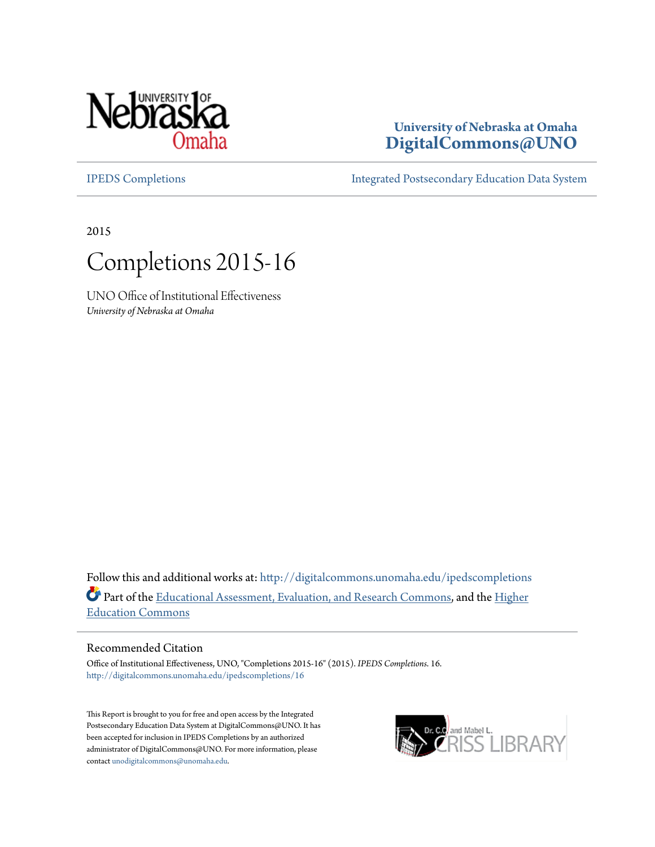

# **University of Nebraska at Omaha [DigitalCommons@UNO](http://digitalcommons.unomaha.edu?utm_source=digitalcommons.unomaha.edu%2Fipedscompletions%2F16&utm_medium=PDF&utm_campaign=PDFCoverPages)**

[IPEDS Completions](http://digitalcommons.unomaha.edu/ipedscompletions?utm_source=digitalcommons.unomaha.edu%2Fipedscompletions%2F16&utm_medium=PDF&utm_campaign=PDFCoverPages) [Integrated Postsecondary Education Data System](http://digitalcommons.unomaha.edu/oieipeds?utm_source=digitalcommons.unomaha.edu%2Fipedscompletions%2F16&utm_medium=PDF&utm_campaign=PDFCoverPages)

2015



UNO Office of Institutional Effectiveness *University of Nebraska at Omaha*

Follow this and additional works at: [http://digitalcommons.unomaha.edu/ipedscompletions](http://digitalcommons.unomaha.edu/ipedscompletions?utm_source=digitalcommons.unomaha.edu%2Fipedscompletions%2F16&utm_medium=PDF&utm_campaign=PDFCoverPages) Part of the [Educational Assessment, Evaluation, and Research Commons,](http://network.bepress.com/hgg/discipline/796?utm_source=digitalcommons.unomaha.edu%2Fipedscompletions%2F16&utm_medium=PDF&utm_campaign=PDFCoverPages) and the [Higher](http://network.bepress.com/hgg/discipline/1245?utm_source=digitalcommons.unomaha.edu%2Fipedscompletions%2F16&utm_medium=PDF&utm_campaign=PDFCoverPages) [Education Commons](http://network.bepress.com/hgg/discipline/1245?utm_source=digitalcommons.unomaha.edu%2Fipedscompletions%2F16&utm_medium=PDF&utm_campaign=PDFCoverPages)

#### Recommended Citation

Office of Institutional Effectiveness, UNO, "Completions 2015-16" (2015). *IPEDS Completions*. 16. [http://digitalcommons.unomaha.edu/ipedscompletions/16](http://digitalcommons.unomaha.edu/ipedscompletions/16?utm_source=digitalcommons.unomaha.edu%2Fipedscompletions%2F16&utm_medium=PDF&utm_campaign=PDFCoverPages)

This Report is brought to you for free and open access by the Integrated Postsecondary Education Data System at DigitalCommons@UNO. It has been accepted for inclusion in IPEDS Completions by an authorized administrator of DigitalCommons@UNO. For more information, please contact [unodigitalcommons@unomaha.edu.](mailto:unodigitalcommons@unomaha.edu)

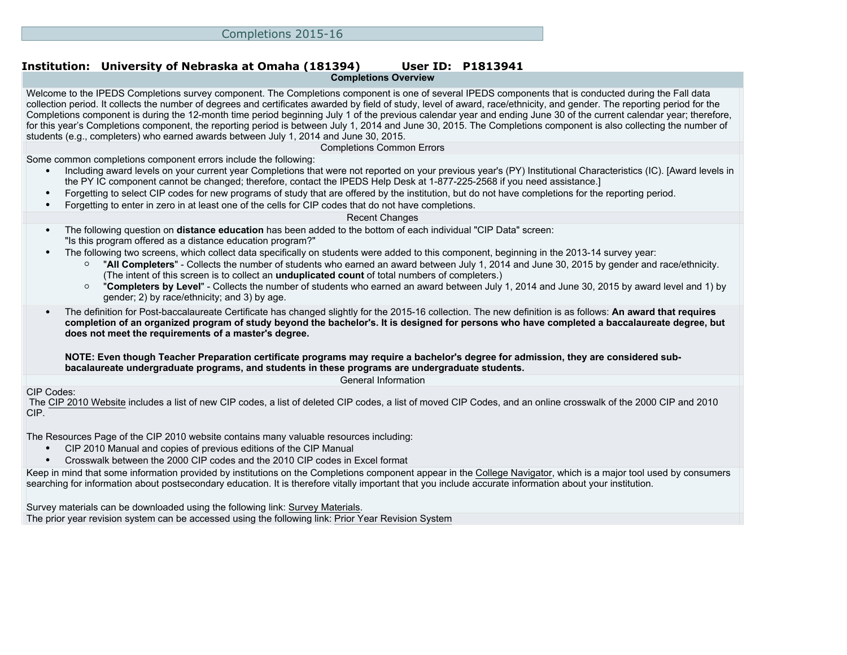#### **Institution: University of Nebraska at Omaha (181394) User ID: P1813941 Completions Overview**

Welcome to the IPEDS Completions survey component. The Completions component is one of several IPEDS components that is conducted during the Fall data collection period. It collects the number of degrees and certificates awarded by field of study, level of award, race/ethnicity, and gender. The reporting period for the Completions component is during the 12-month time period beginning July 1 of the previous calendar year and ending June 30 of the current calendar year; therefore, for this year's Completions component, the reporting period is between July 1, 2014 and June 30, 2015. The Completions component is also collecting the number of students (e.g., completers) who earned awards between July 1, 2014 and June 30, 2015.

Completions Common Errors

Some common completions component errors include the following:

- Including award levels on your current year Completions that were not reported on your previous year's (PY) Institutional Characteristics (IC). [Award levels in the PY IC component cannot be changed; therefore, contact the IPEDS Help Desk at 1-877-225-2568 if you need assistance.]
- Forgetting to select CIP codes for new programs of study that are offered by the institution, but do not have completions for the reporting period.
- Forgetting to enter in zero in at least one of the cells for CIP codes that do not have completions.

#### Recent Changes

- The following question on **distance education** has been added to the bottom of each individual "CIP Data" screen: "Is this program offered as a distance education program?"
- The following two screens, which collect data specifically on students were added to this component, beginning in the 2013-14 survey year:
	- "**All Completers**" Collects the number of students who earned an award between July 1, 2014 and June 30, 2015 by gender and race/ethnicity. (The intent of this screen is to collect an **unduplicated count** of total numbers of completers.)
	- "**Completers by Level**" Collects the number of students who earned an award between July 1, 2014 and June 30, 2015 by award level and 1) by gender; 2) by race/ethnicity; and 3) by age.
- The definition for Post-baccalaureate Certificate has changed slightly for the 2015-16 collection. The new definition is as follows: **An award that requires completion of an organized program of study beyond the bachelor's. It is designed for persons who have completed a baccalaureate degree, but does not meet the requirements of a master's degree.**

**NOTE: Even though Teacher Preparation certificate programs may require a bachelor's degree for admission, they are considered subbacalaureate undergraduate programs, and students in these programs are undergraduate students.**

General Information

#### CIP Codes:

 The [CIP 2010 Website](http://nces.ed.gov/ipeds/cipcode) includes a list of new CIP codes, a list of deleted CIP codes, a list of moved CIP Codes, and an online crosswalk of the 2000 CIP and 2010 CIP.

The [Resources Page](http://nces.ed.gov/ipeds/cipcode/resources.aspx?y=55) of the CIP 2010 website contains many valuable resources including:

- CIP 2010 Manual and copies of previous editions of the CIP Manual
- Crosswalk between the 2000 CIP codes and the 2010 CIP codes in Excel format

Keep in mind that some information provided by institutions on the Completions component appear in the [College Navigator](http://collegenavigator.ed.gov), which is a major tool used by consumers searching for information about postsecondary education. It is therefore vitally important that you include accurate information about your institution.

Survey materials can be downloaded using the following link: [Survey Materials.](https://surveys.nces.ed.gov/ipeds/VisIndex.aspx) The prior year revision system can be accessed using the following link: [Prior Year Revision System](http://192.168.102.153/IPEDS/PriorYearDataRedirect.aspx?survey_id=10)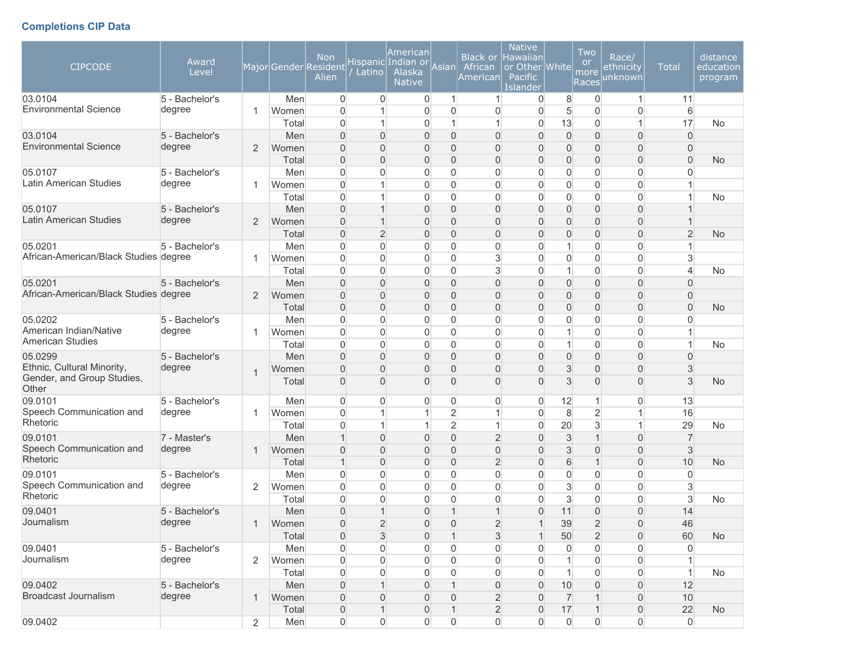# **Completions CIP Data**

| <b>CIPCODE</b>                          | Award<br>Level           |                |                | <b>Non</b><br>Major Gender Resident<br>Alien | Latino                           | American<br>Hispanic Indian or<br>Alaska<br><b>Native</b> | Asian          | African<br>American                | <b>Native</b><br>Black or Hawaiian<br>or Other White<br>Pacific<br><b>Islander</b> |                      | Two<br><b>or</b><br>more<br>Races | Race/<br><u>ethnicity</u><br>unknown | <b>Total</b>   | distance<br>education<br>program |
|-----------------------------------------|--------------------------|----------------|----------------|----------------------------------------------|----------------------------------|-----------------------------------------------------------|----------------|------------------------------------|------------------------------------------------------------------------------------|----------------------|-----------------------------------|--------------------------------------|----------------|----------------------------------|
| 03.0104<br><b>Environmental Science</b> | 5 - Bachelor's<br>degree | -1             | Men            | $\overline{0}$<br>$\mathbf{0}$               | $\overline{0}$<br>1              | 0                                                         | -1<br>$\Omega$ | 1                                  | $\overline{0}$                                                                     | 8                    | $\overline{0}$                    | $\mathbf{1}$                         | 11             |                                  |
|                                         |                          |                | Women<br>Total | $\Omega$                                     | $\mathbf{1}$                     | 0<br>0                                                    |                | $\Omega$<br>1                      | 0<br>$\Omega$                                                                      | 5<br>13              | $\mathbf 0$<br>$\boldsymbol{0}$   | $\overline{0}$<br>1                  | 6<br>17        | <b>No</b>                        |
| 03.0104                                 | 5 - Bachelor's           |                | Men            | $\Omega$                                     | $\overline{0}$                   | 0                                                         | $\Omega$       | $\Omega$                           | $\Omega$                                                                           | $\overline{0}$       | $\boldsymbol{0}$                  | $\overline{0}$                       | $\mathbf{0}$   |                                  |
| <b>Environmental Science</b>            | degree                   | 2              | Women          | $\Omega$                                     | $\overline{0}$                   | 0                                                         | $\Omega$       | $\Omega$                           | $\Omega$                                                                           | $\mathbf{0}$         | $\mathbf 0$                       | $\mathbf 0$                          | $\overline{0}$ |                                  |
|                                         |                          |                | Total          | $\Omega$                                     | $\Omega$                         | 0                                                         | $\Omega$       | $\overline{0}$                     | $\Omega$                                                                           | $\mathbf{0}$         | $\overline{0}$                    | $\overline{0}$                       | $\overline{0}$ | No                               |
| 05.0107                                 | 5 - Bachelor's           |                | Men            | $\mathbf{0}$                                 | $\overline{0}$                   | 0                                                         | $\Omega$       | $\mathbf{0}$                       | 0                                                                                  | $\Omega$             | $\overline{0}$                    | $\overline{0}$                       | $\Omega$       |                                  |
| Latin American Studies                  | degree                   | 1              | Women          | $\overline{0}$                               | 1                                | 0                                                         | $\overline{0}$ | $\overline{0}$                     | 0                                                                                  | $\overline{0}$       | $\boldsymbol{0}$                  | $\boldsymbol{0}$                     |                |                                  |
|                                         |                          |                | Total          | $\overline{0}$                               | 1                                | 0                                                         | $\Omega$       | $\overline{0}$                     | $\Omega$                                                                           | $\overline{0}$       | $\boldsymbol{0}$                  | $\boldsymbol{0}$                     |                | <b>No</b>                        |
| 05.0107                                 | 5 - Bachelor's           |                | Men            | $\overline{0}$                               | $\mathbf{1}$                     | 0                                                         | $\mathbf{0}$   | $\overline{0}$                     | $\Omega$                                                                           | $\mathbf{0}$         | $\boldsymbol{0}$                  | $\overline{0}$                       |                |                                  |
| <b>Latin American Studies</b>           | degree                   | $\overline{2}$ | Women          | $\overline{0}$                               | $\mathbf 1$                      | $\overline{0}$                                            | $\Omega$       | $\overline{0}$                     | $\Omega$                                                                           | $\mathbf{0}$         | $\mathbf 0$                       | $\mathbf 0$                          |                |                                  |
|                                         |                          |                | Total          | $\overline{0}$                               | $\overline{2}$                   | $\overline{0}$                                            | $\Omega$       | $\Omega$                           | $\Omega$                                                                           | $\mathbf{0}$         | $\overline{0}$                    | $\overline{0}$                       | $\overline{2}$ | <b>No</b>                        |
| 05.0201                                 | 5 - Bachelor's           |                | Men            | 0                                            | $\overline{0}$                   | 0                                                         | $\Omega$       | $\Omega$                           | 0                                                                                  | 1                    | 0                                 | $\mathbf 0$                          |                |                                  |
| African-American/Black Studies degree   |                          | 1              | Women          | $\mathbf{0}$                                 | $\overline{0}$                   | 0                                                         | $\overline{0}$ | 3                                  | $\Omega$                                                                           | $\overline{0}$       | $\overline{0}$                    | $\overline{0}$                       | 3              |                                  |
|                                         |                          |                | Total          | $\Omega$                                     | $\Omega$                         | 0                                                         | $\Omega$       | 3                                  | 0                                                                                  | 1                    | $\boldsymbol{0}$                  | $\overline{0}$                       | 4              | No                               |
| 05.0201                                 | 5 - Bachelor's           |                | Men            | $\Omega$                                     | $\Omega$                         | 0                                                         | $\Omega$       | $\Omega$                           | $\Omega$                                                                           | $\overline{0}$       | $\boldsymbol{0}$                  | $\overline{0}$                       | $\overline{0}$ |                                  |
| African-American/Black Studies degree   |                          | $\overline{2}$ | Women          | $\Omega$                                     | $\overline{0}$                   | $\overline{0}$                                            | $\Omega$       | $\Omega$                           | $\Omega$                                                                           | $\mathbf{0}$         | $\mathbf 0$                       | $\mathbf 0$                          | $\overline{0}$ |                                  |
|                                         |                          |                | Total          | $\Omega$                                     | $\Omega$                         | 0                                                         | $\Omega$       | $\Omega$                           | $\Omega$                                                                           | $\Omega$             | $\overline{0}$                    | $\overline{0}$                       | $\overline{0}$ | <b>No</b>                        |
| 05.0202                                 | 5 - Bachelor's           |                | Men            | $\overline{0}$                               | $\overline{0}$                   | 0                                                         | $\Omega$       | $\overline{0}$                     | $\Omega$                                                                           | $\mathbf{0}$         | $\overline{0}$                    | $\overline{0}$                       | 0              |                                  |
| American Indian/Native                  | degree                   | 1              | Women          | $\overline{0}$                               | $\overline{0}$                   | 0                                                         | $\Omega$       | $\overline{0}$                     | 0                                                                                  | $\mathbf{1}$         | $\boldsymbol{0}$                  | $\boldsymbol{0}$                     | 1              |                                  |
| American Studies                        |                          |                | Total          | $\overline{0}$                               | $\overline{0}$                   | 0                                                         | 0              | $\overline{0}$                     | $\Omega$                                                                           | $\mathbf{1}$         | $\boldsymbol{0}$                  | $\overline{0}$                       | $\mathbf{1}$   | <b>No</b>                        |
| 05.0299                                 | 5 - Bachelor's           |                | Men            | $\overline{0}$                               | $\overline{0}$                   | 0                                                         | $\mathbf{0}$   | $\overline{0}$                     | 0                                                                                  | $\mathbf{0}$         | $\mathbf 0$                       | $\mathbf 0$                          | $\overline{0}$ |                                  |
| Ethnic, Cultural Minority,              | degree                   |                | Women          | $\overline{0}$                               | 0                                | 0                                                         | $\overline{0}$ | $\Omega$                           | $\Omega$                                                                           | 3                    | $\mathbf 0$                       | $\mathbf 0$                          | 3              |                                  |
| Gender, and Group Studies,<br>Other     |                          |                | Total          | $\Omega$                                     | $\Omega$                         | 0                                                         | $\Omega$       | $\Omega$                           | $\Omega$                                                                           | 3                    | $\overline{0}$                    | $\overline{0}$                       | 3              | <b>No</b>                        |
| 09.0101                                 | 5 - Bachelor's           |                | Men            | $\overline{0}$                               | 0                                | 0                                                         | $\Omega$       | $\Omega$                           | $\Omega$                                                                           | 12                   | $\overline{1}$                    | $\overline{0}$                       | 13             |                                  |
| Speech Communication and                | degree                   | 1              | Women          | $\mathbf{0}$                                 | 1                                | 1                                                         | $\overline{2}$ |                                    | $\Omega$                                                                           | 8                    | $\overline{2}$                    | 1                                    | 16             |                                  |
| Rhetoric                                |                          |                | Total          | $\Omega$                                     | 1                                | 1                                                         | $\overline{2}$ | 1                                  | 0                                                                                  | 20                   | $\mathbf{3}$                      | 1                                    | 29             | <b>No</b>                        |
| 09.0101                                 | 7 - Master's             |                | Men            | $\mathbf 1$                                  | $\overline{0}$                   | 0                                                         | $\Omega$       | $\overline{2}$                     | $\Omega$                                                                           | 3                    | $\overline{1}$                    | $\overline{0}$                       | $\overline{7}$ |                                  |
| Speech Communication and<br>Rhetoric    | degree                   | 1              | Women          | $\Omega$                                     | $\overline{0}$                   | 0                                                         | $\Omega$       | $\Omega$                           | $\Omega$                                                                           | 3                    | $\mathbf 0$                       | $\overline{0}$                       | 3              |                                  |
|                                         |                          |                | Total          | 1                                            | $\overline{0}$                   | 0                                                         | $\mathbf{0}$   | $\overline{2}$                     | $\Omega$                                                                           | 6                    | $\overline{1}$                    | $\overline{0}$                       | 10             | <b>No</b>                        |
| 09.0101                                 | 5 - Bachelor's           |                | Men            | $\Omega$                                     | $\Omega$                         | 0                                                         | $\Omega$       | $\Omega$                           | $\Omega$                                                                           | $\Omega$             | $\mathbf 0$                       | $\overline{0}$                       | $\Omega$       |                                  |
| Speech Communication and<br>Rhetoric    | degree                   | $\overline{2}$ | Women          | $\Omega$                                     | $\overline{0}$                   | 0                                                         | $\Omega$       | $\mathbf{0}$                       | $\Omega$                                                                           | 3                    | $\overline{0}$                    | $\overline{0}$                       | 3              |                                  |
|                                         |                          |                | Total          | $\overline{0}$                               | $\overline{0}$                   | 0                                                         | $\Omega$       | $\mathbf{0}$                       | $\Omega$                                                                           | 3                    | $\boldsymbol{0}$                  | $\boldsymbol{0}$                     | 3              | No                               |
| 09.0401<br>Journalism                   | 5 - Bachelor's           |                | Men            | $\overline{0}$                               | $\mathbf{1}$                     | 0                                                         |                | $\mathbf 1$                        | $\overline{0}$                                                                     | 11                   | $\boldsymbol{0}$                  | $\overline{0}$                       | 14             |                                  |
|                                         | degree                   | 1              | Women          | $\mathsf{O}\xspace$                          | $\sqrt{2}$                       | $\mathsf{O}\xspace$                                       | 0              | $\overline{c}$                     | $\mathbf{1}$                                                                       | 39                   | $\sqrt{2}$                        | $\mathsf{O}\xspace$                  | 46             |                                  |
| 09.0401                                 |                          |                | Total          | $\mathbf 0$                                  | 3                                | 0                                                         |                | $\mathbf{3}$                       |                                                                                    | 50                   | $\overline{2}$                    | $\boldsymbol{0}$                     | 60             | No                               |
| Journalism                              | 5 - Bachelor's<br>degree |                | Men            | 0                                            | 0                                | 0                                                         | 0              | $\overline{0}$                     | 0                                                                                  | $\mathbf 0$          | $\boldsymbol{0}$                  | $\boldsymbol{0}$                     | 0              |                                  |
|                                         |                          | $\overline{2}$ | Women          | 0                                            | 0                                | 0                                                         | 0              | 0                                  | 0                                                                                  | $\mathbf{1}$         | $\mathsf{O}\xspace$               | $\boldsymbol{0}$                     |                |                                  |
| 09.0402                                 |                          |                | Total          | 0                                            | $\boldsymbol{0}$<br>$\mathbf{1}$ | 0                                                         | $\Omega$       | $\overline{0}$                     | $\overline{0}$                                                                     | $\mathbf{1}$         | $\boldsymbol{0}$                  | 0                                    | $\mathbf{1}$   | <b>No</b>                        |
| <b>Broadcast Journalism</b>             | 5 - Bachelor's<br>degree | 1              | Men<br>Women   | $\boldsymbol{0}$<br>$\boldsymbol{0}$         | 0                                | 0<br>0                                                    | $\mathbf{0}$   | $\boldsymbol{0}$<br>$\overline{2}$ | 0<br>$\mathbf{0}$                                                                  | 10<br>$\overline{7}$ | $\boldsymbol{0}$<br>$\mathbf 1$   | $\overline{0}$<br>$\overline{0}$     | 12<br>10       |                                  |
|                                         |                          |                | Total          | $\mathbf 0$                                  | $\mathbf 1$                      | 0                                                         |                | $\overline{2}$                     | $\overline{0}$                                                                     | 17                   | $\mathbf 1$                       | $\mathsf{O}\xspace$                  | 22             | <b>No</b>                        |
| 09.0402                                 |                          | $\overline{2}$ | Men            | $\mathsf{O}\xspace$                          | $\boldsymbol{0}$                 | $\mathsf{O}\xspace$                                       | $\overline{0}$ | 0                                  | $\overline{0}$                                                                     | $\overline{0}$       | $\boldsymbol{0}$                  | $\mathsf{O}\xspace$                  | $\overline{0}$ |                                  |
|                                         |                          |                |                |                                              |                                  |                                                           |                |                                    |                                                                                    |                      |                                   |                                      |                |                                  |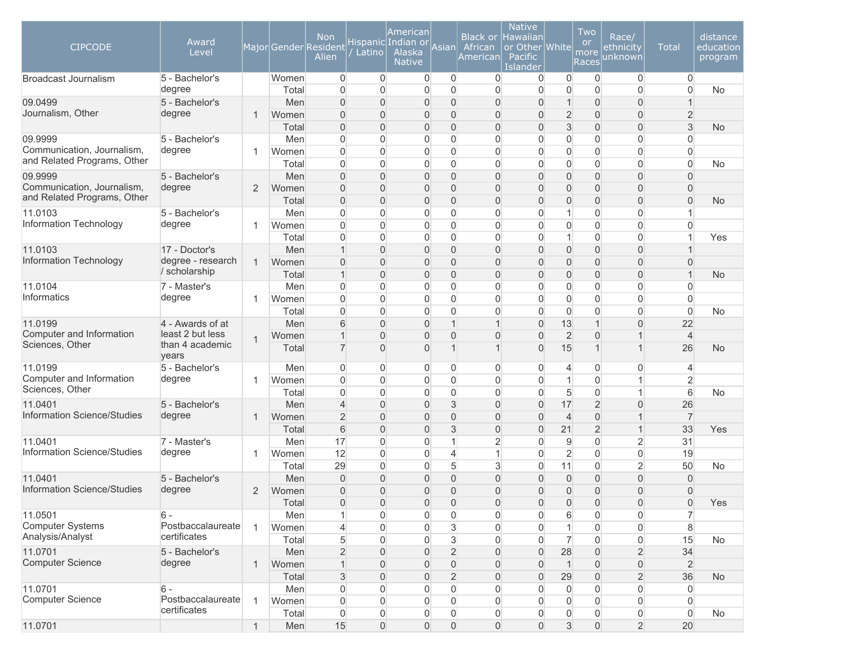| <b>CIPCODE</b>                         | Award<br>Level                     |              |                | <b>Non</b><br>Major Gender Resident<br>Alien | Latino                     | American<br>Hispanic Indian or<br>Alaska<br><b>Native</b> | Asian                            | <b>Black or</b><br>African<br>American | <b>Native</b><br><b>Hawaiian</b><br>or Other White<br>Pacific<br>Islander |                                | Two<br><b>or</b><br>more<br>Races          | Race/<br>ethnicity<br>unknown | <b>Total</b>         | distance<br>education<br>program |
|----------------------------------------|------------------------------------|--------------|----------------|----------------------------------------------|----------------------------|-----------------------------------------------------------|----------------------------------|----------------------------------------|---------------------------------------------------------------------------|--------------------------------|--------------------------------------------|-------------------------------|----------------------|----------------------------------|
| <b>Broadcast Journalism</b>            | 5 - Bachelor's                     |              | Women          | 0                                            | $\overline{0}$             | $\overline{0}$                                            | $\overline{0}$                   | $\overline{0}$                         | 0                                                                         | $\overline{0}$                 | $\mathbf 0$                                | $\mathbf 0$                   | $\overline{0}$       |                                  |
|                                        | degree                             |              | Total          | $\mathbf{0}$<br>$\overline{0}$               | $\overline{0}$<br>$\Omega$ | 0                                                         | $\Omega$                         | $\Omega$<br>$\Omega$                   | $\overline{0}$                                                            | $\overline{0}$<br>$\mathbf{1}$ | $\mathbf 0$                                | $\mathbf{0}$                  | $\overline{0}$       | <b>No</b>                        |
| 09.0499<br>Journalism, Other           | 5 - Bachelor's<br>degree           | $\mathbf{1}$ | Men<br>Women   | $\overline{0}$                               | $\overline{0}$             | 0<br>0                                                    | $\overline{0}$<br>$\overline{0}$ | $\Omega$                               | $\overline{0}$<br>$\Omega$                                                | $\overline{2}$                 | $\mathsf{O}\xspace$<br>$\mathsf{O}\xspace$ | $\mathbf 0$<br>$\mathbf 0$    | $\overline{2}$       |                                  |
|                                        |                                    |              | Total          | $\Omega$                                     | $\Omega$                   | 0                                                         | $\overline{0}$                   | $\Omega$                               | $\Omega$                                                                  | 3                              | $\mathbf 0$                                | $\overline{0}$                | 3                    | <b>No</b>                        |
| 09.9999                                | 5 - Bachelor's                     |              | Men            | $\Omega$                                     | $\Omega$                   | 0                                                         | $\Omega$                         | $\overline{0}$                         | $\mathbf{0}$                                                              | $\overline{0}$                 | $\mathbf 0$                                | $\mathbf 0$                   | $\overline{0}$       |                                  |
| Communication, Journalism,             | degree                             | 1            | Women          | $\Omega$                                     | $\Omega$                   | 0                                                         | $\Omega$                         | $\overline{0}$                         | $\mathbf{0}$                                                              | $\overline{0}$                 | $\mathbf 0$                                | $\overline{0}$                | $\overline{0}$       |                                  |
| and Related Programs, Other            |                                    |              | Total          | $\overline{0}$                               | $\Omega$                   | 0                                                         | $\mathbf 0$                      | 0                                      | 0                                                                         | $\overline{0}$                 | $\mathbf 0$                                | $\overline{0}$                | $\overline{0}$       | No                               |
| 09.9999                                | 5 - Bachelor's                     |              | Men            | 0                                            | $\overline{0}$             | 0                                                         | $\overline{0}$                   | 0                                      | $\overline{0}$                                                            | $\overline{0}$                 | $\mathsf{O}\xspace$                        | $\boldsymbol{0}$              | $\overline{0}$       |                                  |
| Communication, Journalism,             | degree                             | 2            | Women          | 0                                            | $\overline{0}$             | 0                                                         | $\overline{0}$                   | 0                                      | $\Omega$                                                                  | $\overline{0}$                 | $\mathbf 0$                                | $\boldsymbol{0}$              | $\overline{0}$       |                                  |
| and Related Programs, Other            |                                    |              | Total          | $\overline{0}$                               | $\overline{0}$             | 0                                                         | $\overline{0}$                   | $\overline{0}$                         | $\overline{0}$                                                            | $\mathbf{0}$                   | $\mathbf 0$                                | $\overline{0}$                | $\overline{0}$       | <b>No</b>                        |
| 11.0103                                | 5 - Bachelor's                     |              | Men            | 0                                            | $\mathbf{0}$               | 0                                                         | 0                                | 0                                      | 0                                                                         | $\mathbf 1$                    | $\mathbf 0$                                | $\overline{0}$                |                      |                                  |
| Information Technology                 | degree                             | $\mathbf{1}$ | Women          | $\overline{0}$                               | $\overline{0}$             | 0                                                         | $\Omega$                         | $\overline{0}$                         | $\mathbf{0}$                                                              | $\overline{0}$                 | $\mathbf 0$                                | $\overline{0}$                | $\overline{0}$       |                                  |
|                                        |                                    |              | Total          | $\overline{0}$                               | $\mathbf{0}$               | 0                                                         | $\Omega$                         | $\Omega$                               | 0                                                                         | $\mathbf{1}$                   | $\mathbf 0$                                | $\overline{0}$                | 1                    | Yes                              |
| 11.0103<br>Information Technology      | 17 - Doctor's<br>degree - research | $\mathbf{1}$ | Men<br>Women   | $\overline{1}$<br>$\overline{0}$             | $\overline{0}$<br>$\Omega$ | 0<br>0                                                    | $\overline{0}$<br>$\overline{0}$ | $\Omega$<br>$\Omega$                   | $\overline{0}$<br>$\Omega$                                                | $\overline{0}$<br>$\mathbf{0}$ | $\mathbf 0$<br>$\mathbf 0$                 | $\mathbf 0$<br>$\overline{0}$ | $\overline{0}$       |                                  |
|                                        | / scholarship                      |              | Total          | $\mathbf 1$                                  | $\Omega$                   | 0                                                         | $\mathbf 0$                      | $\Omega$                               | $\overline{0}$                                                            | $\mathbf{0}$                   | $\mathbf 0$                                | $\overline{0}$                | 1                    | <b>No</b>                        |
| 11.0104                                | 7 - Master's                       |              | Men            | 0                                            | $\Omega$                   | 0                                                         | $\Omega$                         | $\Omega$                               | $\mathbf{0}$                                                              | $\overline{0}$                 | $\overline{0}$                             | $\overline{0}$                | $\Omega$             |                                  |
| Informatics                            | degree                             | 1            | Women          | $\Omega$                                     | $\Omega$                   | 0                                                         | $\Omega$                         | $\overline{0}$                         | $\mathbf{0}$                                                              | $\overline{0}$                 | $\overline{0}$                             | $\overline{0}$                | $\Omega$             |                                  |
|                                        |                                    |              | Total          | $\overline{0}$                               | $\Omega$                   | 0                                                         | $\Omega$                         | 0                                      | $\mathbf{0}$                                                              | $\overline{0}$                 | $\mathbf 0$                                | $\overline{0}$                | $\mathbf 0$          | No                               |
| 11.0199                                | 4 - Awards of at                   |              | Men            | 6                                            | $\Omega$                   | 0                                                         | 1                                | $\mathbf{1}$                           | $\overline{0}$                                                            | 13                             | $\mathbf{1}$                               | $\boldsymbol{0}$              | 22                   |                                  |
| Computer and Information               | least 2 but less                   | $\mathbf{1}$ | Women          | $\overline{1}$                               | $\Omega$                   | 0                                                         | $\Omega$                         | $\overline{0}$                         | $\Omega$                                                                  | $\overline{2}$                 | $\overline{0}$                             | $\mathbf{1}$                  | $\overline{4}$       |                                  |
| Sciences, Other                        | than 4 academic<br>years           |              | Total          | $\overline{7}$                               | $\overline{0}$             | 0                                                         | 1                                |                                        | 0                                                                         | 15                             | $\overline{1}$                             | $\mathbf{1}$                  | 26                   | <b>No</b>                        |
| 11.0199                                | 5 - Bachelor's                     |              | Men            | 0                                            | $\overline{0}$             | 0                                                         | $\overline{0}$                   | 0                                      | $\overline{0}$                                                            | $\overline{4}$                 | $\overline{0}$                             | $\overline{0}$                | 4                    |                                  |
| Computer and Information               | degree                             | 1            | Women          | $\overline{0}$                               | $\Omega$                   | 0                                                         | $\mathbf 0$                      | 0                                      | $\overline{0}$                                                            | $\mathbf{1}$                   | $\mathbf 0$                                | $\mathbf{1}$                  | $\overline{2}$       |                                  |
| Sciences, Other                        |                                    |              | Total          | $\overline{0}$                               | $\Omega$                   | 0                                                         | $\mathbf 0$                      | $\overline{0}$                         | $\overline{0}$                                                            | 5                              | $\mathbf 0$                                | $\mathbf{1}$                  | 6                    | <b>No</b>                        |
| 11.0401<br>Information Science/Studies | 5 - Bachelor's                     |              | Men            | 4                                            | $\Omega$                   | 0                                                         | 3                                | $\overline{0}$                         | $\Omega$                                                                  | 17                             | $\overline{2}$                             | $\overline{0}$                | 26                   |                                  |
|                                        | degree                             | $\mathbf{1}$ | Women<br>Total | $\overline{2}$<br>6                          | $\Omega$<br>$\Omega$       | 0                                                         | $\overline{0}$<br>3              | $\Omega$<br>$\Omega$                   | $\overline{0}$<br>$\Omega$                                                | $\overline{4}$<br>21           | $\mathsf{O}\xspace$<br>$\overline{2}$      | $\mathbf{1}$<br>$\mathbf{1}$  | $\overline{7}$<br>33 |                                  |
| 11.0401                                | 7 - Master's                       |              | Men            | 17                                           | $\Omega$                   | 0<br>0                                                    | 1                                | $\overline{2}$                         | $\mathbf{0}$                                                              | $\overline{9}$                 | $\mathbf 0$                                | $\overline{2}$                | 31                   | Yes                              |
| Information Science/Studies            | degree                             | 1            | Women          | 12                                           | $\Omega$                   | 0                                                         | $\overline{4}$                   | 1                                      | $\mathbf{0}$                                                              | $\overline{2}$                 | $\overline{0}$                             | $\overline{0}$                | 19                   |                                  |
|                                        |                                    |              | Total          | 29                                           | $\Omega$                   | 0                                                         | 5                                | 3                                      | $\mathbf{0}$                                                              | 11                             | $\overline{0}$                             | $\overline{2}$                | 50                   | No                               |
| 11.0401                                | 5 - Bachelor's                     |              | Men            | $\Omega$                                     | $\overline{0}$             | 0                                                         | $\Omega$                         | 0                                      | $\Omega$                                                                  | $\overline{0}$                 | $\overline{0}$                             | $\boldsymbol{0}$              | $\overline{0}$       |                                  |
| Information Science/Studies            | degree                             | 2            | Women          | 0                                            | $\overline{0}$             | 0                                                         | $\overline{0}$                   | 0                                      | $\overline{0}$                                                            | $\mathbf{0}$                   | $\overline{0}$                             | $\boldsymbol{0}$              | $\mathsf{O}\xspace$  |                                  |
|                                        |                                    |              | Total          | $\mathbf 0$                                  | $\mathsf{O}\xspace$        | $\mathsf{O}\xspace$                                       | $\boldsymbol{0}$                 | $\overline{0}$                         | $\mathbf 0$                                                               | $\boldsymbol{0}$               | $\mathsf{O}\xspace$                        | $\mathsf{O}\xspace$           | $\mathsf{O}\xspace$  | Yes                              |
| 11.0501                                | $6 -$                              |              | Men            | 1                                            | $\overline{0}$             | $\overline{0}$                                            | $\mathbf 0$                      | 0                                      | $\overline{0}$                                                            | 6                              | $\mathbf 0$                                | $\boldsymbol{0}$              | $\overline{7}$       |                                  |
| <b>Computer Systems</b>                | Postbaccalaureate                  | $\mathbf{1}$ | Women          | 4                                            | $\overline{0}$             | 0                                                         | 3                                | $\overline{0}$                         | 0                                                                         | $\mathbf{1}$                   | $\mathsf{O}\xspace$                        | $\overline{0}$                | 8                    |                                  |
| Analysis/Analyst                       | certificates                       |              | Total          | 5                                            | $\overline{0}$             | 0                                                         | $\mathbf{3}$                     | 0                                      | $\overline{0}$                                                            | $\overline{7}$                 | $\mathbf 0$                                | $\boldsymbol{0}$              | 15                   | <b>No</b>                        |
| 11.0701                                | 5 - Bachelor's                     |              | Men            | $\overline{2}$                               | $\overline{0}$             | 0                                                         | $\overline{2}$                   | 0                                      | $\overline{0}$                                                            | 28                             | $\mathsf{O}\xspace$                        | $\overline{2}$                | 34                   |                                  |
| <b>Computer Science</b>                | degree                             | $\mathbf{1}$ | Women          |                                              | $\overline{0}$             | 0                                                         | $\overline{0}$                   | 0                                      | $\overline{0}$                                                            | $\mathbf{1}$                   | $\mathsf{O}\xspace$                        | $\boldsymbol{0}$              | $\overline{2}$       |                                  |
|                                        |                                    |              | Total          | 3                                            | $\overline{0}$             | 0                                                         | $\overline{2}$                   | $\overline{0}$                         | $\overline{0}$                                                            | 29                             | $\mathsf{O}\xspace$                        | $\overline{2}$                | 36                   | <b>No</b>                        |
| 11.0701                                | $6 -$                              |              | Men            | $\overline{0}$                               | $\Omega$                   | 0                                                         | $\overline{0}$                   | $\overline{0}$                         | $\Omega$                                                                  | $\overline{0}$                 | $\mathbf 0$                                | $\overline{0}$                | $\overline{0}$       |                                  |
| <b>Computer Science</b>                | Postbaccalaureate<br>certificates  | $\mathbf{1}$ | Women          | $\mathbf 0$                                  | $\Omega$                   | 0                                                         | $\overline{0}$                   | $\overline{0}$                         | $\overline{0}$                                                            | $\overline{0}$                 | $\overline{0}$                             | $\overline{0}$                | $\overline{0}$       |                                  |
|                                        |                                    |              | Total          | $\overline{0}$                               | $\overline{0}$             | 0                                                         | $\overline{0}$                   | 0                                      | $\overline{0}$                                                            | $\overline{0}$                 | $\mathbf 0$                                | $\boldsymbol{0}$              | $\overline{0}$       | No                               |
| 11.0701                                |                                    | $\mathbf{1}$ | Men            | 15                                           | $\overline{0}$             | 0                                                         | $\Omega$                         | $\overline{0}$                         | $\overline{0}$                                                            | 3                              | $\mathbf 0$                                | $\overline{2}$                | 20                   |                                  |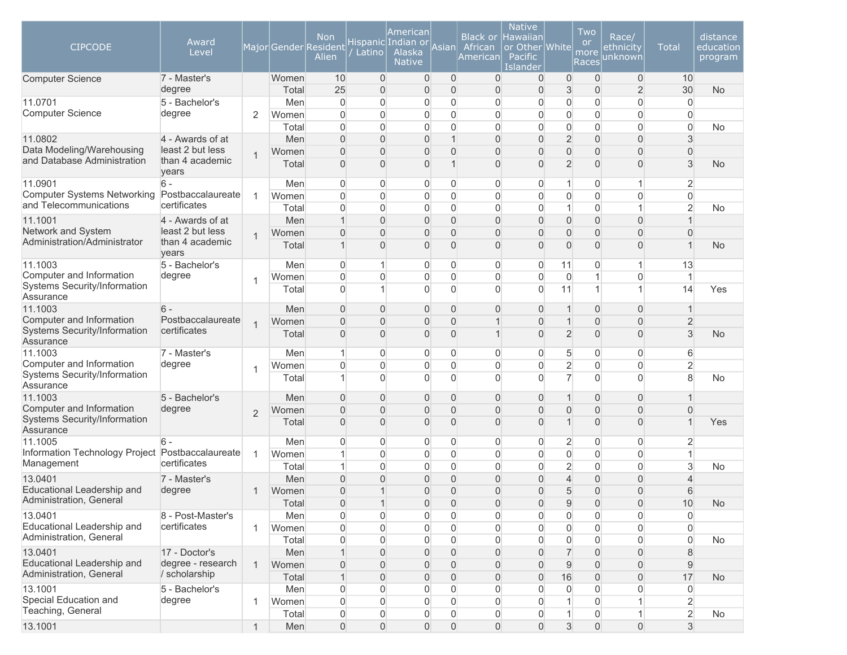| <b>CIPCODE</b>                                                  | Award<br>Level                       |                |                | <b>Non</b><br>Major Gender Resident<br>Alien | Latino                           | American<br>Hispanic Indian or<br>Alaska<br><b>Native</b> | Asian                            | <b>Black or</b><br>African<br>American | <b>Native</b><br>Hawaiian<br>or Other<br><b>Pacific</b><br>Islander | Whitel                           | Two<br><b>or</b><br>more<br>Races | Race/<br><u>ethnicity</u><br>unknown | <b>Total</b>        | distance<br>education<br>program |
|-----------------------------------------------------------------|--------------------------------------|----------------|----------------|----------------------------------------------|----------------------------------|-----------------------------------------------------------|----------------------------------|----------------------------------------|---------------------------------------------------------------------|----------------------------------|-----------------------------------|--------------------------------------|---------------------|----------------------------------|
| <b>Computer Science</b>                                         | 7 - Master's                         |                | Women          | 10                                           | $\overline{0}$                   | 0                                                         | $\overline{0}$                   | $\overline{0}$                         | $\mathbf{0}$                                                        | $\overline{0}$                   | $\mathbf{0}$                      | $\overline{0}$                       | 10                  |                                  |
|                                                                 | degree                               |                | Total          | 25                                           | $\overline{0}$                   | 0                                                         | $\mathbf{0}$                     | $\mathbf{0}$                           | $\Omega$                                                            | 3                                | $\overline{0}$                    | $\overline{2}$                       | 30                  | <b>No</b>                        |
| 11.0701                                                         | 5 - Bachelor's                       |                | Men            | 0                                            | $\Omega$                         | 0                                                         | $\mathbf{0}$                     | $\overline{0}$                         | 0                                                                   | $\overline{0}$                   | $\mathbf 0$                       | $\overline{0}$                       | $\overline{0}$      |                                  |
| <b>Computer Science</b>                                         | degree                               | $\overline{2}$ | Women          | $\Omega$                                     | $\Omega$                         | 0                                                         | $\Omega$                         | $\Omega$                               | $\Omega$                                                            | $\mathbf 0$                      | $\overline{0}$                    | $\overline{0}$                       | $\Omega$            |                                  |
|                                                                 |                                      |                | Total          | $\Omega$                                     | $\Omega$                         | 0                                                         | $\Omega$<br>$\overline{1}$       | $\overline{0}$                         | 0                                                                   | $\overline{0}$                   | $\mathbf 0$                       | $\overline{0}$                       | $\overline{0}$      | No                               |
| 11.0802<br>Data Modeling/Warehousing                            | 4 - Awards of at<br>least 2 but less |                | Men            | $\Omega$<br>$\Omega$                         | $\Omega$                         | 0                                                         | $\Omega$                         | $\Omega$                               | $\Omega$<br>O                                                       | $\overline{2}$                   | $\overline{0}$<br>$\mathbf{0}$    | $\overline{0}$                       | 3                   |                                  |
| and Database Administration                                     | than 4 academic<br>years             | $\mathbf{1}$   | Women<br>Total | $\Omega$                                     | $\Omega$<br>$\Omega$             | 0<br>0                                                    |                                  | $\Omega$<br>$\Omega$                   | $\Omega$                                                            | $\overline{0}$<br>$\overline{2}$ | $\Omega$                          | $\overline{0}$<br>$\Omega$           | $\Omega$<br>3       | <b>No</b>                        |
| 11.0901                                                         | $6 -$                                |                | Men            | $\Omega$                                     | $\Omega$                         | 0                                                         | $\Omega$                         | 0                                      | 0                                                                   | $\mathbf 1$                      | $\mathbf{0}$                      | 1                                    | $\overline{2}$      |                                  |
| Computer Systems Networking                                     | Postbaccalaureate                    | $\overline{1}$ | Women          | $\mathbf{0}$                                 | $\Omega$                         | 0                                                         | $\mathbf{0}$                     | 0                                      | 0                                                                   | $\overline{0}$                   | $\mathbf 0$                       | $\overline{0}$                       | $\overline{0}$      |                                  |
| and Telecommunications                                          | certificates                         |                | Total          | 0                                            | $\overline{0}$                   | 0                                                         | $\overline{0}$                   | $\overline{0}$                         | 0                                                                   | $\mathbf{1}$                     | $\mathbf 0$                       | $\mathbf{1}$                         | $\overline{2}$      | No                               |
| 11.1001                                                         | 4 - Awards of at                     |                | Men            | 1                                            | $\Omega$                         | 0                                                         | $\overline{0}$                   | 0                                      | 0                                                                   | $\overline{0}$                   | $\mathbf 0$                       | $\overline{0}$                       |                     |                                  |
| Network and System                                              | least 2 but less                     | $\overline{1}$ | Women          | 0                                            | $\Omega$                         | 0                                                         | $\mathbf{0}$                     | 0                                      | 0                                                                   | $\mathbf{0}$                     | $\mathbf 0$                       | $\overline{0}$                       | $\overline{0}$      |                                  |
| Administration/Administrator                                    | than 4 academic<br>years             |                | Total          | 1                                            | $\Omega$                         | 0                                                         | $\Omega$                         | $\Omega$                               | O                                                                   | $\overline{0}$                   | $\overline{0}$                    | $\overline{0}$                       |                     | <b>No</b>                        |
| 11.1003                                                         | 5 - Bachelor's                       |                | Men            | 0                                            |                                  | 0                                                         | $\mathbf{0}$                     | 0                                      | 0                                                                   | 11                               | 0                                 | $\mathbf{1}$                         | 13                  |                                  |
| Computer and Information                                        | degree                               | 1              | Women          | $\overline{0}$                               | $\Omega$                         | 0                                                         | $\Omega$                         | $\overline{0}$                         | $\Omega$                                                            | $\overline{0}$                   | $\overline{1}$                    | $\mathbf 0$                          |                     |                                  |
| Systems Security/Information<br>Assurance                       |                                      |                | Total          | $\mathbf{0}$                                 |                                  | 0                                                         | $\Omega$                         | $\Omega$                               | $\Omega$                                                            | 11                               | $\overline{1}$                    | $\mathbf{1}$                         | 14                  | Yes                              |
| 11.1003                                                         | $6 -$                                |                | Men            | $\Omega$                                     | $\Omega$                         | 0                                                         | $\Omega$                         | $\overline{0}$                         | $\Omega$                                                            | $\mathbf{1}$                     | $\mathbf{0}$                      | $\overline{0}$                       |                     |                                  |
| Computer and Information<br><b>Systems Security/Information</b> | Postbaccalaureate<br>certificates    | $\overline{1}$ | Women          | $\overline{0}$                               | $\Omega$                         | 0                                                         | $\Omega$                         |                                        | 0                                                                   | $\overline{1}$                   | $\overline{0}$                    | $\overline{0}$                       | $\overline{c}$      |                                  |
| Assurance                                                       |                                      |                | Total          | $\Omega$                                     | $\Omega$                         | 0                                                         | $\Omega$                         |                                        | $\Omega$                                                            | $\overline{2}$                   | $\mathbf{0}$                      | $\overline{0}$                       | 3                   | <b>No</b>                        |
| 11.1003<br>Computer and Information                             | 7 - Master's<br>degree               |                | Men            | 1                                            | $\Omega$                         | 0                                                         | $\Omega$                         | 0                                      | $\Omega$                                                            | 5                                | $\mathbf 0$                       | 0                                    | 6                   |                                  |
| Systems Security/Information                                    |                                      | $\overline{1}$ | Women          | 0<br>1                                       | $\Omega$<br>$\Omega$             | 0<br>0                                                    | $\mathbf{0}$<br>$\Omega$         | 0<br>$\Omega$                          | 0<br>0                                                              | $\overline{2}$<br>$\overline{7}$ | 0<br>$\mathbf{0}$                 | 0<br>$\overline{0}$                  | $\overline{2}$<br>8 |                                  |
| Assurance                                                       |                                      |                | Total          |                                              |                                  |                                                           |                                  |                                        |                                                                     |                                  |                                   |                                      |                     | <b>No</b>                        |
| 11.1003<br>Computer and Information                             | 5 - Bachelor's<br>degree             |                | Men            | $\overline{0}$                               | $\Omega$                         | 0                                                         | $\mathbf{0}$                     | 0                                      | 0                                                                   | $\overline{1}$                   | $\mathbf 0$                       | $\overline{0}$                       | U                   |                                  |
| Systems Security/Information                                    |                                      | $\overline{2}$ | Women          | $\Omega$<br>$\Omega$                         | $\Omega$<br>$\Omega$             | 0<br>0                                                    | $\mathbf{0}$<br>$\mathbf{0}$     | $\Omega$<br>$\Omega$                   | $\Omega$<br>$\Omega$                                                | $\mathbf{0}$<br>$\mathbf 1$      | $\mathbf 0$<br>$\mathbf{0}$       | $\overline{0}$<br>$\overline{0}$     |                     |                                  |
| Assurance                                                       |                                      |                | Total          |                                              |                                  |                                                           |                                  |                                        |                                                                     |                                  |                                   |                                      |                     | Yes                              |
| 11.1005                                                         | 6                                    |                | Men            | $\Omega$                                     | $\Omega$                         | 0                                                         | 0                                | 0                                      | 0                                                                   | $\overline{2}$                   | 0                                 | 0                                    | 2                   |                                  |
| Information Technology Project Postbaccalaureate                | certificates                         | $\mathbf{1}$   | Women          | 1                                            | $\Omega$                         | 0                                                         | $\mathbf{0}$                     | $\Omega$                               | $\Omega$                                                            | $\overline{0}$                   | $\mathbf 0$                       | 0                                    | 1                   |                                  |
| Management                                                      |                                      |                | Total          | 1                                            | $\Omega$                         | 0                                                         | $\Omega$                         | 0                                      | $\Omega$                                                            | $\overline{2}$                   | $\mathbf 0$                       | $\overline{0}$                       | 3                   | No                               |
| 13.0401<br>Educational Leadership and                           | 7 - Master's                         |                | Men            | 0                                            | $\Omega$                         | 0                                                         | $\Omega$                         | 0                                      | 0                                                                   | $\overline{4}$                   | $\mathbf{0}$                      | $\overline{0}$                       | 4                   |                                  |
| Administration, General                                         | degree                               | $\mathbf 1$    | Women          | $\overline{0}$                               |                                  | 0                                                         | $\Omega$                         | 0                                      | $\Omega$                                                            | 5                                | $\overline{0}$                    | $\overline{0}$                       | 6                   |                                  |
|                                                                 |                                      |                | Total          | $\overline{0}$                               |                                  | 0                                                         | $\mathbf{0}$                     | $\overline{0}$                         | 0                                                                   | 9                                | $\overline{0}$                    | $\mathsf{O}\xspace$                  | 10                  | No                               |
| 13.0401<br>Educational Leadership and                           | 8 - Post-Master's<br>certificates    | $\mathbf{1}$   | Men<br>Women   | $\mathbf 0$<br>$\overline{0}$                | $\overline{0}$<br>$\overline{0}$ | 0<br>0                                                    | $\overline{0}$<br>$\overline{0}$ | $\overline{0}$<br>0                    | 0<br>0                                                              | $\overline{0}$<br>$\overline{0}$ | $\overline{0}$<br>$\mathbf 0$     | 0<br>$\overline{0}$                  | $\mathbf 0$<br>0    |                                  |
| Administration, General                                         |                                      |                | Total          | $\boldsymbol{0}$                             | $\overline{0}$                   | 0                                                         | $\mathbf{0}$                     | 0                                      | 0                                                                   | $\overline{0}$                   | $\mathbf 0$                       | $\mathsf{O}\xspace$                  | $\mathbf 0$         | <b>No</b>                        |
| 13.0401                                                         | 17 - Doctor's                        |                | Men            | $\mathbf{1}$                                 | $\Omega$                         | 0                                                         | $\Omega$                         | 0                                      | $\Omega$                                                            | $\overline{7}$                   | $\mathbf{0}$                      | $\overline{0}$                       | 8                   |                                  |
| Educational Leadership and                                      | degree - research                    | $\mathbf{1}$   | Women          | $\overline{0}$                               | $\overline{0}$                   | 0                                                         | $\Omega$                         | 0                                      | 0                                                                   | 9                                | $\overline{0}$                    | $\overline{0}$                       | $9$                 |                                  |
| Administration, General                                         | / scholarship                        |                | Total          | $\mathbf{1}$                                 | $\overline{0}$                   | 0                                                         | $\overline{0}$                   | $\overline{0}$                         | $\mathbf{0}$                                                        | 16                               | $\overline{0}$                    | $\boldsymbol{0}$                     | 17                  | <b>No</b>                        |
| 13.1001                                                         | 5 - Bachelor's                       |                | Men            | $\overline{0}$                               | $\Omega$                         | 0                                                         | $\overline{0}$                   | $\Omega$                               | $\Omega$                                                            | $\overline{0}$                   | $\mathbf{0}$                      | $\overline{0}$                       | $\overline{0}$      |                                  |
| Special Education and                                           | degree                               | $\overline{1}$ | Women          | $\overline{0}$                               | $\Omega$                         | 0                                                         | $\overline{0}$                   | $\Omega$                               | 0                                                                   | $\mathbf{1}$                     | $\mathbf{0}$                      | $\mathbf{1}$                         | $\overline{2}$      |                                  |
| Teaching, General                                               |                                      |                | Total          | $\boldsymbol{0}$                             | $\overline{0}$                   | 0                                                         | $\overline{0}$                   | $\overline{0}$                         | $\overline{0}$                                                      | $\vert$ 1                        | $\mathbf 0$                       | $\mathbf{1}$                         | $\overline{2}$      | No                               |
| 13.1001                                                         |                                      | $\mathbf{1}$   | Men            | $\overline{0}$                               | $\overline{0}$                   | $\overline{0}$                                            | $\overline{0}$                   | $\overline{0}$                         | $\overline{0}$                                                      | $\mathfrak{S}$                   | $\overline{0}$                    | $\mathsf{O}\xspace$                  | 3                   |                                  |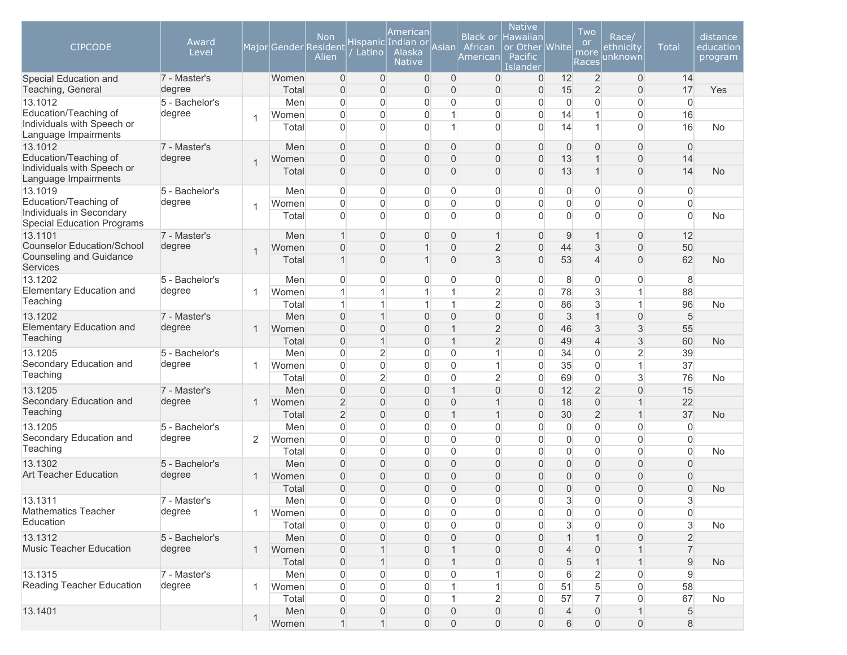| <b>CIPCODE</b>                                                                         | Award<br>Level           |                |                | <b>Non</b><br>Major Gender Resident<br>Alien | Latino                     | American<br>Hispanic Indian or<br>Alaska<br><b>Native</b> | Asian                          | <b>Black or</b><br>African<br>American | <b>Native</b><br>Hawaiian<br>or Other White<br><b>Pacific</b><br>Islander |                            | Two<br><b>or</b><br>more<br><b>Races</b> | Race/<br>ethnicity<br>unknown | <b>Total</b>                     | distance<br>education<br>program |
|----------------------------------------------------------------------------------------|--------------------------|----------------|----------------|----------------------------------------------|----------------------------|-----------------------------------------------------------|--------------------------------|----------------------------------------|---------------------------------------------------------------------------|----------------------------|------------------------------------------|-------------------------------|----------------------------------|----------------------------------|
| Special Education and                                                                  | 7 - Master's             |                | Women          | $\overline{0}$                               | $\overline{0}$             | 0                                                         | $\overline{0}$                 | $\overline{0}$                         | 0                                                                         | 12                         | $\overline{2}$                           | $\overline{0}$                | 14                               |                                  |
| Teaching, General<br>13.1012                                                           | degree<br>5 - Bachelor's |                | Total<br>Men   | $\overline{0}$<br>0                          | $\overline{0}$<br>$\Omega$ | 0<br>0                                                    | $\mathbf{0}$<br>$\mathbf{0}$   | $\mathbf{0}$<br>$\Omega$               | 0<br>0                                                                    | 15<br>$\overline{0}$       | $\overline{2}$<br>$\mathbf 0$            | $\overline{0}$<br>0           | 17<br>$\overline{0}$             | Yes                              |
| Education/Teaching of                                                                  | degree                   |                | Women          | $\mathbf{0}$                                 | $\Omega$                   | 0                                                         | 1                              | $\Omega$                               | $\Omega$                                                                  | 14                         | $\mathbf 1$                              | 0                             | 16                               |                                  |
| Individuals with Speech or<br>Language Impairments                                     |                          | $\overline{1}$ | Total          | $\Omega$                                     | $\Omega$                   | 0                                                         | 1                              | $\Omega$                               | $\Omega$                                                                  | 14                         | $\mathbf 1$                              | $\overline{0}$                | 16                               | <b>No</b>                        |
| 13.1012                                                                                | 7 - Master's             |                | Men            | $\overline{0}$                               | $\Omega$                   | 0                                                         | $\overline{0}$                 | $\Omega$                               | $\Omega$                                                                  | $\overline{0}$             | $\overline{0}$                           | $\overline{0}$                | $\mathbf{0}$                     |                                  |
| Education/Teaching of                                                                  | degree                   | $\overline{1}$ | Women          | $\overline{0}$                               | $\Omega$                   | 0                                                         | $\Omega$                       | $\Omega$                               | 0                                                                         | 13                         | $\mathbf 1$                              | $\overline{0}$                | 14                               |                                  |
| Individuals with Speech or<br>Language Impairments                                     |                          |                | Total          | $\Omega$                                     | $\Omega$                   | 0                                                         | $\Omega$                       | $\Omega$                               | $\Omega$                                                                  | 13                         | 1                                        | $\overline{0}$                | 14                               | <b>No</b>                        |
| 13.1019                                                                                | 5 - Bachelor's           |                | Men            | $\overline{0}$                               | $\Omega$                   | 0                                                         | $\overline{0}$                 | $\Omega$                               | 0                                                                         | $\mathbf 0$                | 0                                        | 0                             | 0                                |                                  |
| Education/Teaching of<br>Individuals in Secondary<br><b>Special Education Programs</b> | degree                   | $\overline{1}$ | Women<br>Total | $\mathbf{0}$<br>$\mathbf{0}$                 | $\Omega$<br>$\Omega$       | 0<br>0                                                    | $\Omega$<br>$\Omega$           | $\overline{0}$<br>$\Omega$             | $\overline{0}$<br>$\Omega$                                                | $\overline{0}$<br>$\Omega$ | $\mathbf 0$<br>$\mathbf{0}$              | $\mathbf 0$<br>$\overline{0}$ | $\overline{0}$<br>$\overline{0}$ | <b>No</b>                        |
| 13.1101                                                                                | 7 - Master's             |                | Men            | $\mathbf 1$                                  | $\Omega$                   | 0                                                         | $\Omega$                       | $\mathbf 1$                            | 0                                                                         | 9                          | $\mathbf 1$                              | $\overline{0}$                | 12                               |                                  |
| <b>Counselor Education/School</b>                                                      | degree                   |                | Women          | $\overline{0}$                               | $\Omega$                   | 1                                                         | $\Omega$                       | $\overline{2}$                         | $\Omega$                                                                  | 44                         | 3                                        | $\overline{0}$                | 50                               |                                  |
| Counseling and Guidance<br><b>Services</b>                                             |                          | $\overline{1}$ | Total          | $\mathbf 1$                                  | $\Omega$                   | 1                                                         | $\Omega$                       | 3                                      | $\Omega$                                                                  | 53                         | $\overline{4}$                           | $\overline{0}$                | 62                               | <b>No</b>                        |
| 13.1202                                                                                | 5 - Bachelor's           |                | Men            | $\overline{0}$                               | $\Omega$                   | 0                                                         | $\Omega$                       | 0                                      | $\Omega$                                                                  | 8                          | $\mathbf 0$                              | $\overline{0}$                | 8                                |                                  |
| <b>Elementary Education and</b>                                                        | degree                   | $\overline{1}$ | Women          | 1                                            |                            | $\mathbf{1}$                                              | $\overline{1}$                 | $\overline{c}$                         | 0                                                                         | 78                         | 3                                        | $\mathbf{1}$                  | 88                               |                                  |
| Teaching                                                                               |                          |                | Total          | $\mathbf{1}$                                 | 1                          | $\mathbf{1}$                                              | 1                              | $\overline{2}$                         | 0                                                                         | 86                         | $\mathbf{3}$                             | $\mathbf{1}$                  | 96                               | <b>No</b>                        |
| 13.1202                                                                                | 7 - Master's             |                | Men            | $\overline{0}$                               | $\mathbf{1}$               | 0                                                         | $\overline{0}$                 | $\overline{0}$                         | 0                                                                         | $\mathbf{3}$               | $\overline{1}$                           | $\overline{0}$                | 5                                |                                  |
| Elementary Education and<br>Teaching                                                   | degree                   | $\mathbf{1}$   | Women          | $\overline{0}$                               | $\overline{0}$             | 0                                                         | $\mathbf 1$                    | $\overline{2}$                         | 0                                                                         | 46                         | 3                                        | 3                             | 55                               |                                  |
|                                                                                        |                          |                | Total          | $\overline{0}$                               | $\mathbf{1}$               | 0                                                         | $\mathbf{1}$                   | $\overline{2}$                         | $\Omega$                                                                  | 49                         | $\overline{4}$                           | $\mathfrak{S}$                | 60                               | <b>No</b>                        |
| 13.1205<br>Secondary Education and                                                     | 5 - Bachelor's           |                | Men            | $\mathbf{0}$                                 | $\overline{2}$             | 0                                                         | $\overline{0}$                 | 1                                      | $\mathbf{0}$                                                              | 34                         | $\mathbf 0$                              | $\overline{2}$                | 39                               |                                  |
| Teaching                                                                               | degree                   | -1             | Women          | $\mathbf{0}$                                 | $\Omega$                   | 0                                                         | $\mathbf{0}$                   |                                        | 0                                                                         | 35                         | $\mathbf 0$                              | $\mathbf{1}$                  | 37                               |                                  |
| 13.1205                                                                                | 7 - Master's             |                | Total          | $\mathbf{0}$<br>$\Omega$                     | $\overline{2}$<br>$\Omega$ | 0                                                         | $\mathbf{0}$<br>$\overline{1}$ | $\overline{2}$<br>$\Omega$             | $\mathbf{0}$<br>$\Omega$                                                  | 69<br>12                   | $\mathbf 0$<br>$\overline{2}$            | 3<br>$\overline{0}$           | 76                               | <b>No</b>                        |
| Secondary Education and                                                                | degree                   | $\mathbf{1}$   | Men<br>Women   | $\overline{2}$                               | $\Omega$                   | 0<br>0                                                    | $\Omega$                       |                                        | 0                                                                         | 18                         | $\mathbf 0$                              | $\mathbf{1}$                  | 15<br>22                         |                                  |
| Teaching                                                                               |                          |                | Total          | $\overline{2}$                               | $\Omega$                   | 0                                                         | $\overline{1}$                 |                                        | $\Omega$                                                                  | 30                         | $\overline{2}$                           | $\mathbf{1}$                  | 37                               | No                               |
| 13.1205                                                                                | 5 - Bachelor's           |                | Men            | $\mathbf{0}$                                 | $\Omega$                   | 0                                                         | $\Omega$                       | $\overline{0}$                         | 0                                                                         | $\overline{0}$             | $\overline{0}$                           | $\overline{0}$                | $\overline{0}$                   |                                  |
| Secondary Education and                                                                | degree                   | 2              | Women          | $\overline{0}$                               | $\overline{0}$             | 0                                                         | $\overline{0}$                 | $\overline{0}$                         | 0                                                                         | $\overline{0}$             | $\mathbf 0$                              | 0                             | $\overline{0}$                   |                                  |
| Teaching                                                                               |                          |                | Total          | $\overline{0}$                               | $\Omega$                   | 0                                                         | $\overline{0}$                 | $\overline{0}$                         | $\Omega$                                                                  | $\overline{0}$             | $\mathbf 0$                              | 0                             | $\overline{0}$                   | <b>No</b>                        |
| 13.1302                                                                                | 5 - Bachelor's           |                | Men            | $\overline{0}$                               | $\overline{0}$             | 0                                                         | $\overline{0}$                 | 0                                      | 0                                                                         | $\overline{0}$             | $\mathbf 0$                              | $\overline{0}$                | $\overline{0}$                   |                                  |
| <b>Art Teacher Education</b>                                                           | degree                   | $\mathbf{1}$   | Women          | $\overline{0}$                               | $\Omega$                   | 0                                                         | $\Omega$                       | 0                                      | 0                                                                         | $\mathbf{0}$               | $\mathbf 0$                              | $\overline{0}$                | $\overline{0}$                   |                                  |
|                                                                                        |                          |                | Total          | $\overline{0}$                               | $\Omega$                   | 0                                                         | $\mathbf{0}$                   | $\overline{0}$                         | $\Omega$                                                                  | $\mathbf{0}$               | $\overline{0}$                           | $\overline{0}$                | $\overline{0}$                   | <b>No</b>                        |
| 13.1311                                                                                | 7 - Master's             |                | Men            | 0                                            | 0                          | 0                                                         | $\cap$                         | 0                                      | $\cap$                                                                    | J.                         | $\cap$                                   | 0                             | 5<br>◡                           |                                  |
| <b>Mathematics Teacher</b>                                                             | degree                   | -1             | Women          | 0                                            | $\overline{0}$             | 0                                                         | $\mathbf 0$                    | 0                                      | 0                                                                         | $\overline{0}$             | $\overline{0}$                           | 0                             | 0                                |                                  |
| Education                                                                              |                          |                | Total          | 0                                            | $\Omega$                   | 0                                                         | $\overline{0}$                 | 0                                      | 0                                                                         | 3                          | 0                                        | 0                             | 3                                | <b>No</b>                        |
| 13.1312                                                                                | 5 - Bachelor's           |                | Men            | $\overline{0}$                               | $\Omega$                   | 0                                                         | $\mathbf{0}$                   | 0                                      | 0                                                                         | $\mathbf{1}$               |                                          | $\overline{0}$                | 2                                |                                  |
| Music Teacher Education                                                                | degree                   | $\mathbf{1}$   | Women          | $\overline{0}$                               |                            | 0                                                         |                                | 0                                      | 0                                                                         | $\overline{4}$             | 0                                        |                               | 7                                |                                  |
|                                                                                        |                          |                | Total          | $\overline{0}$                               |                            | 0                                                         |                                | 0                                      | 0                                                                         | 5                          |                                          |                               | 9                                | <b>No</b>                        |
| 13.1315                                                                                | 7 - Master's             |                | Men            | 0                                            | 0                          | 0                                                         | 0                              |                                        | 0                                                                         | 6                          | $\overline{c}$                           | 0                             | 9                                |                                  |
| Reading Teacher Education                                                              | degree                   | $\overline{1}$ | Women          | 0                                            | $\overline{0}$             | 0                                                         |                                |                                        | 0                                                                         | 51                         | 5                                        | 0                             | 58                               |                                  |
|                                                                                        |                          |                | Total          | 0                                            | $\overline{0}$             | 0                                                         |                                | $\overline{2}$                         | 0                                                                         | 57                         | $\overline{7}$                           | 0                             | 67                               | No                               |
| 13.1401                                                                                |                          |                | Men            | $\mathbf 0$                                  | $\mathbf 0$                | 0                                                         | 0                              | 0                                      | 0                                                                         | 4                          | $\mathbf 0$                              | $\mathbf{1}$                  | $\sqrt{5}$                       |                                  |
|                                                                                        |                          | $\mathbf{1}$   | Women          | $\mathbf{1}$                                 | $\mathbf{1}$               | 0                                                         | $\mathbf 0$                    | $\overline{0}$                         | $\overline{0}$                                                            | 6                          | $\mathsf{O}\xspace$                      | $\mathsf{O}\xspace$           | 8                                |                                  |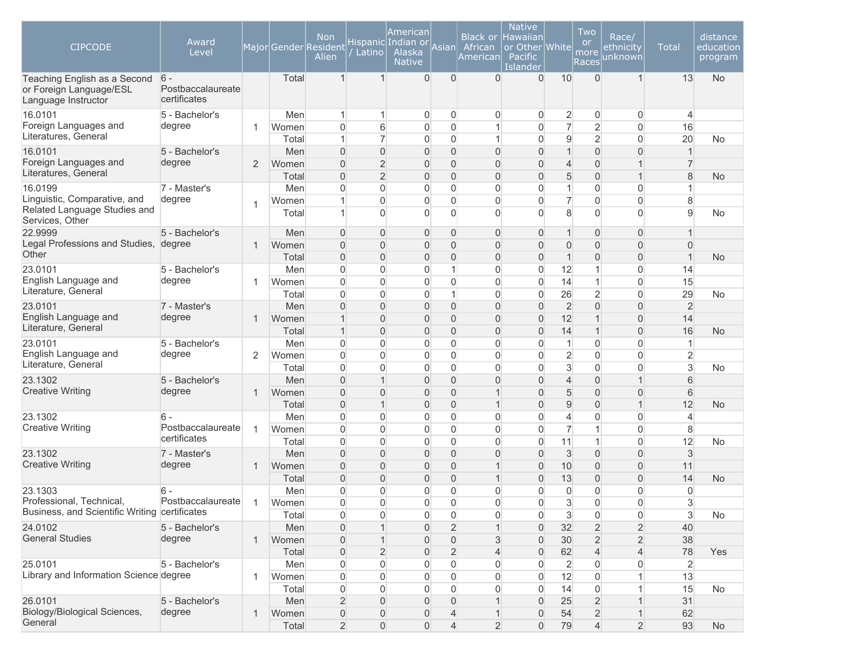| <b>CIPCODE</b>                                                                 | Award<br>Level                             |                |              | Non<br>Major Gender Resident<br>Alien | Latino                         | American<br>Hispanic Indian or<br>Alaska<br><b>Native</b> | Asian                      | African<br>American | <b>Native</b><br>Black or Hawaiian<br>or Other White<br><b>Pacific</b><br>Islander |                                | Two<br><b>or</b><br>more<br>Races | Race/<br>ethnicity<br>unknown  | <b>Total</b>                  | distance<br>education<br>program |
|--------------------------------------------------------------------------------|--------------------------------------------|----------------|--------------|---------------------------------------|--------------------------------|-----------------------------------------------------------|----------------------------|---------------------|------------------------------------------------------------------------------------|--------------------------------|-----------------------------------|--------------------------------|-------------------------------|----------------------------------|
| Teaching English as a Second<br>or Foreign Language/ESL<br>Language Instructor | $6 -$<br>Postbaccalaureate<br>certificates |                | Total        | 1                                     | $\mathbf 1$                    | 0                                                         | $\Omega$                   | $\Omega$            | $\Omega$                                                                           | 10                             | $\Omega$                          | $\mathbf{1}$                   | 13                            | <b>No</b>                        |
| 16.0101                                                                        | 5 - Bachelor's                             |                | Men          | $\mathbf{1}$                          | 1                              | 0                                                         | $\overline{0}$             | 0                   | $\overline{0}$                                                                     | $\overline{2}$                 | $\mathbf 0$                       | $\overline{0}$                 | $\overline{4}$                |                                  |
| Foreign Languages and<br>Literatures, General                                  | degree                                     | 1              | Women        | $\overline{0}$                        | 6                              | 0                                                         | $\overline{0}$             |                     | $\overline{0}$                                                                     | $\overline{7}$                 | $\overline{2}$                    | $\mathbf 0$                    | 16                            |                                  |
|                                                                                |                                            |                | Total        | $\mathbf{1}$                          | $\overline{7}$                 | 0                                                         | $\Omega$                   | 1                   | $\Omega$                                                                           | $\overline{9}$                 | $\overline{2}$                    | $\overline{0}$                 | 20                            | <b>No</b>                        |
| 16.0101<br>Foreign Languages and                                               | 5 - Bachelor's<br>degree                   | 2              | Men<br>Women | $\overline{0}$<br>0                   | $\Omega$<br>$\overline{2}$     | 0<br>0                                                    | $\overline{0}$<br>$\Omega$ | $\overline{0}$<br>0 | $\Omega$<br>$\overline{0}$                                                         | $\mathbf{1}$<br>$\overline{4}$ | $\mathbf 0$<br>$\mathbf 0$        | $\overline{0}$<br>$\mathbf{1}$ | $\mathbf 1$<br>$\overline{7}$ |                                  |
| Literatures, General                                                           |                                            |                | Total        | $\overline{0}$                        | $\overline{2}$                 | 0                                                         | $\overline{0}$             | $\overline{0}$      | $\Omega$                                                                           | 5                              | $\mathsf{O}\xspace$               | $\mathbf{1}$                   | 8                             | <b>No</b>                        |
| 16.0199                                                                        | 7 - Master's                               |                | Men          | $\overline{0}$                        | $\Omega$                       | 0                                                         | $\overline{0}$             | $\overline{0}$      | $\overline{0}$                                                                     | $\mathbf{1}$                   | $\overline{0}$                    | $\overline{0}$                 |                               |                                  |
| Linguistic, Comparative, and                                                   | degree                                     |                | Women        |                                       | $\Omega$                       | 0                                                         | $\Omega$                   | 0                   | $\overline{0}$                                                                     | $\overline{7}$                 | $\mathbf 0$                       | $\overline{0}$                 | 8                             |                                  |
| Related Language Studies and<br>Services, Other                                |                                            | 1              | Total        | 1                                     | $\Omega$                       | 0                                                         | $\overline{0}$             | $\Omega$            | $\Omega$                                                                           | 8                              | $\mathbf{0}$                      | $\Omega$                       | 9                             | <b>No</b>                        |
| 22.9999                                                                        | 5 - Bachelor's                             |                | Men          | $\overline{0}$                        | $\Omega$                       | 0                                                         | $\mathbf 0$                | $\Omega$            | $\overline{0}$                                                                     | $\mathbf{1}$                   | $\mathbf 0$                       | $\overline{0}$                 |                               |                                  |
| Legal Professions and Studies, degree                                          |                                            | $\mathbf{1}$   | Women        | $\overline{0}$                        | $\Omega$                       | 0                                                         | $\Omega$                   | 0                   | 0                                                                                  | $\overline{0}$                 | $\overline{0}$                    | $\overline{0}$                 | $\Omega$                      |                                  |
| Other                                                                          |                                            |                | Total        | $\Omega$                              | $\overline{0}$                 | 0                                                         | $\mathbf 0$                | 0                   | $\overline{0}$                                                                     | $\mathbf{1}$                   | $\overline{0}$                    | $\overline{0}$                 | $\overline{1}$                | <b>No</b>                        |
| 23.0101                                                                        | 5 - Bachelor's                             |                | Men          | $\overline{0}$                        | $\overline{0}$                 | 0                                                         | 1                          | $\Omega$            | $\overline{0}$                                                                     | 12                             | 1                                 | $\boldsymbol{0}$               | 14                            |                                  |
| English Language and                                                           | degree                                     | 1              | Women        | $\overline{0}$                        | $\Omega$                       | 0                                                         | $\overline{0}$             | $\overline{0}$      | $\Omega$                                                                           | 14                             | $\mathbf{1}$                      | $\overline{0}$                 | 15                            |                                  |
| Literature, General                                                            |                                            |                | Total        | $\Omega$                              | $\Omega$                       | 0                                                         | 1                          | $\overline{0}$      | $\overline{0}$                                                                     | 26                             | $\overline{2}$                    | $\overline{0}$                 | 29                            | <b>No</b>                        |
| 23.0101                                                                        | 7 - Master's                               |                | Men          | $\overline{0}$                        | $\Omega$                       | 0                                                         | $\Omega$                   | $\Omega$            | $\Omega$                                                                           | $\overline{2}$                 | $\mathbf 0$                       | $\overline{0}$                 | $\overline{2}$                |                                  |
| English Language and                                                           | degree                                     | 1              | Women        |                                       | $\Omega$                       | 0                                                         | $\Omega$                   | $\Omega$            | $\Omega$                                                                           | 12                             | $\overline{1}$                    | $\overline{0}$                 | 14                            |                                  |
| Literature, General                                                            |                                            |                | Total        | 1                                     | $\overline{0}$                 | 0                                                         | $\Omega$                   | 0                   | $\overline{0}$                                                                     | 14                             | $\overline{1}$                    | $\overline{0}$                 | 16                            | <b>No</b>                        |
| 23.0101                                                                        | 5 - Bachelor's                             |                | Men          | 0                                     | $\overline{0}$                 | 0                                                         | $\overline{0}$             | 0                   | $\overline{0}$                                                                     | $\mathbf{1}$                   | $\mathbf 0$                       | $\boldsymbol{0}$               | 1                             |                                  |
| English Language and<br>Literature, General                                    | degree                                     | 2              | Women        | $\Omega$                              | $\Omega$                       | 0                                                         | $\overline{0}$             | $\overline{0}$      | $\Omega$                                                                           | $\overline{2}$                 | $\overline{0}$                    | $\overline{0}$                 | $\overline{2}$                |                                  |
|                                                                                |                                            |                | Total        | $\overline{0}$                        | $\overline{0}$                 | 0                                                         | $\mathbf 0$                | 0                   | 0                                                                                  | 3                              | $\mathbf 0$                       | $\overline{0}$                 | 3                             | <b>No</b>                        |
| 23.1302<br><b>Creative Writing</b>                                             | 5 - Bachelor's<br>degree                   |                | Men          | $\overline{0}$                        | $\overline{1}$                 | $\overline{0}$                                            | $\Omega$                   | $\overline{0}$      | 0                                                                                  | $\overline{4}$                 | $\overline{0}$                    | $\mathbf{1}$                   | 6                             |                                  |
|                                                                                |                                            | $\mathbf{1}$   | Women        | $\overline{0}$                        | $\overline{0}$<br>$\mathbf{1}$ | 0                                                         | $\overline{0}$             | $\overline{1}$      | $\Omega$<br>$\Omega$                                                               | 5                              | $\overline{0}$<br>$\overline{0}$  | $\overline{0}$<br>$\mathbf{1}$ | 6<br>12                       |                                  |
| 23.1302                                                                        | 6                                          |                | Total<br>Men | $\overline{0}$<br>$\Omega$            | $\Omega$                       | 0<br>0                                                    | $\overline{0}$<br>$\Omega$ | $\Omega$            | 0                                                                                  | 9<br>$\overline{4}$            | $\overline{0}$                    | $\overline{0}$                 | $\overline{4}$                | <b>No</b>                        |
| <b>Creative Writing</b>                                                        | Postbaccalaureate                          | $\mathbf{1}$   | Women        | $\overline{0}$                        | $\Omega$                       | 0                                                         | $\overline{0}$             | $\overline{0}$      | $\Omega$                                                                           | $\overline{7}$                 | $\mathbf 1$                       | $\overline{0}$                 | 8                             |                                  |
|                                                                                | certificates                               |                | Total        | $\Omega$                              | $\Omega$                       | 0                                                         | $\Omega$                   | $\overline{0}$      | $\Omega$                                                                           | 11                             | 1                                 | $\overline{0}$                 | 12                            | <b>No</b>                        |
| 23.1302                                                                        | 7 - Master's                               |                | Men          | $\overline{0}$                        | $\Omega$                       | $\overline{0}$                                            | $\Omega$                   | $\Omega$            | $\Omega$                                                                           | 3                              | $\overline{0}$                    | $\overline{0}$                 | $\mathfrak{S}$                |                                  |
| <b>Creative Writing</b>                                                        | degree                                     | 1              | Women        | $\overline{0}$                        | $\Omega$                       | 0                                                         | $\Omega$                   |                     | $\Omega$                                                                           | 10                             | $\overline{0}$                    | $\overline{0}$                 | 11                            |                                  |
|                                                                                |                                            |                | Total        | 0                                     | $\overline{0}$                 | 0                                                         | $\Omega$                   |                     | $\overline{0}$                                                                     | 13                             | $\mathbf 0$                       | $\mathbf 0$                    | 14                            | <b>No</b>                        |
| 23.1303                                                                        | $6 -$                                      |                | Men          | 0                                     | $\overline{0}$                 | 0                                                         | $\overline{0}$             | $\overline{0}$      | $\Omega$                                                                           | $\overline{0}$                 | $\overline{0}$                    | $\overline{0}$                 | $\overline{0}$                |                                  |
| Professional, Technical,                                                       | Postbaccalaureate                          | $\overline{1}$ | Women        | $\mathsf{O}\xspace$                   | $\boldsymbol{0}$               | $\mathsf{O}\xspace$                                       | $\boldsymbol{0}$           | 0                   | $\boldsymbol{0}$                                                                   | $\sqrt{3}$                     | $\mathsf{O}\xspace$               | $\boldsymbol{0}$               | 3                             |                                  |
| Business, and Scientific Writing certificates                                  |                                            |                | Total        | 0                                     | $\overline{0}$                 | 0                                                         | $\boldsymbol{0}$           | 0                   | $\overline{0}$                                                                     | $\mathbf{3}$                   | $\mathbf 0$                       | $\boldsymbol{0}$               | 3                             | No                               |
| 24.0102                                                                        | 5 - Bachelor's                             |                | Men          | 0                                     |                                | 0                                                         | $\overline{2}$             |                     | $\overline{0}$                                                                     | 32                             | $\overline{2}$                    | $\overline{2}$                 | 40                            |                                  |
| <b>General Studies</b>                                                         | degree                                     | $\mathbf{1}$   | Women        | 0                                     |                                | 0                                                         | $\overline{0}$             | 3                   | $\overline{0}$                                                                     | 30                             | $\overline{2}$                    | $\overline{2}$                 | 38                            |                                  |
|                                                                                |                                            |                | Total        | 0                                     | $\overline{2}$                 | 0                                                         | $\overline{2}$             | 4                   | $\overline{0}$                                                                     | 62                             | $\overline{4}$                    | $\overline{4}$                 | 78                            | Yes                              |
| 25.0101                                                                        | 5 - Bachelor's                             |                | Men          | 0                                     | $\overline{0}$                 | 0                                                         | $\overline{0}$             | 0                   | $\overline{0}$                                                                     | $\overline{2}$                 | $\overline{0}$                    | $\overline{0}$                 | $\overline{2}$                |                                  |
| Library and Information Science degree                                         |                                            | 1              | Women        | 0                                     | $\overline{0}$                 | 0                                                         | $\overline{0}$             | $\Omega$            | 0                                                                                  | 12                             | $\boldsymbol{0}$                  |                                | 13                            |                                  |
|                                                                                |                                            |                | Total        | 0                                     | $\Omega$                       | $\overline{0}$                                            | $\overline{0}$             | $\Omega$            | $\overline{0}$                                                                     | 14                             | $\mathsf{O}\xspace$               | $\mathbf{1}$                   | 15                            | No                               |
| 26.0101                                                                        | 5 - Bachelor's                             |                | Men          | $\overline{2}$                        | $\Omega$                       | 0                                                         | $\Omega$                   |                     | $\overline{0}$                                                                     | 25                             | $\overline{2}$                    | $\mathbf{1}$                   | 31                            |                                  |
| Biology/Biological Sciences,                                                   | degree                                     | 1              | Women        | 0                                     | 0                              | 0                                                         |                            |                     | $\overline{0}$                                                                     | 54                             | $\sqrt{2}$                        | $\mathbf{1}$                   | 62                            |                                  |
| General                                                                        |                                            |                | Total        | $\overline{2}$                        | $\mathbf 0$                    | 0                                                         | $\overline{4}$             | $\overline{2}$      | $\overline{0}$                                                                     | 79                             | $\overline{4}$                    | $\overline{2}$                 | 93                            | <b>No</b>                        |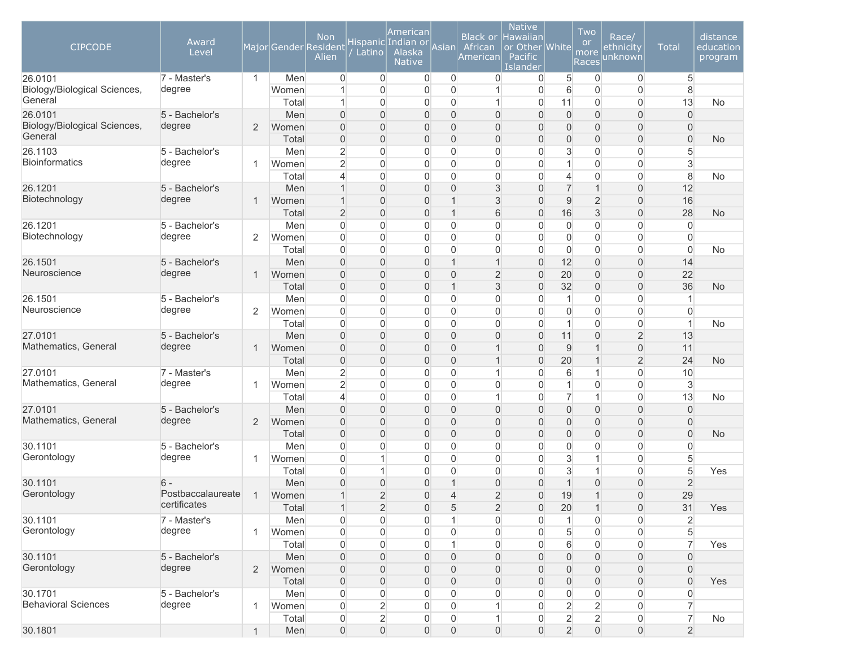| <b>CIPCODE</b>                          | Award<br>Level           |                |                | <b>Non</b><br>Major Gender Resident<br>Alien | Latino                           | American<br>Hispanic Indian or<br>Alaska<br><b>Native</b> | Asian                            | <b>Black or</b><br>African<br>American | <b>Native</b><br>Hawaiian<br>or Other White<br>Pacific<br>Islander |                                      | Two<br><b>or</b><br>more<br>Races    | Race/<br>ethnicity<br>unknown              | <b>Total</b>                     | distance<br>education<br>program |
|-----------------------------------------|--------------------------|----------------|----------------|----------------------------------------------|----------------------------------|-----------------------------------------------------------|----------------------------------|----------------------------------------|--------------------------------------------------------------------|--------------------------------------|--------------------------------------|--------------------------------------------|----------------------------------|----------------------------------|
| 26.0101<br>Biology/Biological Sciences, | 7 - Master's<br>degree   | $\mathbf{1}$   | Men<br>Women   | $\overline{0}$<br>1                          | $\overline{0}$<br>$\Omega$       | $\mathbf 0$<br>0                                          | $\mathbf 0$<br>$\mathbf 0$       | $\overline{0}$                         | 0<br>$\mathbf 0$                                                   | 5<br>$6\phantom{.}$                  | $\overline{0}$<br>$\mathbf 0$        | 0<br>$\mathbf 0$                           | 5<br>$\,8\,$                     |                                  |
| General                                 |                          |                | Total          | 1                                            | 0                                | 0                                                         | $\mathbf 0$                      | 1                                      | $\mathbf 0$                                                        | 11                                   | $\mathbf 0$                          | $\overline{0}$                             | 13                               | No                               |
| 26.0101<br>Biology/Biological Sciences, | 5 - Bachelor's<br>degree | $\overline{2}$ | Men<br>Women   | $\overline{0}$<br>$\Omega$                   | $\mathbf{0}$<br>$\Omega$         | 0<br>0                                                    | $\overline{0}$<br>$\overline{0}$ | $\overline{0}$<br>$\Omega$             | $\mathbf{0}$<br>0                                                  | $\boldsymbol{0}$<br>$\boldsymbol{0}$ | $\boldsymbol{0}$<br>$\boldsymbol{0}$ | $\mathsf{O}\xspace$<br>$\mathsf{O}\xspace$ | $\overline{0}$<br>$\mathbf{0}$   |                                  |
| General                                 |                          |                | Total          | $\overline{0}$                               | $\mathbf{0}$                     | 0                                                         | $\mathsf{O}\xspace$              | 0                                      | 0                                                                  | $\mathbf 0$                          | $\mathbf 0$                          | $\mathsf{O}\xspace$                        | $\overline{0}$                   | <b>No</b>                        |
| 26.1103                                 | 5 - Bachelor's           |                | Men            | $\overline{2}$                               | $\Omega$                         | 0                                                         | $\mathbf 0$                      | $\overline{0}$                         | 0                                                                  | $\mathbf{3}$                         | $\mathbf 0$                          | $\mathsf{O}\xspace$                        | $\overline{5}$                   |                                  |
| <b>Bioinformatics</b>                   | degree                   | $\mathbf 1$    | Women          | $\overline{2}$                               | $\Omega$                         | 0                                                         | $\overline{0}$                   | $\Omega$                               | $\overline{0}$                                                     | $\mathbf{1}$                         | $\mathbf 0$                          | $\mathbf 0$                                | 3                                |                                  |
|                                         |                          |                | Total          | $\overline{4}$                               | $\overline{0}$                   | 0                                                         | $\overline{0}$                   | $\overline{0}$                         | $\mathbf{0}$                                                       | $\overline{4}$                       | $\mathbf 0$                          | 0                                          | $\,8\,$                          | No                               |
| 26.1201<br>Biotechnology                | 5 - Bachelor's<br>degree | $\mathbf 1$    | Men<br>Women   | $\mathbf{1}$<br>$\mathbf{1}$                 | $\overline{0}$<br>$\overline{0}$ | 0<br>0                                                    | $\mathbf 0$<br>$\overline{1}$    | 3<br>3                                 | 0<br>$\overline{0}$                                                | $\overline{7}$<br>$\hbox{9}$         | $\overline{1}$<br>$\overline{2}$     | $\mathsf{O}\xspace$<br>$\mathsf{O}\xspace$ | 12<br>16                         |                                  |
|                                         |                          |                | Total          | $\overline{2}$                               | $\overline{0}$                   | 0                                                         | $\overline{1}$                   | 6                                      | $\mathbf{0}$                                                       | 16                                   | 3                                    | $\mathsf{O}\xspace$                        | 28                               | <b>No</b>                        |
| 26.1201                                 | 5 - Bachelor's           |                | Men            | $\overline{0}$                               | $\Omega$                         | 0                                                         | $\mathbf 0$                      | 0                                      | $\mathbf 0$                                                        | $\overline{0}$                       | $\mathbf 0$                          | $\mathbf 0$                                | $\boldsymbol{0}$                 |                                  |
| Biotechnology                           | degree                   | $\overline{2}$ | Women          | $\overline{0}$                               | $\Omega$                         | 0                                                         | $\mathbf 0$                      | $\overline{0}$                         | $\mathbf 0$                                                        | $\overline{0}$                       | $\overline{0}$                       | $\overline{0}$                             | $\overline{0}$                   |                                  |
|                                         |                          |                | Total          | $\overline{0}$                               | 0                                | 0                                                         | $\mathbf 0$                      | $\overline{0}$                         | $\mathbf{0}$                                                       | $\overline{0}$                       | $\overline{0}$                       | $\overline{0}$                             | $\mathbf 0$                      | No                               |
| 26.1501                                 | 5 - Bachelor's           |                | Men            | $\overline{0}$                               | $\Omega$                         | 0                                                         | $\mathbf 1$                      | $\overline{1}$                         | $\mathbf{0}$                                                       | 12                                   | $\boldsymbol{0}$                     | $\mathsf{O}\xspace$                        | 14                               |                                  |
| Neuroscience                            | degree                   | 1              | Women          | $\overline{0}$                               | $\Omega$                         | 0                                                         | $\overline{0}$                   | $\overline{2}$                         | $\mathbf{0}$                                                       | 20                                   | $\boldsymbol{0}$                     | $\mathsf{O}\xspace$                        | 22                               |                                  |
|                                         |                          |                | Total          | $\overline{0}$                               | $\Omega$                         | 0                                                         | $\overline{1}$                   | 3                                      | $\mathbf{0}$                                                       | 32                                   | $\overline{0}$                       | $\mathsf{O}\xspace$                        | 36                               | <b>No</b>                        |
| 26.1501<br>Neuroscience                 | 5 - Bachelor's           |                | Men            | $\overline{0}$                               | $\Omega$                         | $\overline{0}$                                            | $\overline{0}$                   | $\overline{0}$                         | $\mathbf{0}$                                                       | $\mathbf{1}$                         | $\overline{0}$                       | $\mathbf 0$                                | $\mathbf{1}$                     |                                  |
|                                         | degree                   | $\overline{2}$ | Women<br>Total | $\overline{0}$<br>$\overline{0}$             | $\Omega$<br>$\overline{0}$       | 0<br>0                                                    | $\overline{0}$<br>$\overline{0}$ | $\overline{0}$<br>$\overline{0}$       | $\mathbf{0}$<br>$\mathbf{0}$                                       | $\overline{0}$<br>$\mathbf{1}$       | $\overline{0}$<br>$\mathbf 0$        | $\overline{0}$<br>$\mathsf{O}\xspace$      | $\overline{0}$<br>$\mathbf{1}$   | No                               |
| 27.0101                                 | 5 - Bachelor's           |                | Men            | $\overline{0}$                               | $\overline{0}$                   | 0                                                         | $\overline{0}$                   | $\overline{0}$                         | $\mathbf{0}$                                                       | 11                                   | $\mathbf 0$                          | $\overline{c}$                             | 13                               |                                  |
| Mathematics, General                    | degree                   | $\mathbf 1$    | Women          | $\overline{0}$                               | $\overline{0}$                   | 0                                                         | $\overline{0}$                   | 1                                      | $\overline{0}$                                                     | $\boldsymbol{9}$                     | $\mathbf{1}$                         | $\mathsf{O}\xspace$                        | 11                               |                                  |
|                                         |                          |                | Total          | $\mathbf 0$                                  | $\mathbf{0}$                     | 0                                                         | $\mathbf 0$                      | 1                                      | $\mathbf{0}$                                                       | 20                                   | $\mathbf{1}$                         | $\overline{2}$                             | 24                               | <b>No</b>                        |
| 27.0101                                 | 7 - Master's             |                | Men            | $\overline{2}$                               | $\Omega$                         | 0                                                         | $\mathbf 0$                      |                                        | 0                                                                  | 6                                    | $\mathbf{1}$                         | $\mathbf 0$                                | 10                               |                                  |
| Mathematics, General                    | degree                   | $\mathbf 1$    | Women          | $\overline{2}$                               | $\Omega$                         | 0                                                         | $\overline{0}$                   | $\overline{0}$                         | 0                                                                  | $\mathbf{1}$                         | $\overline{0}$                       | 0                                          | $\mathbf{3}$                     |                                  |
|                                         |                          |                | Total          | $\overline{4}$                               | $\Omega$                         | 0                                                         | $\overline{0}$                   | 1                                      | 0                                                                  | $\overline{7}$                       | $\mathbf{1}$                         | 0                                          | 13                               | No                               |
| 27.0101                                 | 5 - Bachelor's           |                | Men            | $\overline{0}$                               | $\Omega$                         | 0                                                         | $\mathbf 0$                      | $\overline{0}$                         | 0                                                                  | $\boldsymbol{0}$                     | $\boldsymbol{0}$                     | $\mathsf{O}\xspace$                        | $\overline{0}$                   |                                  |
| Mathematics, General                    | degree                   | $\overline{2}$ | Women          | $\overline{0}$                               | $\mathbf{0}$                     | 0                                                         | $\mathbf 0$                      | 0                                      | 0                                                                  | $\mathbf 0$                          | $\mathbf 0$                          | $\mathsf{O}\xspace$                        | $\overline{0}$                   |                                  |
|                                         |                          |                | Total          | $\overline{0}$                               | $\Omega$                         | 0                                                         | $\overline{0}$                   | 0                                      | 0                                                                  | $\mathbf 0$                          | $\mathbf 0$                          | $\mathsf{O}\xspace$                        | $\overline{0}$                   | <b>No</b>                        |
| 30.1101<br>Gerontology                  | 5 - Bachelor's<br>degree | $\mathbf 1$    | Men            | $\overline{0}$<br>$\overline{0}$             | $\Omega$<br>1                    | $\Omega$<br>0                                             | $\overline{0}$<br>$\overline{0}$ | $\overline{0}$<br>$\overline{0}$       | 0<br>0                                                             | $\overline{0}$<br>$\mathbf{3}$       | $\overline{0}$<br>$\mathbf{1}$       | $\mathbf 0$                                | $\overline{0}$<br>$\overline{5}$ |                                  |
|                                         |                          |                | Women<br>Total | $\overline{0}$                               | 1                                | 0                                                         | $\overline{0}$                   | $\overline{0}$                         | $\mathbf{0}$                                                       | $\mathfrak{S}$                       | $\mathbf{1}$                         | 0<br>0                                     | $\overline{5}$                   | Yes                              |
| 30.1101                                 | 6                        |                | Men            | $\overline{0}$                               | $\mathbf{0}$                     | 0                                                         | $\overline{1}$                   | 0                                      | $\overline{0}$                                                     | $\mathbf{1}$                         | $\overline{0}$                       | $\mathsf{O}\xspace$                        | $\overline{2}$                   |                                  |
| Gerontology                             | Postbaccalaureate        | $\mathbf 1$    | Women          | $\mathbf{1}$                                 | $\overline{2}$                   | 0                                                         | $\overline{4}$                   | $\overline{2}$                         | 0                                                                  | 19                                   | $\mathbf{1}$                         | $\overline{0}$                             | 29                               |                                  |
|                                         | certificates             |                | Total          | $\mathbf{1}$                                 | $\overline{2}$                   | 0                                                         | $\sqrt{5}$                       | $\overline{2}$                         | $\mathbf 0$                                                        | 20                                   | $\mathbf{1}$                         | $\mathsf{O}\xspace$                        | 31                               | Yes                              |
| 30.1101                                 | 7 - Master's             |                | Men            | $\boldsymbol{0}$                             | $\overline{0}$                   | 0                                                         |                                  | 0                                      | 0                                                                  | 1                                    | $\mathbf 0$                          | 0                                          | $\overline{2}$                   |                                  |
| Gerontology                             | degree                   | $\mathbf{1}$   | Women          | $\boldsymbol{0}$                             | 0                                | 0                                                         | $\mathsf{O}\xspace$              | 0                                      | $\overline{0}$                                                     | $\,$ 5 $\,$                          | $\boldsymbol{0}$                     | $\mathsf{O}\xspace$                        | 5                                |                                  |
|                                         |                          |                | Total          | $\boldsymbol{0}$                             | $\overline{0}$                   | 0                                                         | 1                                | 0                                      | $\overline{0}$                                                     | 6                                    | $\boldsymbol{0}$                     | 0                                          | $\overline{7}$                   | Yes                              |
| 30.1101                                 | 5 - Bachelor's           |                | Men            | $\overline{0}$                               | $\mathbf{0}$                     | 0                                                         | $\overline{0}$                   | 0                                      | 0                                                                  | $\mathbf 0$                          | $\boldsymbol{0}$                     | $\mathsf{O}\xspace$                        | $\overline{0}$                   |                                  |
| Gerontology                             | degree                   | $\sqrt{2}$     | Women          | $\boldsymbol{0}$                             | $\mathbf 0$                      | 0                                                         | $\mathbf 0$                      | 0                                      | $\mathbf 0$                                                        | $\mathbf 0$                          | $\mathsf{O}$                         | $\mathsf{O}\xspace$                        | $\mathbf 0$                      |                                  |
|                                         |                          |                | Total          | $\boldsymbol{0}$                             | $\overline{0}$                   | 0                                                         | $\overline{0}$                   | 0                                      | $\mathbf 0$                                                        | $\overline{0}$                       | $\mathbf 0$                          | $\mathsf{O}\xspace$                        | $\overline{0}$                   | Yes                              |
| 30.1701                                 | 5 - Bachelor's           |                | Men            | $\boldsymbol{0}$                             | $\boldsymbol{0}$                 | 0                                                         | $\overline{0}$                   | 0                                      | $\mathbf{0}$                                                       | 0                                    | $\mathbf 0$                          | 0                                          | $\mathsf{O}\xspace$              |                                  |
| <b>Behavioral Sciences</b>              | degree                   | $\mathbf{1}$   | Women          | $\boldsymbol{0}$                             | $\overline{2}$                   | 0                                                         | $\overline{0}$                   |                                        | $\mathbf{0}$                                                       | $\overline{2}$                       | $\overline{c}$                       | 0                                          | $\overline{7}$                   |                                  |
|                                         |                          |                | Total          | $\mathsf{O}\xspace$                          | $\overline{2}$                   | 0                                                         | $\overline{0}$                   | 1                                      | $\mathbf 0$                                                        | $\overline{2}$                       | $\overline{2}$                       | $\boldsymbol{0}$                           | $\overline{7}$                   | No                               |
| 30.1801                                 |                          |                | Men            | $\mathsf{O}\xspace$                          | $\mathsf{O}\xspace$              | $\boldsymbol{0}$                                          | $\mathsf{O}\xspace$              | $\boldsymbol{0}$                       | $\overline{0}$                                                     | $\overline{2}$                       | $\mathsf{O}\xspace$                  | $\boldsymbol{0}$                           | $\overline{2}$                   |                                  |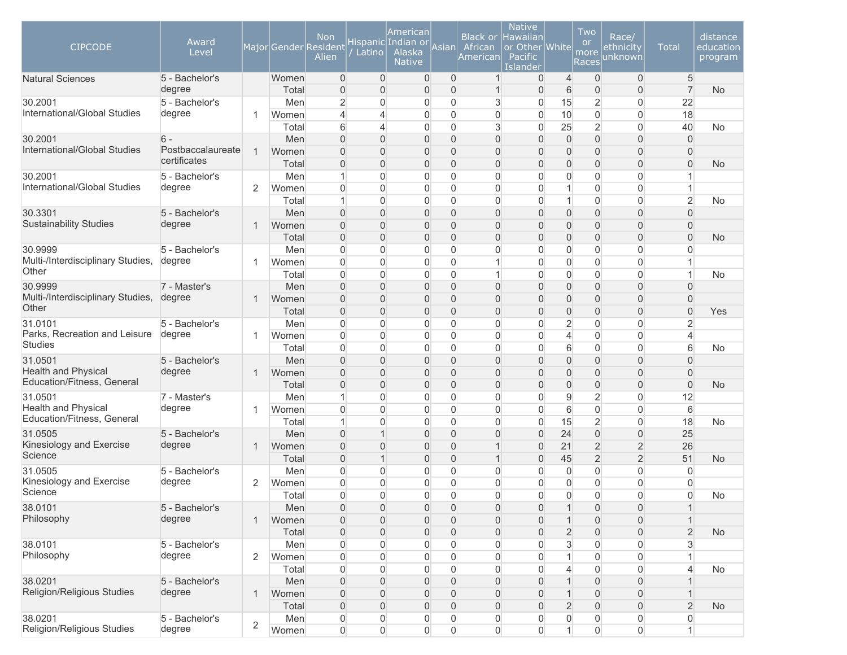| <b>Native</b><br>American<br>Two<br><b>Non</b><br><b>Black or</b><br><b>Hawaiian</b><br>Race/<br>Award<br>Hispanic Indian or<br><b>or</b><br><b>CIPCODE</b><br><b>Total</b><br>Major Gender Resident<br>Asian<br>African<br>or Other White<br>ethnicity<br>Level<br>Alaska<br>Latino<br>more<br>Alien<br>Pacific<br>American<br>unknown<br><b>Native</b><br><b>Races</b><br>Islander | distance<br>education<br>program |
|--------------------------------------------------------------------------------------------------------------------------------------------------------------------------------------------------------------------------------------------------------------------------------------------------------------------------------------------------------------------------------------|----------------------------------|
| 5 - Bachelor's<br>0<br>$\mathbf{0}$<br>0<br>$\overline{0}$<br>$\mathbf 0$<br><b>Natural Sciences</b><br>Women<br>$\mathbf{1}$<br>$\overline{0}$<br>$\overline{4}$<br>$\overline{0}$                                                                                                                                                                                                  | 5                                |
| degree<br>Total<br>$\Omega$<br>$\overline{0}$<br>$\overline{0}$<br>6<br>$\overline{0}$<br>$\overline{0}$<br>$\Omega$<br>$\mathbf 1$<br>$\overline{0}$                                                                                                                                                                                                                                | $\overline{7}$<br><b>No</b>      |
| 30.2001<br>$\overline{c}$<br>3<br>15<br>$\overline{2}$<br>$\overline{0}$<br>5 - Bachelor's<br>Men<br>0<br>0<br>0<br>0<br>International/Global Studies<br>degree<br>$\overline{0}$<br>$\mathbf{0}$<br>4<br>1                                                                                                                                                                          | 22                               |
| 10<br>$\mathbf 0$<br>$\boldsymbol{0}$<br>Women<br>4<br>0<br>$\Omega$<br>$\overline{2}$<br>6<br>$\overline{0}$<br>3<br>25<br>$\overline{0}$<br>Total<br>$\overline{\mathcal{L}}$<br>0<br>$\Omega$                                                                                                                                                                                     | 18<br>40<br><b>No</b>            |
| $\overline{0}$<br>$\overline{0}$<br>$\Omega$<br>$\overline{0}$<br>$\mathbf 0$<br>$\mathbf 0$<br>30.2001<br>$6 -$<br>Men<br>$\Omega$<br>0<br>$\Omega$                                                                                                                                                                                                                                 | $\overline{0}$                   |
| International/Global Studies<br>Postbaccalaureate<br>$\mathbf{1}$<br>$\overline{0}$<br>$\mathbf 0$<br>$\Omega$<br>0<br>$\Omega$<br>$\Omega$<br>$\overline{0}$<br>$\mathbf 0$<br>Women<br>$\Omega$                                                                                                                                                                                    | $\overline{0}$                   |
| certificates<br>$\overline{0}$<br>$\overline{0}$<br>$\overline{0}$<br>$\overline{0}$<br>Total<br>$\Omega$<br>0<br>$\Omega$<br>$\Omega$<br>$\Omega$                                                                                                                                                                                                                                   | $\Omega$<br><b>No</b>            |
| 5 - Bachelor's<br>$\overline{0}$<br>$\overline{0}$<br>$\Omega$<br>$\overline{0}$<br>$\boldsymbol{0}$<br>30.2001<br>Men<br>0<br>0<br>$\Omega$<br>1                                                                                                                                                                                                                                    |                                  |
| International/Global Studies<br>degree<br>2<br>$\overline{0}$<br>$\overline{0}$<br>0<br>$\overline{0}$<br>$\overline{0}$<br>1<br>$\mathbf 0$<br>$\boldsymbol{0}$<br>Women<br>$\overline{0}$                                                                                                                                                                                          | 1                                |
| $\overline{0}$<br>0<br>$\overline{0}$<br>$\overline{0}$<br>$\mathbf 0$<br>$\overline{0}$<br>Total<br>$\mathbf{0}$<br>1<br>1                                                                                                                                                                                                                                                          | $\overline{2}$<br><b>No</b>      |
| $\overline{0}$<br>$\overline{0}$<br>$\overline{0}$<br>$\mathbf 0$<br>$\mathbf 0$<br>30.3301<br>5 - Bachelor's<br>Men<br>0<br>0<br>$\overline{0}$<br>$\overline{0}$                                                                                                                                                                                                                   | $\overline{0}$                   |
| <b>Sustainability Studies</b><br>degree<br>$\overline{0}$<br>$\mathbf 0$<br>$\overline{0}$<br>$\Omega$<br>$\Omega$<br>$\overline{0}$<br>$\Omega$<br>$\overline{0}$<br>$\mathbf{1}$<br>Women<br>$\Omega$                                                                                                                                                                              | $\boldsymbol{0}$                 |
| $\Omega$<br>$\overline{0}$<br>$\overline{0}$<br>$\overline{0}$<br>Total<br>$\Omega$<br>0<br>$\mathbf{0}$<br>$\overline{0}$<br>$\Omega$                                                                                                                                                                                                                                               | $\Omega$<br><b>No</b>            |
| 5 - Bachelor's<br>0<br>$\overline{0}$<br>$\overline{0}$<br>30.9999<br>Men<br>$\Omega$<br>0<br>0<br>$\Omega$<br>0<br>0                                                                                                                                                                                                                                                                | 0                                |
| Multi-/Interdisciplinary Studies,<br>degree<br>$\overline{0}$<br>$\mathbf 0$<br>$\boldsymbol{0}$<br>$\Omega$<br>0<br>$\Omega$<br>$\Omega$<br>$\overline{0}$<br>1<br>Women<br>1                                                                                                                                                                                                       | 1                                |
| Other<br>$\mathbf 0$<br>$\overline{0}$<br>Total<br>$\overline{0}$<br>$\Omega$<br>0<br>$\Omega$<br>1<br>$\Omega$<br>$\overline{0}$                                                                                                                                                                                                                                                    | $\mathbf{1}$<br><b>No</b>        |
| $\overline{0}$<br>30.9999<br>7 - Master's<br>Men<br>$\Omega$<br>$\Omega$<br>0<br>$\Omega$<br>$\Omega$<br>$\overline{0}$<br>$\mathbf 0$<br>$\Omega$                                                                                                                                                                                                                                   | $\Omega$                         |
| Multi-/Interdisciplinary Studies,<br>degree<br>$\overline{0}$<br>$\overline{0}$<br>$\Omega$<br>$\Omega$<br>$\Omega$<br>$\Omega$<br>$\Omega$<br>$\Omega$<br>$\mathbf{1}$<br>Women<br>$\Omega$                                                                                                                                                                                         | $\Omega$                         |
| Other<br>$\overline{0}$<br>$\overline{0}$<br>$\overline{0}$<br>Total<br>$\Omega$<br>$\Omega$<br>0<br>$\Omega$<br>$\Omega$<br>$\Omega$                                                                                                                                                                                                                                                | $\overline{0}$<br>Yes            |
| 5 - Bachelor's<br>$\overline{0}$<br>0<br>$\overline{0}$<br>$\overline{c}$<br>$\mathbf 0$<br>$\boldsymbol{0}$<br>31.0101<br>Men<br>0<br>0<br>$\Omega$                                                                                                                                                                                                                                 | 2                                |
| Parks, Recreation and Leisure<br>degree<br>$\overline{0}$<br>$\overline{0}$<br>0<br>$\overline{0}$<br>$\overline{0}$<br>$\overline{4}$<br>$\mathbf 0$<br>$\boldsymbol{0}$<br>Women<br>$\Omega$<br>1                                                                                                                                                                                  | $\overline{4}$                   |
| <b>Studies</b><br>$\mathbf 0$<br>$\overline{0}$<br>0<br>$\overline{0}$<br>$\overline{0}$<br>6<br>$\overline{0}$<br>Total<br>0<br>$\Omega$                                                                                                                                                                                                                                            | 6<br><b>No</b>                   |
| 31.0501<br>$\overline{0}$<br>$\overline{0}$<br>$\overline{0}$<br>$\mathbf 0$<br>$\mathbf 0$<br>5 - Bachelor's<br>Men<br>$\Omega$<br>0<br>$\overline{0}$<br>$\Omega$                                                                                                                                                                                                                  | 0                                |
| <b>Health and Physical</b><br>degree<br>$\overline{0}$<br>$\overline{0}$<br>Women<br>$\Omega$<br>$\overline{0}$<br>$\overline{0}$<br>$\Omega$<br>$\Omega$<br>$\Omega$<br>$\mathbf{1}$<br>$\Omega$                                                                                                                                                                                    | $\overline{0}$                   |
| Education/Fitness, General<br>$\overline{0}$<br>Total<br>$\Omega$<br>$\mathbf{0}$<br>0<br>$\mathbf{0}$<br>$\Omega$<br>$\overline{0}$<br>$\mathbf 0$<br>$\Omega$                                                                                                                                                                                                                      | $\overline{0}$<br><b>No</b>      |
| $\overline{2}$<br>31.0501<br>7 - Master's<br>0<br>$\mathbf{0}$<br>9<br>$\boldsymbol{0}$<br>Men<br>0<br>$\Omega$<br>$\Omega$<br>1                                                                                                                                                                                                                                                     | 12                               |
| <b>Health and Physical</b><br>degree<br>$\Omega$<br>6<br>$\mathbf 0$<br>$\boldsymbol{0}$<br>Women<br>$\Omega$<br>$\Omega$<br>0<br>$\Omega$<br>$\Omega$<br>1                                                                                                                                                                                                                          | 6                                |
| Education/Fitness, General<br>$\overline{2}$<br>$\overline{0}$<br>$\Omega$<br>15<br>$\overline{0}$<br>0<br>0<br>$\Omega$<br>Total<br>1                                                                                                                                                                                                                                               | 18<br>No                         |
| $\mathbf 0$<br>31.0505<br>5 - Bachelor's<br>$\overline{0}$<br>$\Omega$<br>24<br>$\mathbf 0$<br>Men<br>$\Omega$<br>$\Omega$<br>$\Omega$                                                                                                                                                                                                                                               | 25                               |
| Kinesiology and Exercise<br>$\overline{2}$<br>$\overline{2}$<br>degree<br>$\overline{0}$<br>21<br>$\Omega$<br>$\overline{0}$<br>$\Omega$<br>$\mathbf{1}$<br>Women<br>$\Omega$<br>Science                                                                                                                                                                                             | 26                               |
| $\overline{2}$<br>$\overline{2}$<br>45<br>Total<br>0<br>$\mathbf{1}$<br>0<br>$\mathbf{0}$<br>$\overline{1}$<br>0                                                                                                                                                                                                                                                                     | 51<br><b>No</b>                  |
| $\boldsymbol{0}$<br>0<br>$\overline{0}$<br>$\overline{0}$<br>$\overline{0}$<br>$\mathbf 0$<br>31.0505<br>5 - Bachelor's<br>Men<br>0<br>0<br>0                                                                                                                                                                                                                                        | $\mathbf{0}$                     |
| Kinesiology and Exercise<br>degree<br>2<br>0<br>$\overline{0}$<br>0<br>$\overline{0}$<br>$\overline{0}$<br>$\mathbf 0$<br>$\boldsymbol{0}$<br>0<br>$\Omega$<br>Women<br>Science                                                                                                                                                                                                      | $\overline{0}$                   |
| $\overline{0}$<br>$\Omega$<br>0<br>$\Omega$<br>$\Omega$<br>$\Omega$<br>$\Omega$<br>$\overline{0}$<br>$\Omega$<br>Total                                                                                                                                                                                                                                                               | $\overline{0}$<br>No             |
| 38.0101<br>Men<br>5 - Bachelor's<br>0<br>$\overline{0}$<br>0<br>$\overline{0}$<br>$\overline{0}$<br>$\mathbf 0$<br>$\mathbf 0$<br>0<br>$\mathbf{1}$<br>Philosophy<br>degree                                                                                                                                                                                                          | 1                                |
| $\overline{0}$<br>0<br>$\boldsymbol{0}$<br>$\mathbf 0$<br>$\boldsymbol{0}$<br>$\mathbf 1$<br>Women<br>0<br>$\mathbf{0}$<br>0<br>$\overline{1}$                                                                                                                                                                                                                                       | $\mathbf{1}$                     |
| Total<br>$\boldsymbol{0}$<br>$\mathsf{O}\xspace$<br>0<br>$\boldsymbol{0}$<br>$\overline{2}$<br>$\mathbf 0$<br>$\mathsf{O}\xspace$<br>$\overline{0}$<br>0                                                                                                                                                                                                                             | $\overline{c}$<br>No             |
| 38.0101<br>5 - Bachelor's<br>Men<br>0<br>$\mathbf 0$<br>0<br>0<br>3<br>$\mathbf 0$<br>$\boldsymbol{0}$<br>0<br>$\overline{0}$<br>Philosophy<br>degree<br>$\overline{2}$<br>0<br>$\overline{0}$<br>$\overline{0}$<br>1                                                                                                                                                                | 3                                |
| $\mathbf 0$<br>$\boldsymbol{0}$<br>Women<br>0<br>0<br>$\overline{0}$                                                                                                                                                                                                                                                                                                                 | 4                                |
| Total<br>0<br>$\overline{0}$<br>0<br>$\overline{0}$<br>$\mathbf 0$<br>$\boldsymbol{0}$<br>0<br>$\overline{0}$<br>$\overline{4}$<br>38.0201<br>5 - Bachelor's<br>Men<br>0<br>$\overline{0}$<br>$\overline{0}$<br>$\overline{0}$<br>$\boldsymbol{0}$<br>0<br>$\mathbf{0}$<br>0<br>$\mathbf 1$                                                                                          | No                               |
| Religion/Religious Studies<br>degree<br>0<br>$\overline{0}$<br>$\overline{0}$<br>$\overline{0}$<br>$\boldsymbol{0}$<br>$\mathbf{1}$<br>Women<br>0<br>$\mathbf{0}$<br>$\overline{0}$                                                                                                                                                                                                  |                                  |
| Total<br>$\boldsymbol{0}$<br>$\mathsf{O}\xspace$<br>0<br>$\boldsymbol{0}$<br>$\overline{2}$<br>$\mathbf 0$<br>$\boldsymbol{0}$<br>$\mathbf{0}$<br>$\overline{0}$                                                                                                                                                                                                                     | $\overline{c}$<br><b>No</b>      |
| 38.0201<br>5 - Bachelor's<br>Men<br>$\boldsymbol{0}$<br>$\mathsf{O}\xspace$<br>0<br>0<br>$\mathsf{O}\xspace$<br>$\boldsymbol{0}$<br>$\overline{0}$<br>0<br>$\mathbf 0$                                                                                                                                                                                                               | $\mathsf{O}\xspace$              |
| $\overline{2}$<br>Religion/Religious Studies<br>degree<br>$\mathsf{O}\xspace$<br>$\overline{0}$<br>$\overline{0}$<br>$\overline{0}$<br>$\overline{0}$<br>$\boldsymbol{0}$<br>$\boldsymbol{0}$<br>$\boldsymbol{0}$<br>$\mathbf{1}$<br>Women                                                                                                                                           |                                  |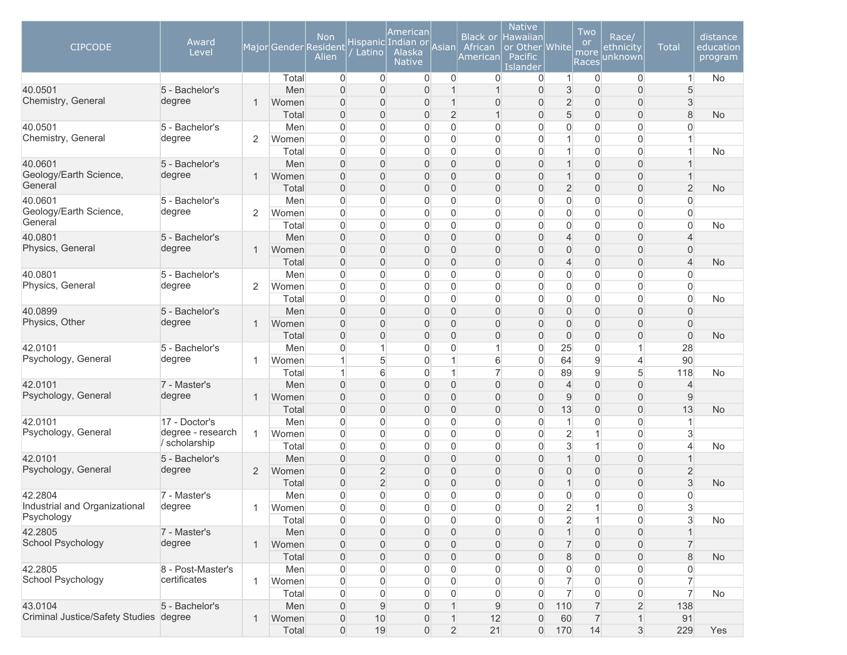| <b>CIPCODE</b>                         | Award<br>Level    |              |                | <b>Non</b><br>Major Gender Resident<br>Alien | Latino              | American<br>Hispanic Indian or<br>Alaska<br><b>Native</b> | Asian                         | <b>Black or</b><br>African<br>American | <b>Native</b><br><b>Hawaiian</b><br>or Other White<br>Pacific<br>Islander |                               | Two<br>or<br>more<br>Races | Race/<br><u>ethnicity</u><br>unknown | <b>Total</b>             | distance<br>education<br>program |
|----------------------------------------|-------------------|--------------|----------------|----------------------------------------------|---------------------|-----------------------------------------------------------|-------------------------------|----------------------------------------|---------------------------------------------------------------------------|-------------------------------|----------------------------|--------------------------------------|--------------------------|----------------------------------|
|                                        |                   |              | Total          | $\mathbf 0$                                  | $\overline{0}$      | $\overline{0}$                                            | $\mathbf 0$                   | 0                                      | 0                                                                         | $\vert$                       | 0                          | $\overline{0}$                       | $\mathbf{1}$             | No                               |
| 40.0501                                | 5 - Bachelor's    |              | Men            | $\Omega$                                     | $\overline{0}$      | 0                                                         | $\overline{1}$                |                                        | 0                                                                         | $\sqrt{3}$                    | $\overline{0}$             | $\overline{0}$                       | 5                        |                                  |
| Chemistry, General                     | degree            | $\mathbf{1}$ | Women          | $\mathbf{0}$                                 | 0                   | 0                                                         | $\mathbf 1$                   | 0                                      | 0                                                                         | $\overline{2}$                | $\mathbf 0$                | $\overline{0}$                       | 3                        |                                  |
|                                        |                   |              | Total          | $\overline{0}$                               | 0                   | 0                                                         | $\overline{2}$                | $\overline{1}$                         | 0                                                                         | 5                             | $\mathbf 0$                | 0                                    | 8                        | <b>No</b>                        |
| 40.0501                                | 5 - Bachelor's    |              | Men            | $\overline{0}$                               | 0                   | 0                                                         | $\mathbf 0$                   | $\Omega$                               | 0                                                                         | $\mathbf{0}$                  | $\mathbf 0$                | $\overline{0}$                       | 0                        |                                  |
| Chemistry, General                     | degree            | 2            | Women          | $\overline{0}$                               | 0                   | 0                                                         | $\mathbf 0$                   | 0                                      | 0                                                                         | 1                             | $\mathbf 0$                | $\overline{0}$                       |                          |                                  |
|                                        |                   |              | Total          | $\overline{0}$                               | 0                   | 0                                                         | $\overline{0}$                | $\mathbf 0$                            | 0                                                                         | $\mathbf{1}$                  | $\mathbf 0$                | $\mathbf 0$                          |                          | No                               |
| 40.0601<br>Geology/Earth Science,      | 5 - Bachelor's    |              | Men            | $\overline{0}$                               | $\overline{0}$      | 0                                                         | $\overline{0}$                | 0                                      | 0                                                                         | $\overline{1}$                | $\overline{0}$             | $\overline{0}$                       |                          |                                  |
| General                                | degree            | $\mathbf{1}$ | Women          | $\overline{0}$                               | 0                   | 0                                                         | $\overline{0}$                | 0                                      | 0                                                                         | $\overline{1}$                | $\overline{0}$             | 0                                    |                          |                                  |
|                                        |                   |              | Total          | $\boldsymbol{0}$                             | $\overline{0}$      | 0                                                         | $\overline{0}$                | 0                                      | 0                                                                         | $\overline{2}$                | $\mathbf 0$                | $\mathsf{O}\xspace$                  | $\overline{c}$           | <b>No</b>                        |
| 40.0601<br>Geology/Earth Science,      | 5 - Bachelor's    |              | Men            | $\overline{0}$                               | 0                   | 0                                                         | $\overline{0}$                | 0                                      | 0                                                                         | $\overline{0}$                | $\mathbf 0$                | 0                                    | 0                        |                                  |
| General                                | degree            | 2            | Women<br>Total | $\mathbf 0$<br>$\mathbf 0$                   | 0<br>$\overline{0}$ | 0<br>0                                                    | $\mathbf 0$<br>$\overline{0}$ | 0<br>$\overline{0}$                    | 0<br>0                                                                    | $\mathbf 0$                   | 0<br>$\mathbf 0$           | $\mathbf 0$<br>$\overline{0}$        | 0<br>$\overline{0}$      | <b>No</b>                        |
| 40.0801                                | 5 - Bachelor's    |              | Men            | $\Omega$                                     | $\overline{0}$      | 0                                                         | $\overline{0}$                | $\overline{0}$                         | 0                                                                         | $\mathbf 0$<br>$\overline{4}$ | $\overline{0}$             | $\overline{0}$                       |                          |                                  |
| Physics, General                       | degree            | $\mathbf{1}$ | Women          | $\overline{0}$                               | 0                   | 0                                                         | $\mathbf{0}$                  | 0                                      | 0                                                                         | $\mathbf{0}$                  | $\mathbf 0$                | 0                                    | 4<br>0                   |                                  |
|                                        |                   |              | Total          | $\overline{0}$                               | 0                   | 0                                                         | $\mathsf{O}\xspace$           | 0                                      | 0                                                                         | $\overline{4}$                | $\mathbf 0$                | 0                                    | $\overline{\mathcal{L}}$ | <b>No</b>                        |
| 40.0801                                | 5 - Bachelor's    |              | Men            | $\overline{0}$                               | $\Omega$            | 0                                                         | $\overline{0}$                | $\Omega$                               | 0                                                                         | $\mathbf 0$                   | $\overline{0}$             | $\overline{0}$                       | 0                        |                                  |
| Physics, General                       | degree            | 2            | Women          | $\overline{0}$                               | 0                   | 0                                                         | $\mathbf{0}$                  | $\overline{0}$                         | 0                                                                         | $\mathbf 0$                   | $\overline{0}$             | $\mathbf 0$                          | 0                        |                                  |
|                                        |                   |              | Total          | $\overline{0}$                               | $\overline{0}$      | $\overline{0}$                                            | $\overline{0}$                | $\overline{0}$                         | 0                                                                         | $\overline{0}$                | $\mathbf 0$                | $\overline{0}$                       | $\overline{0}$           | No                               |
| 40.0899                                | 5 - Bachelor's    |              | Men            | $\overline{0}$                               | $\Omega$            | 0                                                         | $\overline{0}$                | $\Omega$                               | 0                                                                         | $\overline{0}$                | $\overline{0}$             | $\overline{0}$                       | 0                        |                                  |
| Physics, Other                         | degree            | 1            | Women          | $\overline{0}$                               | 0                   | 0                                                         | $\overline{0}$                | 0                                      | 0                                                                         | $\mathbf{0}$                  | $\mathbf 0$                | 0                                    | $\overline{0}$           |                                  |
|                                        |                   |              | Total          | $\overline{0}$                               | $\overline{0}$      | 0                                                         | $\mathsf{O}\xspace$           | $\overline{0}$                         | 0                                                                         | $\boldsymbol{0}$              | $\mathbf 0$                | 0                                    | $\boldsymbol{0}$         | <b>No</b>                        |
| 42.0101                                | 5 - Bachelor's    |              | Men            | $\overline{0}$                               | 1                   | 0                                                         | $\overline{0}$                |                                        | 0                                                                         | 25                            | $\overline{0}$             | $\mathbf{1}$                         | 28                       |                                  |
| Psychology, General                    | degree            | 1            | Women          | 1                                            | 5                   | 0                                                         | $\mathbf 1$                   | 6                                      | 0                                                                         | 64                            | $\mathsf g$                | $\overline{4}$                       | 90                       |                                  |
|                                        |                   |              | Total          |                                              | 6                   | 0                                                         | 1                             | 7                                      | 0                                                                         | 89                            | $\mathsf g$                | 5                                    | 118                      | No                               |
| 42.0101                                | 7 - Master's      |              | Men            | $\Omega$                                     | 0                   | 0                                                         | $\mathbf{0}$                  | $\overline{0}$                         | 0                                                                         | $\overline{4}$                | $\overline{0}$             | $\overline{0}$                       | 4                        |                                  |
| Psychology, General                    | degree            | 1            | Women          | $\overline{0}$                               | 0                   | 0                                                         | $\mathbf{0}$                  | 0                                      | 0                                                                         | 9                             | $\mathbf 0$                | 0                                    | 9                        |                                  |
|                                        |                   |              | Total          | $\overline{0}$                               | 0                   | 0                                                         | $\mathbf 0$                   | 0                                      | 0                                                                         | 13                            | $\mathbf 0$                | 0                                    | 13                       | <b>No</b>                        |
| 42.0101                                | 17 - Doctor's     |              | Men            | $\overline{0}$                               | 0                   | 0                                                         | $\mathbf{0}$                  | 0                                      | 0                                                                         | $\mathbf{1}$                  | $\overline{0}$             | 0                                    | 1                        |                                  |
| Psychology, General                    | degree - research | 1            | Women          | $\overline{0}$                               | 0                   | 0                                                         | $\overline{0}$                | $\overline{0}$                         | 0                                                                         | $\overline{2}$                | $\overline{1}$             | $\overline{0}$                       | 3                        |                                  |
|                                        | scholarship       |              | Total          | $\overline{0}$                               | $\overline{0}$      | 0                                                         | $\overline{0}$                | $\overline{0}$                         | 0                                                                         | $\mathbf{3}$                  | $\overline{1}$             | $\overline{0}$                       | 4                        | No                               |
| 42.0101                                | 5 - Bachelor's    |              | Men            | $\overline{0}$                               | $\overline{0}$      | 0                                                         | $\overline{0}$                | 0                                      | 0                                                                         | $\mathbf{1}$                  | $\mathbf 0$                | $\mathsf{O}\xspace$                  |                          |                                  |
| Psychology, General                    | degree            | 2            | Women          | $\boldsymbol{0}$                             | 2                   | 0                                                         | $\mathbf{0}$                  | 0                                      | 0                                                                         | $\overline{0}$                | $\mathbf 0$                | $\mathsf{O}\xspace$                  | $\overline{c}$           |                                  |
|                                        |                   |              | Total          | $\overline{0}$                               | $\overline{2}$      | 0                                                         | $\overline{0}$                | 0                                      | 0                                                                         | $\mathbf{1}$                  | $\mathbf 0$                | 0                                    | 3                        | <b>No</b>                        |
| 42.2804                                | 7 - Master's      |              | Men            | $\overline{0}$                               | $\overline{0}$      | 0                                                         | $\overline{0}$                | $\overline{0}$                         | 0                                                                         | $\overline{0}$                | $\overline{0}$             | $\overline{0}$                       | 0                        |                                  |
| Industrial and Organizational          | degree            | 1            | Women          | 0                                            | 0                   | 0                                                         | 0                             | 0                                      | 0                                                                         | $\overline{2}$                | $\mathbf{1}$               | 0                                    | 3                        |                                  |
| Psychology                             |                   |              | Total          | $\boldsymbol{0}$                             | 0                   | 0                                                         | $\overline{0}$                | 0                                      | 0                                                                         | $\overline{2}$                | $\mathbf{1}$               | 0                                    | 3                        | No                               |
| 42.2805                                | 7 - Master's      |              | Men            | $\boldsymbol{0}$                             | 0                   | 0                                                         | $\overline{0}$                | 0                                      | $\overline{0}$                                                            | $\mathbf{1}$                  | $\mathbf 0$                | $\overline{0}$                       |                          |                                  |
| School Psychology                      | degree            | $\mathbf{1}$ | Women          | $\boldsymbol{0}$                             | 0                   | 0                                                         | $\mathbf 0$                   | 0                                      | 0                                                                         | $\overline{7}$                | $\mathbf 0$                | $\overline{0}$                       | $\overline{7}$           |                                  |
|                                        |                   |              | Total          | $\overline{0}$                               | 0                   | 0                                                         | $\mathbf 0$                   | 0                                      | 0                                                                         | $\,8\,$                       | $\mathsf{O}\xspace$        | $\mathsf{O}\xspace$                  | 8                        | <b>No</b>                        |
| 42.2805                                | 8 - Post-Master's |              | Men            | $\boldsymbol{0}$                             | 0                   | 0                                                         | 0                             | 0                                      | 0                                                                         | 0                             | $\mathsf{O}\xspace$        | 0                                    | 0                        |                                  |
| School Psychology                      | certificates      | $\mathbf{1}$ | Women          | $\boldsymbol{0}$                             | 0                   | 0                                                         | $\mathbf 0$                   | 0                                      | $\overline{0}$                                                            | $\overline{7}$                | $\mathbf 0$                | 0                                    | 7                        |                                  |
|                                        |                   |              | Total          | $\boldsymbol{0}$                             | 0                   | 0                                                         | $\overline{0}$                | 0                                      | $\overline{0}$                                                            | $\overline{7}$                | $\boldsymbol{0}$           | 0                                    | 7                        | No                               |
| 43.0104                                | 5 - Bachelor's    |              | Men            | $\boldsymbol{0}$                             | 9                   | 0                                                         | $\mathbf 1$                   | 9                                      | $\overline{0}$                                                            | 110                           | $\overline{7}$             | $\overline{2}$                       | 138                      |                                  |
| Criminal Justice/Safety Studies degree |                   | $\mathbf{1}$ | Women          | $\mathbf 0$                                  | 10                  | 0                                                         | 1                             | 12                                     | 0                                                                         | 60                            | $\overline{7}$             | $\mathbf{1}$                         | 91                       |                                  |
|                                        |                   |              | Total          | $\mathsf{O}\xspace$                          | 19                  | $\overline{0}$                                            | $\overline{2}$                | 21                                     | $\overline{0}$                                                            | 170                           | 14                         | $\mathbf{3}$                         | 229                      | Yes                              |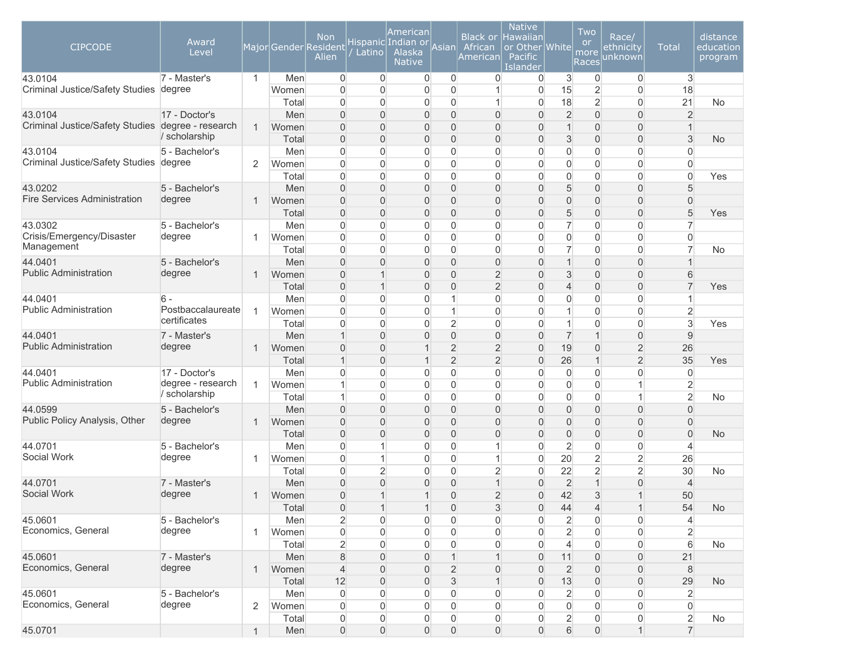| $\mathbf{3}$<br>7 - Master's<br>$\mathbf{1}$<br>Men<br>$\overline{0}$<br>$\overline{0}$<br>$\overline{0}$<br>$\overline{0}$<br>0<br>$\overline{0}$<br>3<br>$\overline{0}$<br>0<br><b>Criminal Justice/Safety Studies</b><br>$\overline{0}$<br>15<br>$\overline{2}$<br>$\mathbf 0$<br>18<br>degree<br>$\overline{0}$<br>$\overline{0}$<br>0<br>$\overline{0}$<br>Women<br>$\overline{2}$<br>21<br>$\overline{0}$<br>18<br>$\overline{0}$<br>No<br>Total<br>$\Omega$<br>$\Omega$<br>0<br>0<br>$\overline{2}$<br>$\mathbf 0$<br>$\overline{2}$<br>43.0104<br>17 - Doctor's<br>$\overline{0}$<br>Men<br>$\Omega$<br>$\Omega$<br>0<br>$\overline{0}$<br>$\overline{0}$<br>$\Omega$<br>Criminal Justice/Safety Studies degree - research<br>$\mathbf{1}$<br>$\mathbf 0$<br>$\overline{0}$<br>$\mathbf{1}$<br>$\Omega$<br>$\Omega$<br>0<br>$\overline{0}$<br>$\overline{0}$<br>Women<br>$\Omega$<br>1<br>/ scholarship<br>$\Omega$<br>$\overline{0}$<br>3<br>$\mathbf 0$<br>$\overline{0}$<br>3<br>Total<br>$\Omega$<br>0<br>$\overline{0}$<br>0<br><b>No</b><br>$\mathbf 0$<br>$\mathbf 0$<br>43.0104<br>5 - Bachelor's<br>$\overline{0}$<br>$\mathbf 0$<br>$\overline{0}$<br>Men<br>$\overline{0}$<br>$\Omega$<br>0<br>$\overline{0}$<br>$\Omega$<br>Criminal Justice/Safety Studies degree<br>$\mathbf 0$<br>2<br>$\overline{0}$<br>$\overline{0}$<br>0<br>$\overline{0}$<br>$\mathbf{0}$<br>$\overline{0}$<br>$\overline{0}$<br>$\Omega$<br>Women<br>$\Omega$<br>$\mathbf 0$<br>$\overline{0}$<br>0<br>$\overline{0}$<br>$\overline{0}$<br>$\overline{0}$<br>$\overline{0}$<br>$\overline{0}$<br>$\overline{0}$<br>Yes<br>Total<br>$\Omega$<br>$\sqrt{5}$<br>$\mathbf 0$<br>$\overline{0}$<br>$\overline{0}$<br>$\boldsymbol{0}$<br>5<br>43.0202<br>5 - Bachelor's<br>Men<br>$\mathbf{0}$<br>0<br>0<br>$\overline{0}$<br><b>Fire Services Administration</b><br>degree<br>$\overline{0}$<br>$\overline{0}$<br>$\overline{0}$<br>$\overline{0}$<br>$\mathsf{O}\xspace$<br>$\overline{0}$<br>$\boldsymbol{0}$<br>$\overline{0}$<br>$\mathbf{1}$<br>Women<br>0<br>$\overline{0}$<br>5<br>$\overline{0}$<br>$\overline{0}$<br>$\mathbf 0$<br>$\overline{0}$<br>5<br>$\mathbf 0$<br>$\mathsf{O}\xspace$<br>Total<br>0<br>0<br>Yes<br>43.0302<br>5 - Bachelor's<br>$\overline{0}$<br>$\overline{7}$<br>$\mathbf 0$<br>$\overline{0}$<br>7<br>Men<br>$\overline{0}$<br>0<br>0<br>0<br>0<br>Crisis/Emergency/Disaster<br>degree<br>$\Omega$<br>$\overline{0}$<br>0<br>$\overline{0}$<br>$\mathbf{0}$<br>$\overline{0}$<br>$\mathbf 0$<br>$\overline{0}$<br>$\overline{0}$<br>$\overline{1}$<br>Women<br>0<br>Management<br>$\overline{7}$<br>$\Omega$<br>$\overline{0}$<br>$\overline{0}$<br>$\overline{7}$<br>$\mathbf 0$<br>$\overline{0}$<br><b>No</b><br>Total<br>0<br>0<br>0<br>44.0401<br>$\overline{0}$<br>$\mathbf{1}$<br>$\mathbf 0$<br>$\overline{0}$<br>5 - Bachelor's<br>Men<br>$\Omega$<br>$\Omega$<br>0<br>$\overline{0}$<br>$\overline{1}$<br>$\Omega$<br><b>Public Administration</b><br>degree<br>$\Omega$<br>$\overline{2}$<br>3<br>$\mathbf 0$<br>$\overline{0}$<br>6<br>$\mathbf{1}$<br>0<br>$\overline{0}$<br>Women<br>$\Omega$<br>$\mathbf 0$<br>$\overline{7}$<br>$\overline{2}$<br>$\overline{0}$<br>Total<br>$\mathbf{0}$<br>0<br>$\overline{0}$<br>$\overline{4}$<br>Yes<br>$\Omega$<br>$\overline{0}$<br>0<br>$\mathbf{0}$<br>$\overline{0}$<br>$\mathbf{0}$<br>$\overline{0}$<br>44.0401<br>$6 -$<br>Men<br>$\Omega$<br>$\mathbf 1$<br>$\overline{1}$<br>$\Omega$<br><b>Public Administration</b><br>Postbaccalaureate<br>$\overline{2}$<br>$\mathbf{1}$<br>$\Omega$<br>$\overline{0}$<br>$\overline{0}$<br>$\mathbf{1}$<br>$\mathbf{0}$<br>$\mathbf{1}$<br>$\overline{0}$<br>$\overline{0}$<br>Women<br>$\Omega$<br>certificates<br>3<br>$\overline{2}$<br>$\vert$<br>$\mathbf 0$<br>Total<br>$\overline{0}$<br>$\overline{0}$<br>$\overline{0}$<br>$\overline{0}$<br>$\boldsymbol{0}$<br>$\Omega$<br>Yes<br>$\mathbf 0$<br>$\overline{7}$<br>$\mathbf{1}$<br>$\overline{0}$<br>$\overline{0}$<br>$\overline{0}$<br>$\boldsymbol{0}$<br>9<br>44.0401<br>7 - Master's<br>Men<br>$\mathbf{1}$<br>$\overline{0}$<br><b>Public Administration</b><br>degree<br>$\overline{2}$<br>$\overline{2}$<br>$\mathbf 0$<br>$\overline{2}$<br>$\overline{0}$<br>19<br>26<br>$\overline{1}$<br>Women<br>$\mathbf{0}$<br>0<br>1<br>$\overline{2}$<br>$\overline{2}$<br>$\overline{2}$<br>$\mathbf{1}$<br>Total<br>$\overline{0}$<br>26<br>35<br>$\mathbf{1}$<br>$\mathbf 1$<br>0<br>Yes<br>44.0401<br>17 - Doctor's<br>0<br>$\overline{0}$<br>$\mathbf 0$<br>$\mathbf 0$<br>$\overline{0}$<br>$\overline{0}$<br>Men<br>$\mathbf 0$<br>$\Omega$<br>$\Omega$<br>0<br><b>Public Administration</b><br>degree - research<br>$\overline{2}$<br>1<br>$\overline{0}$<br>$\mathbf 0$<br>$\mathbf{1}$<br>$\mathbf{1}$<br>Women<br>$\Omega$<br>0<br>0<br>0<br>$\overline{0}$<br>scholarship<br>$\overline{2}$<br>1<br>$\overline{0}$<br>$\mathbf 0$<br>Total<br>$\Omega$<br>0<br>$\overline{0}$<br>0<br>$\mathbf 0$<br>$\mathbf{1}$<br>No<br>44.0599<br>$\overline{0}$<br>$\mathbf 0$<br>$\overline{0}$<br>5 - Bachelor's<br>Men<br>$\Omega$<br>$\Omega$<br>0<br>$\Omega$<br>$\overline{0}$<br>$\Omega$<br>$\Omega$<br>Public Policy Analysis, Other<br>degree<br>$\Omega$<br>$\mathbf 0$<br>$\overline{0}$<br>$\overline{1}$<br>$\Omega$<br>0<br>$\overline{0}$<br>$\overline{0}$<br>$\overline{0}$<br>$\overline{0}$<br>Women<br>$\Omega$<br>$\mathbf 0$<br>$\overline{0}$<br>$\overline{0}$<br>Total<br>$\mathbf{0}$<br>$\Omega$<br>0<br>$\overline{0}$<br>0<br>$\overline{0}$<br>$\overline{0}$<br><b>No</b><br>$\overline{2}$<br>44.0701<br>5 - Bachelor's<br>$\overline{0}$<br>$\overline{0}$<br>$\mathbf 0$<br>$\overline{0}$<br>0<br>$\Omega$<br>Men<br>$\overline{4}$<br>Social Work<br>20<br>$\overline{2}$<br>$\overline{2}$<br>degree<br>$\overline{0}$<br>$\overline{0}$<br>26<br>$\mathbf{1}$<br>Women<br>$\mathbf 1$<br>0<br>1<br>$\mathbf{0}$<br>$\overline{2}$<br>$\overline{2}$<br>$\overline{2}$<br>22<br>30<br>$\overline{0}$<br>$\overline{2}$<br>$\overline{0}$<br>Total<br>0<br>$\mathbf{0}$<br>No<br>$\overline{2}$<br>$\mathbf{1}$<br>$\overline{0}$<br>$\overline{0}$<br>$\boldsymbol{0}$<br>44.0701<br>7 - Master's<br>Men<br>$\mathbf{0}$<br>0<br>0<br>$\overline{4}$<br>1<br>Social Work<br>degree<br>42<br>$\overline{0}$<br>$\overline{2}$<br>3<br>$\mathbf{1}$<br>$\mathbf{1}$<br>$\mathbf{1}$<br>$\mathbf{0}$<br>$\Omega$<br>50<br>$\mathbf 1$<br>Women<br>54<br>Total<br>$\sqrt{3}$<br><b>No</b><br>$\overline{0}$<br>$\mathbf{1}$<br>$\overline{0}$<br>$\mathbf 0$<br>44<br>4<br>$\mathbf{1}$<br>$\mathbf{1}$<br>$\overline{2}$<br>45.0601<br>5 - Bachelor's<br>Men<br>0<br>$\boldsymbol{0}$<br>$\overline{0}$<br>$\overline{2}$<br>0<br>0<br>$\mathbf 0$<br>0<br>$\overline{4}$<br>Economics, General<br>degree<br>$\overline{c}$<br>$\overline{2}$<br>$\boldsymbol{0}$<br>$\boldsymbol{0}$<br>$\mathbf 0$<br>0<br>0<br>0<br>$\mathbf{1}$<br>Women<br>0<br>0<br>$6\phantom{1}$<br>Total<br>$\overline{c}$<br>0<br>$\overline{4}$<br>$\mathbf 0$<br>0<br>0<br>$\mathbf 0$<br>0<br>0<br>No<br>45.0601<br>7 - Master's<br>$\,8\,$<br>$\mathsf{O}\xspace$<br>21<br>Men<br>0<br>11<br>0<br>0<br>$\mathbf 1$<br>1<br>$\mathbf{0}$<br>Economics, General<br>degree<br>$\overline{2}$<br>$\boldsymbol{0}$<br>$\,8\,$<br>$\mathbf{1}$<br>Women<br>$\overline{4}$<br>0<br>$\overline{2}$<br>0<br>0<br>0<br>0<br>Total<br>12<br>3<br>13<br>$\boldsymbol{0}$<br>$\mathsf{O}\xspace$<br>29<br>0<br>0<br>0<br><b>No</b><br>45.0601<br>5 - Bachelor's<br>$\mathbf 0$<br>0<br>0<br>$\overline{2}$<br>0<br>0<br>$\overline{2}$<br>Men<br>0<br>$\mathbf 0$<br>0<br>Economics, General<br>degree<br>$\mathbf 0$<br>$\overline{2}$<br>Women<br>$\boldsymbol{0}$<br>0<br>0<br>$\boldsymbol{0}$<br>0<br>0<br>0<br>$\mathbf 0$<br>0 | <b>CIPCODE</b> | Award<br>Level | Major Gender Resident | <b>Non</b><br>Alien | Latino | American<br>Hispanic Indian or<br>Alaska<br><b>Native</b> | Asian | <b>Black or</b><br>African<br>American | <b>Native</b><br><b>Hawaiian</b><br>or Other White<br>Pacific<br>Islander | Two<br><b>or</b><br>more<br>Races | Race/<br>ethnicity<br>unknown | <b>Total</b> | distance<br>education<br>program |
|------------------------------------------------------------------------------------------------------------------------------------------------------------------------------------------------------------------------------------------------------------------------------------------------------------------------------------------------------------------------------------------------------------------------------------------------------------------------------------------------------------------------------------------------------------------------------------------------------------------------------------------------------------------------------------------------------------------------------------------------------------------------------------------------------------------------------------------------------------------------------------------------------------------------------------------------------------------------------------------------------------------------------------------------------------------------------------------------------------------------------------------------------------------------------------------------------------------------------------------------------------------------------------------------------------------------------------------------------------------------------------------------------------------------------------------------------------------------------------------------------------------------------------------------------------------------------------------------------------------------------------------------------------------------------------------------------------------------------------------------------------------------------------------------------------------------------------------------------------------------------------------------------------------------------------------------------------------------------------------------------------------------------------------------------------------------------------------------------------------------------------------------------------------------------------------------------------------------------------------------------------------------------------------------------------------------------------------------------------------------------------------------------------------------------------------------------------------------------------------------------------------------------------------------------------------------------------------------------------------------------------------------------------------------------------------------------------------------------------------------------------------------------------------------------------------------------------------------------------------------------------------------------------------------------------------------------------------------------------------------------------------------------------------------------------------------------------------------------------------------------------------------------------------------------------------------------------------------------------------------------------------------------------------------------------------------------------------------------------------------------------------------------------------------------------------------------------------------------------------------------------------------------------------------------------------------------------------------------------------------------------------------------------------------------------------------------------------------------------------------------------------------------------------------------------------------------------------------------------------------------------------------------------------------------------------------------------------------------------------------------------------------------------------------------------------------------------------------------------------------------------------------------------------------------------------------------------------------------------------------------------------------------------------------------------------------------------------------------------------------------------------------------------------------------------------------------------------------------------------------------------------------------------------------------------------------------------------------------------------------------------------------------------------------------------------------------------------------------------------------------------------------------------------------------------------------------------------------------------------------------------------------------------------------------------------------------------------------------------------------------------------------------------------------------------------------------------------------------------------------------------------------------------------------------------------------------------------------------------------------------------------------------------------------------------------------------------------------------------------------------------------------------------------------------------------------------------------------------------------------------------------------------------------------------------------------------------------------------------------------------------------------------------------------------------------------------------------------------------------------------------------------------------------------------------------------------------------------------------------------------------------------------------------------------------------------------------------------------------------------------------------------------------------------------------------------------------------------------------------------------------------------------------------------------------------------------------------------------------------------------------------------------------------------------------------------------------------------------------------------------------------------------------------------------------------------------------------------------------------------------------------------------------------------------------------------------------------------------------------------------------------------------------------------------------------------------------------------------------------------------------------------------------------------------------------------------------------------------------------------------------------------------------------------------------------------------------------------------------------------------------------------------------------------------------------------------------------------------------------------------------------------------------------------------------------------------------------------------------------------------------------------------------------------------------------------------------------------------------------------------------------------------------------------------------------------------------------------------------------------------------------------------------------------------------------------------------------------------------------------------------------------------------------------------------------------------------------------------------------------------------------------------------------------------------------------------------------|----------------|----------------|-----------------------|---------------------|--------|-----------------------------------------------------------|-------|----------------------------------------|---------------------------------------------------------------------------|-----------------------------------|-------------------------------|--------------|----------------------------------|
|                                                                                                                                                                                                                                                                                                                                                                                                                                                                                                                                                                                                                                                                                                                                                                                                                                                                                                                                                                                                                                                                                                                                                                                                                                                                                                                                                                                                                                                                                                                                                                                                                                                                                                                                                                                                                                                                                                                                                                                                                                                                                                                                                                                                                                                                                                                                                                                                                                                                                                                                                                                                                                                                                                                                                                                                                                                                                                                                                                                                                                                                                                                                                                                                                                                                                                                                                                                                                                                                                                                                                                                                                                                                                                                                                                                                                                                                                                                                                                                                                                                                                                                                                                                                                                                                                                                                                                                                                                                                                                                                                                                                                                                                                                                                                                                                                                                                                                                                                                                                                                                                                                                                                                                                                                                                                                                                                                                                                                                                                                                                                                                                                                                                                                                                                                                                                                                                                                                                                                                                                                                                                                                                                                                                                                                                                                                                                                                                                                                                                                                                                                                                                                                                                                                                                                                                                                                                                                                                                                                                                                                                                                                                                                                                                                                                                                                                                                                                                                                                                                                                                                                                                                                                                                                                                                                                                                          | 43.0104        |                |                       |                     |        |                                                           |       |                                        |                                                                           |                                   |                               |              |                                  |
|                                                                                                                                                                                                                                                                                                                                                                                                                                                                                                                                                                                                                                                                                                                                                                                                                                                                                                                                                                                                                                                                                                                                                                                                                                                                                                                                                                                                                                                                                                                                                                                                                                                                                                                                                                                                                                                                                                                                                                                                                                                                                                                                                                                                                                                                                                                                                                                                                                                                                                                                                                                                                                                                                                                                                                                                                                                                                                                                                                                                                                                                                                                                                                                                                                                                                                                                                                                                                                                                                                                                                                                                                                                                                                                                                                                                                                                                                                                                                                                                                                                                                                                                                                                                                                                                                                                                                                                                                                                                                                                                                                                                                                                                                                                                                                                                                                                                                                                                                                                                                                                                                                                                                                                                                                                                                                                                                                                                                                                                                                                                                                                                                                                                                                                                                                                                                                                                                                                                                                                                                                                                                                                                                                                                                                                                                                                                                                                                                                                                                                                                                                                                                                                                                                                                                                                                                                                                                                                                                                                                                                                                                                                                                                                                                                                                                                                                                                                                                                                                                                                                                                                                                                                                                                                                                                                                                                          |                |                |                       |                     |        |                                                           |       |                                        |                                                                           |                                   |                               |              |                                  |
|                                                                                                                                                                                                                                                                                                                                                                                                                                                                                                                                                                                                                                                                                                                                                                                                                                                                                                                                                                                                                                                                                                                                                                                                                                                                                                                                                                                                                                                                                                                                                                                                                                                                                                                                                                                                                                                                                                                                                                                                                                                                                                                                                                                                                                                                                                                                                                                                                                                                                                                                                                                                                                                                                                                                                                                                                                                                                                                                                                                                                                                                                                                                                                                                                                                                                                                                                                                                                                                                                                                                                                                                                                                                                                                                                                                                                                                                                                                                                                                                                                                                                                                                                                                                                                                                                                                                                                                                                                                                                                                                                                                                                                                                                                                                                                                                                                                                                                                                                                                                                                                                                                                                                                                                                                                                                                                                                                                                                                                                                                                                                                                                                                                                                                                                                                                                                                                                                                                                                                                                                                                                                                                                                                                                                                                                                                                                                                                                                                                                                                                                                                                                                                                                                                                                                                                                                                                                                                                                                                                                                                                                                                                                                                                                                                                                                                                                                                                                                                                                                                                                                                                                                                                                                                                                                                                                                                          |                |                |                       |                     |        |                                                           |       |                                        |                                                                           |                                   |                               |              |                                  |
|                                                                                                                                                                                                                                                                                                                                                                                                                                                                                                                                                                                                                                                                                                                                                                                                                                                                                                                                                                                                                                                                                                                                                                                                                                                                                                                                                                                                                                                                                                                                                                                                                                                                                                                                                                                                                                                                                                                                                                                                                                                                                                                                                                                                                                                                                                                                                                                                                                                                                                                                                                                                                                                                                                                                                                                                                                                                                                                                                                                                                                                                                                                                                                                                                                                                                                                                                                                                                                                                                                                                                                                                                                                                                                                                                                                                                                                                                                                                                                                                                                                                                                                                                                                                                                                                                                                                                                                                                                                                                                                                                                                                                                                                                                                                                                                                                                                                                                                                                                                                                                                                                                                                                                                                                                                                                                                                                                                                                                                                                                                                                                                                                                                                                                                                                                                                                                                                                                                                                                                                                                                                                                                                                                                                                                                                                                                                                                                                                                                                                                                                                                                                                                                                                                                                                                                                                                                                                                                                                                                                                                                                                                                                                                                                                                                                                                                                                                                                                                                                                                                                                                                                                                                                                                                                                                                                                                          |                |                |                       |                     |        |                                                           |       |                                        |                                                                           |                                   |                               |              |                                  |
|                                                                                                                                                                                                                                                                                                                                                                                                                                                                                                                                                                                                                                                                                                                                                                                                                                                                                                                                                                                                                                                                                                                                                                                                                                                                                                                                                                                                                                                                                                                                                                                                                                                                                                                                                                                                                                                                                                                                                                                                                                                                                                                                                                                                                                                                                                                                                                                                                                                                                                                                                                                                                                                                                                                                                                                                                                                                                                                                                                                                                                                                                                                                                                                                                                                                                                                                                                                                                                                                                                                                                                                                                                                                                                                                                                                                                                                                                                                                                                                                                                                                                                                                                                                                                                                                                                                                                                                                                                                                                                                                                                                                                                                                                                                                                                                                                                                                                                                                                                                                                                                                                                                                                                                                                                                                                                                                                                                                                                                                                                                                                                                                                                                                                                                                                                                                                                                                                                                                                                                                                                                                                                                                                                                                                                                                                                                                                                                                                                                                                                                                                                                                                                                                                                                                                                                                                                                                                                                                                                                                                                                                                                                                                                                                                                                                                                                                                                                                                                                                                                                                                                                                                                                                                                                                                                                                                                          |                |                |                       |                     |        |                                                           |       |                                        |                                                                           |                                   |                               |              |                                  |
|                                                                                                                                                                                                                                                                                                                                                                                                                                                                                                                                                                                                                                                                                                                                                                                                                                                                                                                                                                                                                                                                                                                                                                                                                                                                                                                                                                                                                                                                                                                                                                                                                                                                                                                                                                                                                                                                                                                                                                                                                                                                                                                                                                                                                                                                                                                                                                                                                                                                                                                                                                                                                                                                                                                                                                                                                                                                                                                                                                                                                                                                                                                                                                                                                                                                                                                                                                                                                                                                                                                                                                                                                                                                                                                                                                                                                                                                                                                                                                                                                                                                                                                                                                                                                                                                                                                                                                                                                                                                                                                                                                                                                                                                                                                                                                                                                                                                                                                                                                                                                                                                                                                                                                                                                                                                                                                                                                                                                                                                                                                                                                                                                                                                                                                                                                                                                                                                                                                                                                                                                                                                                                                                                                                                                                                                                                                                                                                                                                                                                                                                                                                                                                                                                                                                                                                                                                                                                                                                                                                                                                                                                                                                                                                                                                                                                                                                                                                                                                                                                                                                                                                                                                                                                                                                                                                                                                          |                |                |                       |                     |        |                                                           |       |                                        |                                                                           |                                   |                               |              |                                  |
|                                                                                                                                                                                                                                                                                                                                                                                                                                                                                                                                                                                                                                                                                                                                                                                                                                                                                                                                                                                                                                                                                                                                                                                                                                                                                                                                                                                                                                                                                                                                                                                                                                                                                                                                                                                                                                                                                                                                                                                                                                                                                                                                                                                                                                                                                                                                                                                                                                                                                                                                                                                                                                                                                                                                                                                                                                                                                                                                                                                                                                                                                                                                                                                                                                                                                                                                                                                                                                                                                                                                                                                                                                                                                                                                                                                                                                                                                                                                                                                                                                                                                                                                                                                                                                                                                                                                                                                                                                                                                                                                                                                                                                                                                                                                                                                                                                                                                                                                                                                                                                                                                                                                                                                                                                                                                                                                                                                                                                                                                                                                                                                                                                                                                                                                                                                                                                                                                                                                                                                                                                                                                                                                                                                                                                                                                                                                                                                                                                                                                                                                                                                                                                                                                                                                                                                                                                                                                                                                                                                                                                                                                                                                                                                                                                                                                                                                                                                                                                                                                                                                                                                                                                                                                                                                                                                                                                          |                |                |                       |                     |        |                                                           |       |                                        |                                                                           |                                   |                               |              |                                  |
|                                                                                                                                                                                                                                                                                                                                                                                                                                                                                                                                                                                                                                                                                                                                                                                                                                                                                                                                                                                                                                                                                                                                                                                                                                                                                                                                                                                                                                                                                                                                                                                                                                                                                                                                                                                                                                                                                                                                                                                                                                                                                                                                                                                                                                                                                                                                                                                                                                                                                                                                                                                                                                                                                                                                                                                                                                                                                                                                                                                                                                                                                                                                                                                                                                                                                                                                                                                                                                                                                                                                                                                                                                                                                                                                                                                                                                                                                                                                                                                                                                                                                                                                                                                                                                                                                                                                                                                                                                                                                                                                                                                                                                                                                                                                                                                                                                                                                                                                                                                                                                                                                                                                                                                                                                                                                                                                                                                                                                                                                                                                                                                                                                                                                                                                                                                                                                                                                                                                                                                                                                                                                                                                                                                                                                                                                                                                                                                                                                                                                                                                                                                                                                                                                                                                                                                                                                                                                                                                                                                                                                                                                                                                                                                                                                                                                                                                                                                                                                                                                                                                                                                                                                                                                                                                                                                                                                          |                |                |                       |                     |        |                                                           |       |                                        |                                                                           |                                   |                               |              |                                  |
|                                                                                                                                                                                                                                                                                                                                                                                                                                                                                                                                                                                                                                                                                                                                                                                                                                                                                                                                                                                                                                                                                                                                                                                                                                                                                                                                                                                                                                                                                                                                                                                                                                                                                                                                                                                                                                                                                                                                                                                                                                                                                                                                                                                                                                                                                                                                                                                                                                                                                                                                                                                                                                                                                                                                                                                                                                                                                                                                                                                                                                                                                                                                                                                                                                                                                                                                                                                                                                                                                                                                                                                                                                                                                                                                                                                                                                                                                                                                                                                                                                                                                                                                                                                                                                                                                                                                                                                                                                                                                                                                                                                                                                                                                                                                                                                                                                                                                                                                                                                                                                                                                                                                                                                                                                                                                                                                                                                                                                                                                                                                                                                                                                                                                                                                                                                                                                                                                                                                                                                                                                                                                                                                                                                                                                                                                                                                                                                                                                                                                                                                                                                                                                                                                                                                                                                                                                                                                                                                                                                                                                                                                                                                                                                                                                                                                                                                                                                                                                                                                                                                                                                                                                                                                                                                                                                                                                          |                |                |                       |                     |        |                                                           |       |                                        |                                                                           |                                   |                               |              |                                  |
|                                                                                                                                                                                                                                                                                                                                                                                                                                                                                                                                                                                                                                                                                                                                                                                                                                                                                                                                                                                                                                                                                                                                                                                                                                                                                                                                                                                                                                                                                                                                                                                                                                                                                                                                                                                                                                                                                                                                                                                                                                                                                                                                                                                                                                                                                                                                                                                                                                                                                                                                                                                                                                                                                                                                                                                                                                                                                                                                                                                                                                                                                                                                                                                                                                                                                                                                                                                                                                                                                                                                                                                                                                                                                                                                                                                                                                                                                                                                                                                                                                                                                                                                                                                                                                                                                                                                                                                                                                                                                                                                                                                                                                                                                                                                                                                                                                                                                                                                                                                                                                                                                                                                                                                                                                                                                                                                                                                                                                                                                                                                                                                                                                                                                                                                                                                                                                                                                                                                                                                                                                                                                                                                                                                                                                                                                                                                                                                                                                                                                                                                                                                                                                                                                                                                                                                                                                                                                                                                                                                                                                                                                                                                                                                                                                                                                                                                                                                                                                                                                                                                                                                                                                                                                                                                                                                                                                          |                |                |                       |                     |        |                                                           |       |                                        |                                                                           |                                   |                               |              |                                  |
|                                                                                                                                                                                                                                                                                                                                                                                                                                                                                                                                                                                                                                                                                                                                                                                                                                                                                                                                                                                                                                                                                                                                                                                                                                                                                                                                                                                                                                                                                                                                                                                                                                                                                                                                                                                                                                                                                                                                                                                                                                                                                                                                                                                                                                                                                                                                                                                                                                                                                                                                                                                                                                                                                                                                                                                                                                                                                                                                                                                                                                                                                                                                                                                                                                                                                                                                                                                                                                                                                                                                                                                                                                                                                                                                                                                                                                                                                                                                                                                                                                                                                                                                                                                                                                                                                                                                                                                                                                                                                                                                                                                                                                                                                                                                                                                                                                                                                                                                                                                                                                                                                                                                                                                                                                                                                                                                                                                                                                                                                                                                                                                                                                                                                                                                                                                                                                                                                                                                                                                                                                                                                                                                                                                                                                                                                                                                                                                                                                                                                                                                                                                                                                                                                                                                                                                                                                                                                                                                                                                                                                                                                                                                                                                                                                                                                                                                                                                                                                                                                                                                                                                                                                                                                                                                                                                                                                          |                |                |                       |                     |        |                                                           |       |                                        |                                                                           |                                   |                               |              |                                  |
|                                                                                                                                                                                                                                                                                                                                                                                                                                                                                                                                                                                                                                                                                                                                                                                                                                                                                                                                                                                                                                                                                                                                                                                                                                                                                                                                                                                                                                                                                                                                                                                                                                                                                                                                                                                                                                                                                                                                                                                                                                                                                                                                                                                                                                                                                                                                                                                                                                                                                                                                                                                                                                                                                                                                                                                                                                                                                                                                                                                                                                                                                                                                                                                                                                                                                                                                                                                                                                                                                                                                                                                                                                                                                                                                                                                                                                                                                                                                                                                                                                                                                                                                                                                                                                                                                                                                                                                                                                                                                                                                                                                                                                                                                                                                                                                                                                                                                                                                                                                                                                                                                                                                                                                                                                                                                                                                                                                                                                                                                                                                                                                                                                                                                                                                                                                                                                                                                                                                                                                                                                                                                                                                                                                                                                                                                                                                                                                                                                                                                                                                                                                                                                                                                                                                                                                                                                                                                                                                                                                                                                                                                                                                                                                                                                                                                                                                                                                                                                                                                                                                                                                                                                                                                                                                                                                                                                          |                |                |                       |                     |        |                                                           |       |                                        |                                                                           |                                   |                               |              |                                  |
|                                                                                                                                                                                                                                                                                                                                                                                                                                                                                                                                                                                                                                                                                                                                                                                                                                                                                                                                                                                                                                                                                                                                                                                                                                                                                                                                                                                                                                                                                                                                                                                                                                                                                                                                                                                                                                                                                                                                                                                                                                                                                                                                                                                                                                                                                                                                                                                                                                                                                                                                                                                                                                                                                                                                                                                                                                                                                                                                                                                                                                                                                                                                                                                                                                                                                                                                                                                                                                                                                                                                                                                                                                                                                                                                                                                                                                                                                                                                                                                                                                                                                                                                                                                                                                                                                                                                                                                                                                                                                                                                                                                                                                                                                                                                                                                                                                                                                                                                                                                                                                                                                                                                                                                                                                                                                                                                                                                                                                                                                                                                                                                                                                                                                                                                                                                                                                                                                                                                                                                                                                                                                                                                                                                                                                                                                                                                                                                                                                                                                                                                                                                                                                                                                                                                                                                                                                                                                                                                                                                                                                                                                                                                                                                                                                                                                                                                                                                                                                                                                                                                                                                                                                                                                                                                                                                                                                          |                |                |                       |                     |        |                                                           |       |                                        |                                                                           |                                   |                               |              |                                  |
|                                                                                                                                                                                                                                                                                                                                                                                                                                                                                                                                                                                                                                                                                                                                                                                                                                                                                                                                                                                                                                                                                                                                                                                                                                                                                                                                                                                                                                                                                                                                                                                                                                                                                                                                                                                                                                                                                                                                                                                                                                                                                                                                                                                                                                                                                                                                                                                                                                                                                                                                                                                                                                                                                                                                                                                                                                                                                                                                                                                                                                                                                                                                                                                                                                                                                                                                                                                                                                                                                                                                                                                                                                                                                                                                                                                                                                                                                                                                                                                                                                                                                                                                                                                                                                                                                                                                                                                                                                                                                                                                                                                                                                                                                                                                                                                                                                                                                                                                                                                                                                                                                                                                                                                                                                                                                                                                                                                                                                                                                                                                                                                                                                                                                                                                                                                                                                                                                                                                                                                                                                                                                                                                                                                                                                                                                                                                                                                                                                                                                                                                                                                                                                                                                                                                                                                                                                                                                                                                                                                                                                                                                                                                                                                                                                                                                                                                                                                                                                                                                                                                                                                                                                                                                                                                                                                                                                          |                |                |                       |                     |        |                                                           |       |                                        |                                                                           |                                   |                               |              |                                  |
|                                                                                                                                                                                                                                                                                                                                                                                                                                                                                                                                                                                                                                                                                                                                                                                                                                                                                                                                                                                                                                                                                                                                                                                                                                                                                                                                                                                                                                                                                                                                                                                                                                                                                                                                                                                                                                                                                                                                                                                                                                                                                                                                                                                                                                                                                                                                                                                                                                                                                                                                                                                                                                                                                                                                                                                                                                                                                                                                                                                                                                                                                                                                                                                                                                                                                                                                                                                                                                                                                                                                                                                                                                                                                                                                                                                                                                                                                                                                                                                                                                                                                                                                                                                                                                                                                                                                                                                                                                                                                                                                                                                                                                                                                                                                                                                                                                                                                                                                                                                                                                                                                                                                                                                                                                                                                                                                                                                                                                                                                                                                                                                                                                                                                                                                                                                                                                                                                                                                                                                                                                                                                                                                                                                                                                                                                                                                                                                                                                                                                                                                                                                                                                                                                                                                                                                                                                                                                                                                                                                                                                                                                                                                                                                                                                                                                                                                                                                                                                                                                                                                                                                                                                                                                                                                                                                                                                          |                |                |                       |                     |        |                                                           |       |                                        |                                                                           |                                   |                               |              |                                  |
|                                                                                                                                                                                                                                                                                                                                                                                                                                                                                                                                                                                                                                                                                                                                                                                                                                                                                                                                                                                                                                                                                                                                                                                                                                                                                                                                                                                                                                                                                                                                                                                                                                                                                                                                                                                                                                                                                                                                                                                                                                                                                                                                                                                                                                                                                                                                                                                                                                                                                                                                                                                                                                                                                                                                                                                                                                                                                                                                                                                                                                                                                                                                                                                                                                                                                                                                                                                                                                                                                                                                                                                                                                                                                                                                                                                                                                                                                                                                                                                                                                                                                                                                                                                                                                                                                                                                                                                                                                                                                                                                                                                                                                                                                                                                                                                                                                                                                                                                                                                                                                                                                                                                                                                                                                                                                                                                                                                                                                                                                                                                                                                                                                                                                                                                                                                                                                                                                                                                                                                                                                                                                                                                                                                                                                                                                                                                                                                                                                                                                                                                                                                                                                                                                                                                                                                                                                                                                                                                                                                                                                                                                                                                                                                                                                                                                                                                                                                                                                                                                                                                                                                                                                                                                                                                                                                                                                          |                |                |                       |                     |        |                                                           |       |                                        |                                                                           |                                   |                               |              |                                  |
|                                                                                                                                                                                                                                                                                                                                                                                                                                                                                                                                                                                                                                                                                                                                                                                                                                                                                                                                                                                                                                                                                                                                                                                                                                                                                                                                                                                                                                                                                                                                                                                                                                                                                                                                                                                                                                                                                                                                                                                                                                                                                                                                                                                                                                                                                                                                                                                                                                                                                                                                                                                                                                                                                                                                                                                                                                                                                                                                                                                                                                                                                                                                                                                                                                                                                                                                                                                                                                                                                                                                                                                                                                                                                                                                                                                                                                                                                                                                                                                                                                                                                                                                                                                                                                                                                                                                                                                                                                                                                                                                                                                                                                                                                                                                                                                                                                                                                                                                                                                                                                                                                                                                                                                                                                                                                                                                                                                                                                                                                                                                                                                                                                                                                                                                                                                                                                                                                                                                                                                                                                                                                                                                                                                                                                                                                                                                                                                                                                                                                                                                                                                                                                                                                                                                                                                                                                                                                                                                                                                                                                                                                                                                                                                                                                                                                                                                                                                                                                                                                                                                                                                                                                                                                                                                                                                                                                          |                |                |                       |                     |        |                                                           |       |                                        |                                                                           |                                   |                               |              |                                  |
|                                                                                                                                                                                                                                                                                                                                                                                                                                                                                                                                                                                                                                                                                                                                                                                                                                                                                                                                                                                                                                                                                                                                                                                                                                                                                                                                                                                                                                                                                                                                                                                                                                                                                                                                                                                                                                                                                                                                                                                                                                                                                                                                                                                                                                                                                                                                                                                                                                                                                                                                                                                                                                                                                                                                                                                                                                                                                                                                                                                                                                                                                                                                                                                                                                                                                                                                                                                                                                                                                                                                                                                                                                                                                                                                                                                                                                                                                                                                                                                                                                                                                                                                                                                                                                                                                                                                                                                                                                                                                                                                                                                                                                                                                                                                                                                                                                                                                                                                                                                                                                                                                                                                                                                                                                                                                                                                                                                                                                                                                                                                                                                                                                                                                                                                                                                                                                                                                                                                                                                                                                                                                                                                                                                                                                                                                                                                                                                                                                                                                                                                                                                                                                                                                                                                                                                                                                                                                                                                                                                                                                                                                                                                                                                                                                                                                                                                                                                                                                                                                                                                                                                                                                                                                                                                                                                                                                          |                |                |                       |                     |        |                                                           |       |                                        |                                                                           |                                   |                               |              |                                  |
|                                                                                                                                                                                                                                                                                                                                                                                                                                                                                                                                                                                                                                                                                                                                                                                                                                                                                                                                                                                                                                                                                                                                                                                                                                                                                                                                                                                                                                                                                                                                                                                                                                                                                                                                                                                                                                                                                                                                                                                                                                                                                                                                                                                                                                                                                                                                                                                                                                                                                                                                                                                                                                                                                                                                                                                                                                                                                                                                                                                                                                                                                                                                                                                                                                                                                                                                                                                                                                                                                                                                                                                                                                                                                                                                                                                                                                                                                                                                                                                                                                                                                                                                                                                                                                                                                                                                                                                                                                                                                                                                                                                                                                                                                                                                                                                                                                                                                                                                                                                                                                                                                                                                                                                                                                                                                                                                                                                                                                                                                                                                                                                                                                                                                                                                                                                                                                                                                                                                                                                                                                                                                                                                                                                                                                                                                                                                                                                                                                                                                                                                                                                                                                                                                                                                                                                                                                                                                                                                                                                                                                                                                                                                                                                                                                                                                                                                                                                                                                                                                                                                                                                                                                                                                                                                                                                                                                          |                |                |                       |                     |        |                                                           |       |                                        |                                                                           |                                   |                               |              |                                  |
|                                                                                                                                                                                                                                                                                                                                                                                                                                                                                                                                                                                                                                                                                                                                                                                                                                                                                                                                                                                                                                                                                                                                                                                                                                                                                                                                                                                                                                                                                                                                                                                                                                                                                                                                                                                                                                                                                                                                                                                                                                                                                                                                                                                                                                                                                                                                                                                                                                                                                                                                                                                                                                                                                                                                                                                                                                                                                                                                                                                                                                                                                                                                                                                                                                                                                                                                                                                                                                                                                                                                                                                                                                                                                                                                                                                                                                                                                                                                                                                                                                                                                                                                                                                                                                                                                                                                                                                                                                                                                                                                                                                                                                                                                                                                                                                                                                                                                                                                                                                                                                                                                                                                                                                                                                                                                                                                                                                                                                                                                                                                                                                                                                                                                                                                                                                                                                                                                                                                                                                                                                                                                                                                                                                                                                                                                                                                                                                                                                                                                                                                                                                                                                                                                                                                                                                                                                                                                                                                                                                                                                                                                                                                                                                                                                                                                                                                                                                                                                                                                                                                                                                                                                                                                                                                                                                                                                          |                |                |                       |                     |        |                                                           |       |                                        |                                                                           |                                   |                               |              |                                  |
|                                                                                                                                                                                                                                                                                                                                                                                                                                                                                                                                                                                                                                                                                                                                                                                                                                                                                                                                                                                                                                                                                                                                                                                                                                                                                                                                                                                                                                                                                                                                                                                                                                                                                                                                                                                                                                                                                                                                                                                                                                                                                                                                                                                                                                                                                                                                                                                                                                                                                                                                                                                                                                                                                                                                                                                                                                                                                                                                                                                                                                                                                                                                                                                                                                                                                                                                                                                                                                                                                                                                                                                                                                                                                                                                                                                                                                                                                                                                                                                                                                                                                                                                                                                                                                                                                                                                                                                                                                                                                                                                                                                                                                                                                                                                                                                                                                                                                                                                                                                                                                                                                                                                                                                                                                                                                                                                                                                                                                                                                                                                                                                                                                                                                                                                                                                                                                                                                                                                                                                                                                                                                                                                                                                                                                                                                                                                                                                                                                                                                                                                                                                                                                                                                                                                                                                                                                                                                                                                                                                                                                                                                                                                                                                                                                                                                                                                                                                                                                                                                                                                                                                                                                                                                                                                                                                                                                          |                |                |                       |                     |        |                                                           |       |                                        |                                                                           |                                   |                               |              |                                  |
|                                                                                                                                                                                                                                                                                                                                                                                                                                                                                                                                                                                                                                                                                                                                                                                                                                                                                                                                                                                                                                                                                                                                                                                                                                                                                                                                                                                                                                                                                                                                                                                                                                                                                                                                                                                                                                                                                                                                                                                                                                                                                                                                                                                                                                                                                                                                                                                                                                                                                                                                                                                                                                                                                                                                                                                                                                                                                                                                                                                                                                                                                                                                                                                                                                                                                                                                                                                                                                                                                                                                                                                                                                                                                                                                                                                                                                                                                                                                                                                                                                                                                                                                                                                                                                                                                                                                                                                                                                                                                                                                                                                                                                                                                                                                                                                                                                                                                                                                                                                                                                                                                                                                                                                                                                                                                                                                                                                                                                                                                                                                                                                                                                                                                                                                                                                                                                                                                                                                                                                                                                                                                                                                                                                                                                                                                                                                                                                                                                                                                                                                                                                                                                                                                                                                                                                                                                                                                                                                                                                                                                                                                                                                                                                                                                                                                                                                                                                                                                                                                                                                                                                                                                                                                                                                                                                                                                          |                |                |                       |                     |        |                                                           |       |                                        |                                                                           |                                   |                               |              |                                  |
|                                                                                                                                                                                                                                                                                                                                                                                                                                                                                                                                                                                                                                                                                                                                                                                                                                                                                                                                                                                                                                                                                                                                                                                                                                                                                                                                                                                                                                                                                                                                                                                                                                                                                                                                                                                                                                                                                                                                                                                                                                                                                                                                                                                                                                                                                                                                                                                                                                                                                                                                                                                                                                                                                                                                                                                                                                                                                                                                                                                                                                                                                                                                                                                                                                                                                                                                                                                                                                                                                                                                                                                                                                                                                                                                                                                                                                                                                                                                                                                                                                                                                                                                                                                                                                                                                                                                                                                                                                                                                                                                                                                                                                                                                                                                                                                                                                                                                                                                                                                                                                                                                                                                                                                                                                                                                                                                                                                                                                                                                                                                                                                                                                                                                                                                                                                                                                                                                                                                                                                                                                                                                                                                                                                                                                                                                                                                                                                                                                                                                                                                                                                                                                                                                                                                                                                                                                                                                                                                                                                                                                                                                                                                                                                                                                                                                                                                                                                                                                                                                                                                                                                                                                                                                                                                                                                                                                          |                |                |                       |                     |        |                                                           |       |                                        |                                                                           |                                   |                               |              |                                  |
|                                                                                                                                                                                                                                                                                                                                                                                                                                                                                                                                                                                                                                                                                                                                                                                                                                                                                                                                                                                                                                                                                                                                                                                                                                                                                                                                                                                                                                                                                                                                                                                                                                                                                                                                                                                                                                                                                                                                                                                                                                                                                                                                                                                                                                                                                                                                                                                                                                                                                                                                                                                                                                                                                                                                                                                                                                                                                                                                                                                                                                                                                                                                                                                                                                                                                                                                                                                                                                                                                                                                                                                                                                                                                                                                                                                                                                                                                                                                                                                                                                                                                                                                                                                                                                                                                                                                                                                                                                                                                                                                                                                                                                                                                                                                                                                                                                                                                                                                                                                                                                                                                                                                                                                                                                                                                                                                                                                                                                                                                                                                                                                                                                                                                                                                                                                                                                                                                                                                                                                                                                                                                                                                                                                                                                                                                                                                                                                                                                                                                                                                                                                                                                                                                                                                                                                                                                                                                                                                                                                                                                                                                                                                                                                                                                                                                                                                                                                                                                                                                                                                                                                                                                                                                                                                                                                                                                          |                |                |                       |                     |        |                                                           |       |                                        |                                                                           |                                   |                               |              |                                  |
|                                                                                                                                                                                                                                                                                                                                                                                                                                                                                                                                                                                                                                                                                                                                                                                                                                                                                                                                                                                                                                                                                                                                                                                                                                                                                                                                                                                                                                                                                                                                                                                                                                                                                                                                                                                                                                                                                                                                                                                                                                                                                                                                                                                                                                                                                                                                                                                                                                                                                                                                                                                                                                                                                                                                                                                                                                                                                                                                                                                                                                                                                                                                                                                                                                                                                                                                                                                                                                                                                                                                                                                                                                                                                                                                                                                                                                                                                                                                                                                                                                                                                                                                                                                                                                                                                                                                                                                                                                                                                                                                                                                                                                                                                                                                                                                                                                                                                                                                                                                                                                                                                                                                                                                                                                                                                                                                                                                                                                                                                                                                                                                                                                                                                                                                                                                                                                                                                                                                                                                                                                                                                                                                                                                                                                                                                                                                                                                                                                                                                                                                                                                                                                                                                                                                                                                                                                                                                                                                                                                                                                                                                                                                                                                                                                                                                                                                                                                                                                                                                                                                                                                                                                                                                                                                                                                                                                          |                |                |                       |                     |        |                                                           |       |                                        |                                                                           |                                   |                               |              |                                  |
|                                                                                                                                                                                                                                                                                                                                                                                                                                                                                                                                                                                                                                                                                                                                                                                                                                                                                                                                                                                                                                                                                                                                                                                                                                                                                                                                                                                                                                                                                                                                                                                                                                                                                                                                                                                                                                                                                                                                                                                                                                                                                                                                                                                                                                                                                                                                                                                                                                                                                                                                                                                                                                                                                                                                                                                                                                                                                                                                                                                                                                                                                                                                                                                                                                                                                                                                                                                                                                                                                                                                                                                                                                                                                                                                                                                                                                                                                                                                                                                                                                                                                                                                                                                                                                                                                                                                                                                                                                                                                                                                                                                                                                                                                                                                                                                                                                                                                                                                                                                                                                                                                                                                                                                                                                                                                                                                                                                                                                                                                                                                                                                                                                                                                                                                                                                                                                                                                                                                                                                                                                                                                                                                                                                                                                                                                                                                                                                                                                                                                                                                                                                                                                                                                                                                                                                                                                                                                                                                                                                                                                                                                                                                                                                                                                                                                                                                                                                                                                                                                                                                                                                                                                                                                                                                                                                                                                          |                |                |                       |                     |        |                                                           |       |                                        |                                                                           |                                   |                               |              |                                  |
|                                                                                                                                                                                                                                                                                                                                                                                                                                                                                                                                                                                                                                                                                                                                                                                                                                                                                                                                                                                                                                                                                                                                                                                                                                                                                                                                                                                                                                                                                                                                                                                                                                                                                                                                                                                                                                                                                                                                                                                                                                                                                                                                                                                                                                                                                                                                                                                                                                                                                                                                                                                                                                                                                                                                                                                                                                                                                                                                                                                                                                                                                                                                                                                                                                                                                                                                                                                                                                                                                                                                                                                                                                                                                                                                                                                                                                                                                                                                                                                                                                                                                                                                                                                                                                                                                                                                                                                                                                                                                                                                                                                                                                                                                                                                                                                                                                                                                                                                                                                                                                                                                                                                                                                                                                                                                                                                                                                                                                                                                                                                                                                                                                                                                                                                                                                                                                                                                                                                                                                                                                                                                                                                                                                                                                                                                                                                                                                                                                                                                                                                                                                                                                                                                                                                                                                                                                                                                                                                                                                                                                                                                                                                                                                                                                                                                                                                                                                                                                                                                                                                                                                                                                                                                                                                                                                                                                          |                |                |                       |                     |        |                                                           |       |                                        |                                                                           |                                   |                               |              |                                  |
|                                                                                                                                                                                                                                                                                                                                                                                                                                                                                                                                                                                                                                                                                                                                                                                                                                                                                                                                                                                                                                                                                                                                                                                                                                                                                                                                                                                                                                                                                                                                                                                                                                                                                                                                                                                                                                                                                                                                                                                                                                                                                                                                                                                                                                                                                                                                                                                                                                                                                                                                                                                                                                                                                                                                                                                                                                                                                                                                                                                                                                                                                                                                                                                                                                                                                                                                                                                                                                                                                                                                                                                                                                                                                                                                                                                                                                                                                                                                                                                                                                                                                                                                                                                                                                                                                                                                                                                                                                                                                                                                                                                                                                                                                                                                                                                                                                                                                                                                                                                                                                                                                                                                                                                                                                                                                                                                                                                                                                                                                                                                                                                                                                                                                                                                                                                                                                                                                                                                                                                                                                                                                                                                                                                                                                                                                                                                                                                                                                                                                                                                                                                                                                                                                                                                                                                                                                                                                                                                                                                                                                                                                                                                                                                                                                                                                                                                                                                                                                                                                                                                                                                                                                                                                                                                                                                                                                          |                |                |                       |                     |        |                                                           |       |                                        |                                                                           |                                   |                               |              |                                  |
|                                                                                                                                                                                                                                                                                                                                                                                                                                                                                                                                                                                                                                                                                                                                                                                                                                                                                                                                                                                                                                                                                                                                                                                                                                                                                                                                                                                                                                                                                                                                                                                                                                                                                                                                                                                                                                                                                                                                                                                                                                                                                                                                                                                                                                                                                                                                                                                                                                                                                                                                                                                                                                                                                                                                                                                                                                                                                                                                                                                                                                                                                                                                                                                                                                                                                                                                                                                                                                                                                                                                                                                                                                                                                                                                                                                                                                                                                                                                                                                                                                                                                                                                                                                                                                                                                                                                                                                                                                                                                                                                                                                                                                                                                                                                                                                                                                                                                                                                                                                                                                                                                                                                                                                                                                                                                                                                                                                                                                                                                                                                                                                                                                                                                                                                                                                                                                                                                                                                                                                                                                                                                                                                                                                                                                                                                                                                                                                                                                                                                                                                                                                                                                                                                                                                                                                                                                                                                                                                                                                                                                                                                                                                                                                                                                                                                                                                                                                                                                                                                                                                                                                                                                                                                                                                                                                                                                          |                |                |                       |                     |        |                                                           |       |                                        |                                                                           |                                   |                               |              |                                  |
|                                                                                                                                                                                                                                                                                                                                                                                                                                                                                                                                                                                                                                                                                                                                                                                                                                                                                                                                                                                                                                                                                                                                                                                                                                                                                                                                                                                                                                                                                                                                                                                                                                                                                                                                                                                                                                                                                                                                                                                                                                                                                                                                                                                                                                                                                                                                                                                                                                                                                                                                                                                                                                                                                                                                                                                                                                                                                                                                                                                                                                                                                                                                                                                                                                                                                                                                                                                                                                                                                                                                                                                                                                                                                                                                                                                                                                                                                                                                                                                                                                                                                                                                                                                                                                                                                                                                                                                                                                                                                                                                                                                                                                                                                                                                                                                                                                                                                                                                                                                                                                                                                                                                                                                                                                                                                                                                                                                                                                                                                                                                                                                                                                                                                                                                                                                                                                                                                                                                                                                                                                                                                                                                                                                                                                                                                                                                                                                                                                                                                                                                                                                                                                                                                                                                                                                                                                                                                                                                                                                                                                                                                                                                                                                                                                                                                                                                                                                                                                                                                                                                                                                                                                                                                                                                                                                                                                          |                |                |                       |                     |        |                                                           |       |                                        |                                                                           |                                   |                               |              |                                  |
|                                                                                                                                                                                                                                                                                                                                                                                                                                                                                                                                                                                                                                                                                                                                                                                                                                                                                                                                                                                                                                                                                                                                                                                                                                                                                                                                                                                                                                                                                                                                                                                                                                                                                                                                                                                                                                                                                                                                                                                                                                                                                                                                                                                                                                                                                                                                                                                                                                                                                                                                                                                                                                                                                                                                                                                                                                                                                                                                                                                                                                                                                                                                                                                                                                                                                                                                                                                                                                                                                                                                                                                                                                                                                                                                                                                                                                                                                                                                                                                                                                                                                                                                                                                                                                                                                                                                                                                                                                                                                                                                                                                                                                                                                                                                                                                                                                                                                                                                                                                                                                                                                                                                                                                                                                                                                                                                                                                                                                                                                                                                                                                                                                                                                                                                                                                                                                                                                                                                                                                                                                                                                                                                                                                                                                                                                                                                                                                                                                                                                                                                                                                                                                                                                                                                                                                                                                                                                                                                                                                                                                                                                                                                                                                                                                                                                                                                                                                                                                                                                                                                                                                                                                                                                                                                                                                                                                          |                |                |                       |                     |        |                                                           |       |                                        |                                                                           |                                   |                               |              |                                  |
|                                                                                                                                                                                                                                                                                                                                                                                                                                                                                                                                                                                                                                                                                                                                                                                                                                                                                                                                                                                                                                                                                                                                                                                                                                                                                                                                                                                                                                                                                                                                                                                                                                                                                                                                                                                                                                                                                                                                                                                                                                                                                                                                                                                                                                                                                                                                                                                                                                                                                                                                                                                                                                                                                                                                                                                                                                                                                                                                                                                                                                                                                                                                                                                                                                                                                                                                                                                                                                                                                                                                                                                                                                                                                                                                                                                                                                                                                                                                                                                                                                                                                                                                                                                                                                                                                                                                                                                                                                                                                                                                                                                                                                                                                                                                                                                                                                                                                                                                                                                                                                                                                                                                                                                                                                                                                                                                                                                                                                                                                                                                                                                                                                                                                                                                                                                                                                                                                                                                                                                                                                                                                                                                                                                                                                                                                                                                                                                                                                                                                                                                                                                                                                                                                                                                                                                                                                                                                                                                                                                                                                                                                                                                                                                                                                                                                                                                                                                                                                                                                                                                                                                                                                                                                                                                                                                                                                          |                |                |                       |                     |        |                                                           |       |                                        |                                                                           |                                   |                               |              |                                  |
|                                                                                                                                                                                                                                                                                                                                                                                                                                                                                                                                                                                                                                                                                                                                                                                                                                                                                                                                                                                                                                                                                                                                                                                                                                                                                                                                                                                                                                                                                                                                                                                                                                                                                                                                                                                                                                                                                                                                                                                                                                                                                                                                                                                                                                                                                                                                                                                                                                                                                                                                                                                                                                                                                                                                                                                                                                                                                                                                                                                                                                                                                                                                                                                                                                                                                                                                                                                                                                                                                                                                                                                                                                                                                                                                                                                                                                                                                                                                                                                                                                                                                                                                                                                                                                                                                                                                                                                                                                                                                                                                                                                                                                                                                                                                                                                                                                                                                                                                                                                                                                                                                                                                                                                                                                                                                                                                                                                                                                                                                                                                                                                                                                                                                                                                                                                                                                                                                                                                                                                                                                                                                                                                                                                                                                                                                                                                                                                                                                                                                                                                                                                                                                                                                                                                                                                                                                                                                                                                                                                                                                                                                                                                                                                                                                                                                                                                                                                                                                                                                                                                                                                                                                                                                                                                                                                                                                          |                |                |                       |                     |        |                                                           |       |                                        |                                                                           |                                   |                               |              |                                  |
|                                                                                                                                                                                                                                                                                                                                                                                                                                                                                                                                                                                                                                                                                                                                                                                                                                                                                                                                                                                                                                                                                                                                                                                                                                                                                                                                                                                                                                                                                                                                                                                                                                                                                                                                                                                                                                                                                                                                                                                                                                                                                                                                                                                                                                                                                                                                                                                                                                                                                                                                                                                                                                                                                                                                                                                                                                                                                                                                                                                                                                                                                                                                                                                                                                                                                                                                                                                                                                                                                                                                                                                                                                                                                                                                                                                                                                                                                                                                                                                                                                                                                                                                                                                                                                                                                                                                                                                                                                                                                                                                                                                                                                                                                                                                                                                                                                                                                                                                                                                                                                                                                                                                                                                                                                                                                                                                                                                                                                                                                                                                                                                                                                                                                                                                                                                                                                                                                                                                                                                                                                                                                                                                                                                                                                                                                                                                                                                                                                                                                                                                                                                                                                                                                                                                                                                                                                                                                                                                                                                                                                                                                                                                                                                                                                                                                                                                                                                                                                                                                                                                                                                                                                                                                                                                                                                                                                          |                |                |                       |                     |        |                                                           |       |                                        |                                                                           |                                   |                               |              |                                  |
|                                                                                                                                                                                                                                                                                                                                                                                                                                                                                                                                                                                                                                                                                                                                                                                                                                                                                                                                                                                                                                                                                                                                                                                                                                                                                                                                                                                                                                                                                                                                                                                                                                                                                                                                                                                                                                                                                                                                                                                                                                                                                                                                                                                                                                                                                                                                                                                                                                                                                                                                                                                                                                                                                                                                                                                                                                                                                                                                                                                                                                                                                                                                                                                                                                                                                                                                                                                                                                                                                                                                                                                                                                                                                                                                                                                                                                                                                                                                                                                                                                                                                                                                                                                                                                                                                                                                                                                                                                                                                                                                                                                                                                                                                                                                                                                                                                                                                                                                                                                                                                                                                                                                                                                                                                                                                                                                                                                                                                                                                                                                                                                                                                                                                                                                                                                                                                                                                                                                                                                                                                                                                                                                                                                                                                                                                                                                                                                                                                                                                                                                                                                                                                                                                                                                                                                                                                                                                                                                                                                                                                                                                                                                                                                                                                                                                                                                                                                                                                                                                                                                                                                                                                                                                                                                                                                                                                          |                |                |                       |                     |        |                                                           |       |                                        |                                                                           |                                   |                               |              |                                  |
|                                                                                                                                                                                                                                                                                                                                                                                                                                                                                                                                                                                                                                                                                                                                                                                                                                                                                                                                                                                                                                                                                                                                                                                                                                                                                                                                                                                                                                                                                                                                                                                                                                                                                                                                                                                                                                                                                                                                                                                                                                                                                                                                                                                                                                                                                                                                                                                                                                                                                                                                                                                                                                                                                                                                                                                                                                                                                                                                                                                                                                                                                                                                                                                                                                                                                                                                                                                                                                                                                                                                                                                                                                                                                                                                                                                                                                                                                                                                                                                                                                                                                                                                                                                                                                                                                                                                                                                                                                                                                                                                                                                                                                                                                                                                                                                                                                                                                                                                                                                                                                                                                                                                                                                                                                                                                                                                                                                                                                                                                                                                                                                                                                                                                                                                                                                                                                                                                                                                                                                                                                                                                                                                                                                                                                                                                                                                                                                                                                                                                                                                                                                                                                                                                                                                                                                                                                                                                                                                                                                                                                                                                                                                                                                                                                                                                                                                                                                                                                                                                                                                                                                                                                                                                                                                                                                                                                          |                |                |                       |                     |        |                                                           |       |                                        |                                                                           |                                   |                               |              |                                  |
|                                                                                                                                                                                                                                                                                                                                                                                                                                                                                                                                                                                                                                                                                                                                                                                                                                                                                                                                                                                                                                                                                                                                                                                                                                                                                                                                                                                                                                                                                                                                                                                                                                                                                                                                                                                                                                                                                                                                                                                                                                                                                                                                                                                                                                                                                                                                                                                                                                                                                                                                                                                                                                                                                                                                                                                                                                                                                                                                                                                                                                                                                                                                                                                                                                                                                                                                                                                                                                                                                                                                                                                                                                                                                                                                                                                                                                                                                                                                                                                                                                                                                                                                                                                                                                                                                                                                                                                                                                                                                                                                                                                                                                                                                                                                                                                                                                                                                                                                                                                                                                                                                                                                                                                                                                                                                                                                                                                                                                                                                                                                                                                                                                                                                                                                                                                                                                                                                                                                                                                                                                                                                                                                                                                                                                                                                                                                                                                                                                                                                                                                                                                                                                                                                                                                                                                                                                                                                                                                                                                                                                                                                                                                                                                                                                                                                                                                                                                                                                                                                                                                                                                                                                                                                                                                                                                                                                          |                |                |                       |                     |        |                                                           |       |                                        |                                                                           |                                   |                               |              |                                  |
|                                                                                                                                                                                                                                                                                                                                                                                                                                                                                                                                                                                                                                                                                                                                                                                                                                                                                                                                                                                                                                                                                                                                                                                                                                                                                                                                                                                                                                                                                                                                                                                                                                                                                                                                                                                                                                                                                                                                                                                                                                                                                                                                                                                                                                                                                                                                                                                                                                                                                                                                                                                                                                                                                                                                                                                                                                                                                                                                                                                                                                                                                                                                                                                                                                                                                                                                                                                                                                                                                                                                                                                                                                                                                                                                                                                                                                                                                                                                                                                                                                                                                                                                                                                                                                                                                                                                                                                                                                                                                                                                                                                                                                                                                                                                                                                                                                                                                                                                                                                                                                                                                                                                                                                                                                                                                                                                                                                                                                                                                                                                                                                                                                                                                                                                                                                                                                                                                                                                                                                                                                                                                                                                                                                                                                                                                                                                                                                                                                                                                                                                                                                                                                                                                                                                                                                                                                                                                                                                                                                                                                                                                                                                                                                                                                                                                                                                                                                                                                                                                                                                                                                                                                                                                                                                                                                                                                          |                |                |                       |                     |        |                                                           |       |                                        |                                                                           |                                   |                               |              |                                  |
|                                                                                                                                                                                                                                                                                                                                                                                                                                                                                                                                                                                                                                                                                                                                                                                                                                                                                                                                                                                                                                                                                                                                                                                                                                                                                                                                                                                                                                                                                                                                                                                                                                                                                                                                                                                                                                                                                                                                                                                                                                                                                                                                                                                                                                                                                                                                                                                                                                                                                                                                                                                                                                                                                                                                                                                                                                                                                                                                                                                                                                                                                                                                                                                                                                                                                                                                                                                                                                                                                                                                                                                                                                                                                                                                                                                                                                                                                                                                                                                                                                                                                                                                                                                                                                                                                                                                                                                                                                                                                                                                                                                                                                                                                                                                                                                                                                                                                                                                                                                                                                                                                                                                                                                                                                                                                                                                                                                                                                                                                                                                                                                                                                                                                                                                                                                                                                                                                                                                                                                                                                                                                                                                                                                                                                                                                                                                                                                                                                                                                                                                                                                                                                                                                                                                                                                                                                                                                                                                                                                                                                                                                                                                                                                                                                                                                                                                                                                                                                                                                                                                                                                                                                                                                                                                                                                                                                          |                |                |                       |                     |        |                                                           |       |                                        |                                                                           |                                   |                               |              |                                  |
|                                                                                                                                                                                                                                                                                                                                                                                                                                                                                                                                                                                                                                                                                                                                                                                                                                                                                                                                                                                                                                                                                                                                                                                                                                                                                                                                                                                                                                                                                                                                                                                                                                                                                                                                                                                                                                                                                                                                                                                                                                                                                                                                                                                                                                                                                                                                                                                                                                                                                                                                                                                                                                                                                                                                                                                                                                                                                                                                                                                                                                                                                                                                                                                                                                                                                                                                                                                                                                                                                                                                                                                                                                                                                                                                                                                                                                                                                                                                                                                                                                                                                                                                                                                                                                                                                                                                                                                                                                                                                                                                                                                                                                                                                                                                                                                                                                                                                                                                                                                                                                                                                                                                                                                                                                                                                                                                                                                                                                                                                                                                                                                                                                                                                                                                                                                                                                                                                                                                                                                                                                                                                                                                                                                                                                                                                                                                                                                                                                                                                                                                                                                                                                                                                                                                                                                                                                                                                                                                                                                                                                                                                                                                                                                                                                                                                                                                                                                                                                                                                                                                                                                                                                                                                                                                                                                                                                          |                |                |                       |                     |        |                                                           |       |                                        |                                                                           |                                   |                               |              |                                  |
|                                                                                                                                                                                                                                                                                                                                                                                                                                                                                                                                                                                                                                                                                                                                                                                                                                                                                                                                                                                                                                                                                                                                                                                                                                                                                                                                                                                                                                                                                                                                                                                                                                                                                                                                                                                                                                                                                                                                                                                                                                                                                                                                                                                                                                                                                                                                                                                                                                                                                                                                                                                                                                                                                                                                                                                                                                                                                                                                                                                                                                                                                                                                                                                                                                                                                                                                                                                                                                                                                                                                                                                                                                                                                                                                                                                                                                                                                                                                                                                                                                                                                                                                                                                                                                                                                                                                                                                                                                                                                                                                                                                                                                                                                                                                                                                                                                                                                                                                                                                                                                                                                                                                                                                                                                                                                                                                                                                                                                                                                                                                                                                                                                                                                                                                                                                                                                                                                                                                                                                                                                                                                                                                                                                                                                                                                                                                                                                                                                                                                                                                                                                                                                                                                                                                                                                                                                                                                                                                                                                                                                                                                                                                                                                                                                                                                                                                                                                                                                                                                                                                                                                                                                                                                                                                                                                                                                          |                |                |                       |                     |        |                                                           |       |                                        |                                                                           |                                   |                               |              |                                  |
|                                                                                                                                                                                                                                                                                                                                                                                                                                                                                                                                                                                                                                                                                                                                                                                                                                                                                                                                                                                                                                                                                                                                                                                                                                                                                                                                                                                                                                                                                                                                                                                                                                                                                                                                                                                                                                                                                                                                                                                                                                                                                                                                                                                                                                                                                                                                                                                                                                                                                                                                                                                                                                                                                                                                                                                                                                                                                                                                                                                                                                                                                                                                                                                                                                                                                                                                                                                                                                                                                                                                                                                                                                                                                                                                                                                                                                                                                                                                                                                                                                                                                                                                                                                                                                                                                                                                                                                                                                                                                                                                                                                                                                                                                                                                                                                                                                                                                                                                                                                                                                                                                                                                                                                                                                                                                                                                                                                                                                                                                                                                                                                                                                                                                                                                                                                                                                                                                                                                                                                                                                                                                                                                                                                                                                                                                                                                                                                                                                                                                                                                                                                                                                                                                                                                                                                                                                                                                                                                                                                                                                                                                                                                                                                                                                                                                                                                                                                                                                                                                                                                                                                                                                                                                                                                                                                                                                          |                |                |                       |                     |        |                                                           |       |                                        |                                                                           |                                   |                               |              |                                  |
|                                                                                                                                                                                                                                                                                                                                                                                                                                                                                                                                                                                                                                                                                                                                                                                                                                                                                                                                                                                                                                                                                                                                                                                                                                                                                                                                                                                                                                                                                                                                                                                                                                                                                                                                                                                                                                                                                                                                                                                                                                                                                                                                                                                                                                                                                                                                                                                                                                                                                                                                                                                                                                                                                                                                                                                                                                                                                                                                                                                                                                                                                                                                                                                                                                                                                                                                                                                                                                                                                                                                                                                                                                                                                                                                                                                                                                                                                                                                                                                                                                                                                                                                                                                                                                                                                                                                                                                                                                                                                                                                                                                                                                                                                                                                                                                                                                                                                                                                                                                                                                                                                                                                                                                                                                                                                                                                                                                                                                                                                                                                                                                                                                                                                                                                                                                                                                                                                                                                                                                                                                                                                                                                                                                                                                                                                                                                                                                                                                                                                                                                                                                                                                                                                                                                                                                                                                                                                                                                                                                                                                                                                                                                                                                                                                                                                                                                                                                                                                                                                                                                                                                                                                                                                                                                                                                                                                          |                |                |                       |                     |        |                                                           |       |                                        |                                                                           |                                   |                               |              |                                  |
| $\overline{2}$<br>Total<br>$\mathsf{O}\xspace$<br>0<br>0<br>$\overline{c}$<br>$\boldsymbol{0}$<br>0<br>$\overline{0}$<br>0<br>No<br>0                                                                                                                                                                                                                                                                                                                                                                                                                                                                                                                                                                                                                                                                                                                                                                                                                                                                                                                                                                                                                                                                                                                                                                                                                                                                                                                                                                                                                                                                                                                                                                                                                                                                                                                                                                                                                                                                                                                                                                                                                                                                                                                                                                                                                                                                                                                                                                                                                                                                                                                                                                                                                                                                                                                                                                                                                                                                                                                                                                                                                                                                                                                                                                                                                                                                                                                                                                                                                                                                                                                                                                                                                                                                                                                                                                                                                                                                                                                                                                                                                                                                                                                                                                                                                                                                                                                                                                                                                                                                                                                                                                                                                                                                                                                                                                                                                                                                                                                                                                                                                                                                                                                                                                                                                                                                                                                                                                                                                                                                                                                                                                                                                                                                                                                                                                                                                                                                                                                                                                                                                                                                                                                                                                                                                                                                                                                                                                                                                                                                                                                                                                                                                                                                                                                                                                                                                                                                                                                                                                                                                                                                                                                                                                                                                                                                                                                                                                                                                                                                                                                                                                                                                                                                                                    |                |                |                       |                     |        |                                                           |       |                                        |                                                                           |                                   |                               |              |                                  |
| 6<br>$\mathbf 0$<br>$\overline{7}$<br>$\mathsf{O}\xspace$<br>$\overline{0}$<br>$\boldsymbol{0}$<br>$\boldsymbol{0}$<br>$\mathbf{1}$<br>Men<br>$\overline{0}$<br>0<br>$\mathbf{1}$                                                                                                                                                                                                                                                                                                                                                                                                                                                                                                                                                                                                                                                                                                                                                                                                                                                                                                                                                                                                                                                                                                                                                                                                                                                                                                                                                                                                                                                                                                                                                                                                                                                                                                                                                                                                                                                                                                                                                                                                                                                                                                                                                                                                                                                                                                                                                                                                                                                                                                                                                                                                                                                                                                                                                                                                                                                                                                                                                                                                                                                                                                                                                                                                                                                                                                                                                                                                                                                                                                                                                                                                                                                                                                                                                                                                                                                                                                                                                                                                                                                                                                                                                                                                                                                                                                                                                                                                                                                                                                                                                                                                                                                                                                                                                                                                                                                                                                                                                                                                                                                                                                                                                                                                                                                                                                                                                                                                                                                                                                                                                                                                                                                                                                                                                                                                                                                                                                                                                                                                                                                                                                                                                                                                                                                                                                                                                                                                                                                                                                                                                                                                                                                                                                                                                                                                                                                                                                                                                                                                                                                                                                                                                                                                                                                                                                                                                                                                                                                                                                                                                                                                                                                        | 45.0701        |                |                       |                     |        |                                                           |       |                                        |                                                                           |                                   |                               |              |                                  |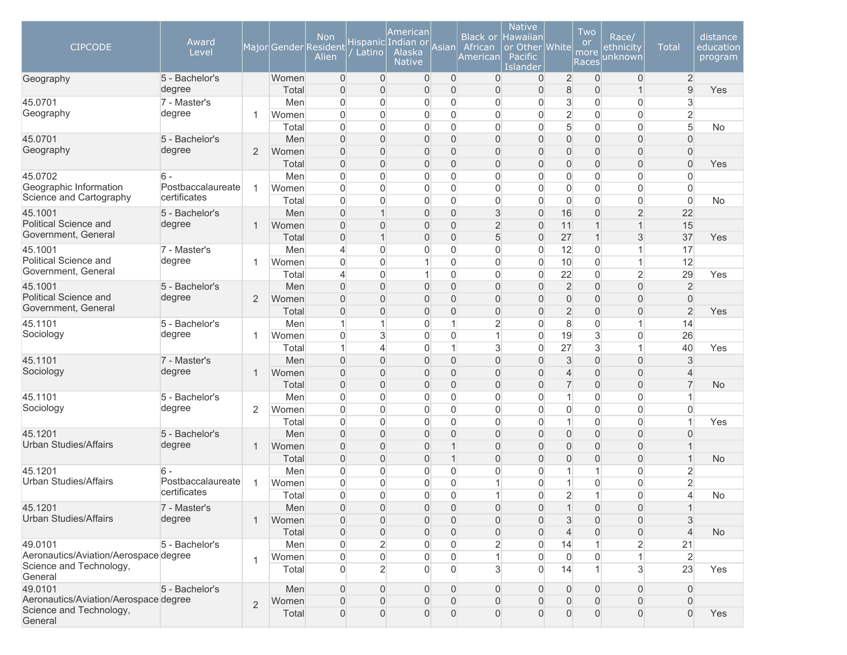| <b>CIPCODE</b>                                                              | Award<br>Level         |                | Major Gender Resident | <b>Non</b><br>Alien              | Latino                           | American<br>Hispanic Indian or <br>Alaska<br><b>Native</b> | Asian                            | <b>Black or</b><br>African<br>American | <b>Native</b><br>Hawaiian<br>or Other White<br>Pacific<br>Islander |                                  | Two<br><b>or</b><br>more<br>Races | Race/<br>ethnicity<br>unknown      | <b>Total</b>                     | distance<br>education<br>program |
|-----------------------------------------------------------------------------|------------------------|----------------|-----------------------|----------------------------------|----------------------------------|------------------------------------------------------------|----------------------------------|----------------------------------------|--------------------------------------------------------------------|----------------------------------|-----------------------------------|------------------------------------|----------------------------------|----------------------------------|
| Geography                                                                   | 5 - Bachelor's         |                | Women                 | $\overline{0}$                   | $\overline{0}$                   | $\overline{0}$                                             | $\overline{0}$                   | $\overline{0}$                         | $\mathbf{0}$                                                       | $\overline{2}$                   | $\mathbf{0}$                      | $\overline{0}$                     | $\overline{2}$                   |                                  |
| 45.0701                                                                     | degree                 |                | Total                 | $\overline{0}$                   | $\Omega$<br>$\Omega$             | $\overline{0}$                                             | $\overline{0}$                   | $\mathbf{0}$                           | $\overline{0}$                                                     | $\,8\,$                          | $\overline{0}$                    | $\mathbf{1}$<br>$\overline{0}$     | $\overline{9}$                   | Yes                              |
| Geography                                                                   | 7 - Master's<br>degree | 1              | Men<br>Women          | $\overline{0}$<br>$\Omega$       | $\Omega$                         | 0<br>0                                                     | $\overline{0}$<br>$\overline{0}$ | 0<br>$\Omega$                          | 0<br>$\Omega$                                                      | 3<br>$\overline{2}$              | $\mathbf 0$<br>$\mathbf 0$        | 0                                  | 3<br>2                           |                                  |
|                                                                             |                        |                | Total                 | $\Omega$                         | $\Omega$                         | 0                                                          | $\overline{0}$                   | $\Omega$                               | $\Omega$                                                           | $\overline{5}$                   | $\overline{0}$                    | $\overline{0}$                     | 5                                | No                               |
| 45.0701                                                                     | 5 - Bachelor's         |                | Men                   | $\Omega$                         | $\Omega$                         | 0                                                          | $\overline{0}$                   | $\Omega$                               | $\Omega$                                                           | $\overline{0}$                   | $\overline{0}$                    | $\overline{0}$                     | $\overline{0}$                   |                                  |
| Geography                                                                   | degree                 | $\overline{2}$ | Women                 | $\Omega$                         | $\Omega$                         | 0                                                          | $\Omega$                         | $\overline{0}$                         | $\Omega$                                                           | $\overline{0}$                   | $\overline{0}$                    | $\overline{0}$                     | $\overline{0}$                   |                                  |
|                                                                             |                        |                | Total                 | $\overline{0}$                   | $\Omega$                         | 0                                                          | $\overline{0}$                   | $\Omega$                               | $\Omega$                                                           | $\overline{0}$                   | $\overline{0}$                    | $\overline{0}$                     | $\overline{0}$                   | Yes                              |
| 45.0702                                                                     | $6 -$                  |                | Men                   | $\overline{0}$                   | $\overline{0}$                   | 0                                                          | $\overline{0}$                   | $\overline{0}$                         | $\Omega$                                                           | $\overline{0}$                   | $\mathbf 0$                       | $\mathsf{O}\xspace$                | $\overline{0}$                   |                                  |
| Geographic Information                                                      | Postbaccalaureate      | $\mathbf{1}$   | Women                 | $\overline{0}$                   | $\overline{0}$                   | 0                                                          | $\overline{0}$                   | $\Omega$                               | $\Omega$                                                           | $\boldsymbol{0}$                 | $\boldsymbol{0}$                  | 0                                  | $\overline{0}$                   |                                  |
| Science and Cartography                                                     | certificates           |                | Total                 | $\overline{0}$                   | 0                                | 0                                                          | $\overline{0}$                   | $\overline{0}$                         | 0                                                                  | $\overline{0}$                   | $\overline{0}$                    | $\overline{0}$                     | $\overline{0}$                   | <b>No</b>                        |
| 45.1001                                                                     | 5 - Bachelor's         |                | Men                   | $\mathbf{0}$                     | $\mathbf{1}$                     | 0                                                          | $\overline{0}$                   | 3                                      | $\Omega$                                                           | 16                               | $\mathbf 0$                       | $\overline{2}$                     | 22                               |                                  |
| Political Science and                                                       | degree                 | $\mathbf{1}$   | Women                 | $\Omega$                         | $\Omega$                         | 0                                                          | $\Omega$                         | $\overline{2}$                         | $\Omega$                                                           | 11                               | $\overline{1}$                    | $\mathbf{1}$                       | 15                               |                                  |
| Government, General                                                         |                        |                | Total                 | $\mathbf{0}$                     | $\mathbf{1}$                     | 0                                                          | $\overline{0}$                   | 5                                      | $\Omega$                                                           | 27                               | $\mathbf{1}$                      | 3                                  | 37                               | Yes                              |
| 45.1001                                                                     | 7 - Master's           |                | Men                   | $\overline{\mathcal{L}}$         | $\Omega$                         | 0                                                          | $\overline{0}$                   | 0                                      | $\Omega$                                                           | 12                               | $\mathbf 0$                       | 1                                  | 17                               |                                  |
| <b>Political Science and</b>                                                | degree                 | 1              | Women                 | $\Omega$                         | $\Omega$                         | 1                                                          | $\overline{0}$                   | $\Omega$                               | 0                                                                  | 10                               | $\overline{0}$                    | 1                                  | 12                               |                                  |
| Government, General                                                         |                        |                | Total                 | $\overline{\mathcal{L}}$         | $\overline{0}$                   | 1                                                          | $\overline{0}$                   | $\mathbf{0}$                           | $\Omega$                                                           | 22                               | $\mathbf 0$                       | $\overline{2}$                     | 29                               | Yes                              |
| 45.1001                                                                     | 5 - Bachelor's         |                | Men                   | $\Omega$                         | $\Omega$                         | 0                                                          | $\Omega$                         | $\overline{0}$                         | $\Omega$                                                           | $\overline{2}$                   | $\overline{0}$                    | $\mathbf 0$                        | $\overline{2}$                   |                                  |
| Political Science and                                                       | degree                 | $\overline{2}$ | Women                 | $\Omega$                         | $\Omega$                         | 0                                                          | $\Omega$                         | $\Omega$                               | 0                                                                  | $\overline{0}$                   | $\overline{0}$                    | $\overline{0}$                     | $\overline{0}$                   |                                  |
| Government, General                                                         |                        |                | Total                 | $\overline{0}$                   | $\Omega$                         | 0                                                          | $\overline{0}$                   | $\overline{0}$                         | 0                                                                  | $\overline{2}$                   | $\overline{0}$                    | $\overline{0}$                     | $\overline{2}$                   | Yes                              |
| 45.1101                                                                     | 5 - Bachelor's         |                | Men                   | $\mathbf{1}$                     | 1                                | 0                                                          | $\mathbf{1}$                     | $\overline{2}$                         | $\Omega$                                                           | $\,8\,$                          | $\mathbf 0$                       | $\mathbf{1}$                       | 14                               |                                  |
| Sociology                                                                   | degree                 | 1              | Women                 | $\Omega$                         | 3                                | 0                                                          | $\overline{0}$                   | 1                                      | 0                                                                  | 19                               | $\mathbf{3}$                      | $\overline{0}$                     | 26                               |                                  |
|                                                                             |                        |                | Total                 | $\mathbf{1}$                     | 4                                | 0                                                          | $\mathbf{1}$                     | 3                                      | 0                                                                  | 27                               | $\mathbf{3}$                      | $\mathbf{1}$                       | 40                               | Yes                              |
| 45.1101                                                                     | 7 - Master's           |                | Men                   | $\Omega$                         | $\Omega$                         | 0                                                          | $\overline{0}$                   | $\overline{0}$                         | 0                                                                  | $\sqrt{3}$                       | $\mathbf 0$                       | $\mathbf 0$                        | 3                                |                                  |
| Sociology                                                                   | degree                 | $\mathbf{1}$   | Women                 | $\Omega$                         | $\Omega$                         | 0                                                          | $\Omega$                         | $\Omega$                               | 0                                                                  | $\overline{4}$                   | $\overline{0}$                    | $\overline{0}$                     | $\overline{4}$                   |                                  |
|                                                                             |                        |                | Total                 | $\mathbf{0}$                     | $\Omega$                         | 0                                                          | $\overline{0}$                   | $\overline{0}$                         | 0                                                                  | $\overline{7}$                   | $\mathbf 0$                       | $\mathsf{O}\xspace$                | $\overline{7}$                   | <b>No</b>                        |
| 45.1101<br>Sociology                                                        | 5 - Bachelor's         |                | Men                   | $\Omega$                         | $\Omega$                         | 0                                                          | $\overline{0}$                   | $\Omega$                               | $\mathbf{0}$                                                       | $\mathbf{1}$                     | $\mathbf 0$                       | $\overline{0}$                     | 1                                |                                  |
|                                                                             | degree                 | 2              | Women                 | $\Omega$<br>$\Omega$             | $\Omega$<br>$\overline{0}$       | 0<br>0                                                     | $\overline{0}$<br>$\overline{0}$ | $\Omega$<br>$\Omega$                   | 0<br>$\mathbf{0}$                                                  | $\boldsymbol{0}$<br>$\mathbf{1}$ | $\mathbf 0$<br>$\mathbf 0$        | $\overline{0}$<br>$\mathbf 0$      | $\overline{0}$<br>1              |                                  |
| 45.1201                                                                     | 5 - Bachelor's         |                | Total<br>Men          | $\Omega$                         | $\Omega$                         | 0                                                          | $\Omega$                         | $\Omega$                               | $\Omega$                                                           | $\overline{0}$                   | $\overline{0}$                    | $\overline{0}$                     | $\Omega$                         | Yes                              |
| <b>Urban Studies/Affairs</b>                                                | degree                 | $\mathbf{1}$   | Women                 | $\mathbf{0}$                     | $\Omega$                         | 0                                                          | $\overline{1}$                   | $\Omega$                               | 0                                                                  | $\overline{0}$                   | $\overline{0}$                    | $\overline{0}$                     |                                  |                                  |
|                                                                             |                        |                | Total                 | $\overline{0}$                   | $\overline{0}$                   | 0                                                          | $\mathbf{1}$                     | $\overline{0}$                         | $\Omega$                                                           | $\overline{0}$                   | $\mathbf 0$                       | $\mathsf{O}\xspace$                |                                  | <b>No</b>                        |
| 45.1201                                                                     | 6 -                    |                | Men                   | $\overline{0}$                   | $\Omega$                         | 0                                                          | $\overline{0}$                   | 0                                      | $\Omega$                                                           | $\mathbf{1}$                     | $\mathbf 1$                       | 0                                  | $\overline{c}$                   |                                  |
| <b>Urban Studies/Affairs</b>                                                | Postbaccalaureate      | $\mathbf{1}$   | Women                 | $\overline{0}$                   | 0                                | 0                                                          | $\overline{0}$                   |                                        | 0                                                                  | $\mathbf{1}$                     | 0                                 | $\overline{0}$                     | $\overline{2}$                   |                                  |
|                                                                             | certificates           |                | Total                 | $\Omega$                         | $\Omega$                         | 0                                                          | $\Omega$                         | 1                                      | $\overline{0}$                                                     | $\overline{2}$                   | $\mathbf 1$                       | $\overline{0}$                     | $\overline{\mathcal{L}}$         | No                               |
| 45.1201                                                                     | 7 - Master's           |                | Men                   | $\overline{0}$                   | $\overline{0}$                   | 0                                                          | $\overline{0}$                   | $\boldsymbol{0}$                       | 0                                                                  | $\mathbf{1}$                     | $\boldsymbol{0}$                  | 0                                  | $\mathbf{1}$                     |                                  |
| <b>Urban Studies/Affairs</b>                                                | degree                 | $\mathbf{1}$   | Women                 | $\mathbf{0}$                     | $\overline{0}$                   | 0                                                          | $\Omega$                         | $\mathbf 0$                            | 0                                                                  | 3                                | $\mathbf 0$                       | 0                                  | 3                                |                                  |
|                                                                             |                        |                | Total                 | $\overline{0}$                   | $\overline{0}$                   | 0                                                          | $\overline{0}$                   | $\overline{0}$                         | $\mathbf{0}$                                                       | $\overline{4}$                   | $\mathbf{0}$                      | $\boldsymbol{0}$                   | $\overline{4}$                   | <b>No</b>                        |
| 49.0101                                                                     | 5 - Bachelor's         |                | Men                   | $\mathbf 0$                      | $\overline{2}$                   | 0                                                          | $\overline{0}$                   | $\overline{c}$                         | 0                                                                  | 14                               |                                   | $\overline{2}$                     | 21                               |                                  |
| Aeronautics/Aviation/Aerospace degree                                       |                        | $\mathbf{1}$   | Women                 | $\overline{0}$                   | $\overline{0}$                   | 0                                                          | $\overline{0}$                   |                                        | 0                                                                  | $\overline{0}$                   | $\boldsymbol{0}$                  | $\mathbf{1}$                       | $\overline{2}$                   |                                  |
| Science and Technology,<br>General                                          |                        |                | Total                 | $\overline{0}$                   | $\overline{2}$                   | $\overline{0}$                                             | $\overline{0}$                   | 3                                      | $\Omega$                                                           | 14                               | $\mathbf 1$                       | $\mathbf{3}$                       | 23                               | Yes                              |
| 49.0101                                                                     | 5 - Bachelor's         |                | Men                   | $\overline{0}$                   | $\overline{0}$                   | 0                                                          | $\Omega$                         | $\mathbf{0}$                           | $\mathbf{0}$                                                       | $\overline{0}$                   | $\mathbf{0}$                      | 0                                  | $\overline{0}$                   |                                  |
| Aeronautics/Aviation/Aerospace degree<br>Science and Technology,<br>General |                        | $\overline{2}$ | Women<br>Total        | $\overline{0}$<br>$\overline{0}$ | $\overline{0}$<br>$\overline{0}$ | 0<br>$\overline{0}$                                        | $\Omega$<br>$\overline{0}$       | $\mathbf{0}$<br>$\mathbf{0}$           | 0<br>0                                                             | $\overline{0}$<br>$\overline{0}$ | $\mathbf 0$<br>$\mathbf{0}$       | $\boldsymbol{0}$<br>$\overline{0}$ | $\overline{0}$<br>$\overline{0}$ | Yes                              |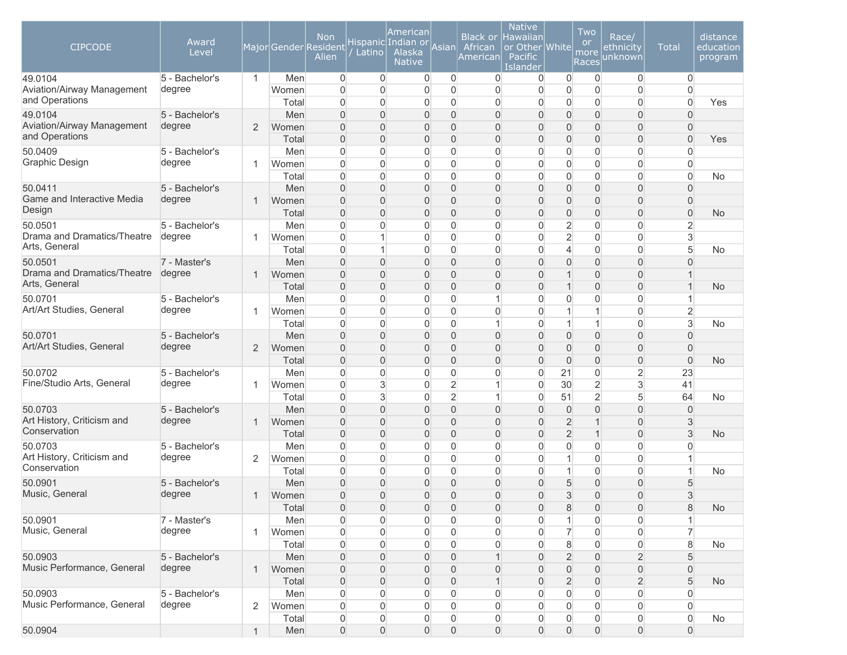| <b>CIPCODE</b>                                          | Award<br>Level           |                |              | <b>Non</b><br>Major Gender Resident<br>Alien | Latino                           | American<br>Hispanic Indian or<br>Alaska<br><b>Native</b> | Asian                            | <b>Black or</b><br>African<br>Americanl | <b>Native</b><br><b>Hawaiian</b><br>or Other White<br>Pacific<br>Islander |                                  | Two<br><b>or</b><br>more<br>Races | Race/<br><u>ethnicity</u><br>unknown  | <b>Total</b>                                       | distance<br>education<br>program |
|---------------------------------------------------------|--------------------------|----------------|--------------|----------------------------------------------|----------------------------------|-----------------------------------------------------------|----------------------------------|-----------------------------------------|---------------------------------------------------------------------------|----------------------------------|-----------------------------------|---------------------------------------|----------------------------------------------------|----------------------------------|
| 49.0104<br>Aviation/Airway Management<br>and Operations | 5 - Bachelor's<br>degree | $\mathbf{1}$   | Men<br>Women | $\overline{0}$<br>$\overline{0}$             | $\overline{0}$<br>$\Omega$       | $\overline{0}$<br>$\overline{0}$                          | $\overline{0}$<br>$\overline{0}$ | $\overline{0}$<br>$\mathbf{0}$          | 0<br>$\overline{0}$                                                       | $\mathbf 0$<br>$\overline{0}$    | 0<br>$\mathbf 0$                  | $\overline{0}$<br>0                   | $\overline{0}$<br>$\overline{0}$                   |                                  |
|                                                         |                          |                | Total        | $\overline{0}$                               | $\mathbf{0}$                     | $\overline{0}$                                            | $\overline{0}$                   | 0                                       | 0                                                                         | $\overline{0}$                   | $\overline{0}$                    | $\overline{0}$                        | $\overline{0}$                                     | Yes                              |
| 49.0104<br>Aviation/Airway Management<br>and Operations | 5 - Bachelor's<br>degree | $\overline{2}$ | Men<br>Women | $\overline{0}$<br>$\Omega$<br>$\overline{0}$ | $\Omega$<br>$\Omega$<br>$\Omega$ | 0<br>0                                                    | $\overline{0}$<br>$\overline{0}$ | $\Omega$<br>$\Omega$                    | 0<br>0                                                                    | $\overline{0}$<br>$\overline{0}$ | $\mathbf 0$<br>$\mathbf 0$        | 0<br>$\overline{0}$<br>$\overline{0}$ | $\overline{0}$<br>$\overline{0}$<br>$\overline{0}$ |                                  |
| 50.0409                                                 | 5 - Bachelor's           |                | Total<br>Men | $\overline{0}$                               | $\mathbf{0}$                     | 0<br>0                                                    | $\overline{0}$<br>$\overline{0}$ | $\overline{0}$<br>$\mathbf{0}$          | 0<br>0                                                                    | $\mathbf 0$<br>$\mathbf 0$       | $\mathbf 0$<br>$\mathbf 0$        | 0                                     | $\mathbf 0$                                        | Yes                              |
| Graphic Design                                          | degree                   | 1              | Women        | $\overline{0}$                               | $\overline{0}$                   | $\overline{0}$                                            | $\overline{0}$                   | $\mathbf{0}$                            | 0                                                                         | $\overline{0}$                   | $\mathbf 0$                       | 0                                     | $\overline{0}$                                     |                                  |
|                                                         |                          |                | Total        | $\overline{0}$                               | $\overline{0}$                   | $\overline{0}$                                            | $\overline{0}$                   | $\overline{0}$                          | $\mathbf{0}$                                                              | $\overline{0}$                   | $\mathbf 0$                       | $\overline{0}$                        | $\overline{0}$                                     | No                               |
| 50.0411                                                 | 5 - Bachelor's           |                | Men          | $\overline{0}$                               | $\overline{0}$                   | 0                                                         | $\overline{0}$                   | $\overline{0}$                          | 0                                                                         | $\mathsf{O}\xspace$              | $\mathbf 0$                       | $\overline{0}$                        | $\mathbf{0}$                                       |                                  |
| Game and Interactive Media                              | degree                   | $\mathbf 1$    | Women        | $\overline{0}$                               | $\overline{0}$                   | 0                                                         | $\overline{0}$                   | $\overline{0}$                          | 0                                                                         | $\mathsf{O}\xspace$              | $\overline{0}$                    | $\boldsymbol{0}$                      | $\overline{0}$                                     |                                  |
| Design                                                  |                          |                | Total        | $\overline{0}$                               | 0                                | 0                                                         | $\mathbf 0$                      | $\overline{0}$                          | 0                                                                         | $\mathsf{O}\xspace$              | $\mathbf 0$                       | 0                                     | $\mathbf 0$                                        | <b>No</b>                        |
| 50.0501                                                 | 5 - Bachelor's           |                | Men          | $\overline{0}$                               | 0                                | $\overline{0}$                                            | $\overline{0}$                   | $\Omega$                                | 0                                                                         | $\overline{2}$                   | $\mathbf 0$                       | $\overline{0}$                        | $\overline{2}$                                     |                                  |
| Drama and Dramatics/Theatre                             | degree                   | 1              | Women        | $\Omega$                                     | $\overline{1}$                   | $\overline{0}$                                            | $\overline{0}$                   | $\mathbf{0}$                            | 0                                                                         | $\overline{2}$                   | $\mathbf{0}$                      | $\Omega$                              | 3                                                  |                                  |
| Arts, General                                           |                          |                | Total        | $\Omega$                                     |                                  | $\overline{0}$                                            | $\overline{0}$                   | $\mathbf{0}$                            | 0                                                                         | $\overline{4}$                   | $\mathbf 0$                       | 0                                     | 5                                                  | <b>No</b>                        |
| 50.0501                                                 | 7 - Master's             |                | Men          | $\overline{0}$                               | $\Omega$                         | 0                                                         | $\boldsymbol{0}$                 | $\Omega$                                | 0                                                                         | $\overline{0}$                   | $\overline{0}$                    | $\overline{0}$                        | $\Omega$                                           |                                  |
| Drama and Dramatics/Theatre                             | degree                   | 1              | Women        | $\Omega$                                     | $\Omega$                         | 0                                                         | $\overline{0}$                   | $\Omega$                                | 0                                                                         | $\mathbf 1$                      | $\mathbf 0$                       | $\overline{0}$                        | 1                                                  |                                  |
| Arts, General                                           |                          |                | Total        | $\overline{0}$                               | $\overline{0}$                   | 0                                                         | $\overline{0}$                   | $\Omega$                                | 0                                                                         | $\overline{1}$                   | $\overline{0}$                    | $\overline{0}$                        | $\overline{1}$                                     | <b>No</b>                        |
| 50.0701                                                 | 5 - Bachelor's           |                | Men          | $\overline{0}$                               | $\mathbf{0}$                     | $\overline{0}$                                            | $\overline{0}$                   |                                         | 0                                                                         | $\overline{0}$                   | $\mathbf{0}$                      | 0                                     | $\mathbf{1}$                                       |                                  |
| Art/Art Studies, General                                | degree                   | 1              | Women        | $\overline{0}$                               | $\overline{0}$                   | $\overline{0}$                                            | $\overline{0}$                   | $\mathbf{0}$                            | 0                                                                         | 1                                | $\overline{1}$                    | 0                                     | $\overline{2}$                                     |                                  |
|                                                         |                          |                | Total        | $\overline{0}$                               | $\overline{0}$                   | 0                                                         | $\overline{0}$                   | 1                                       | 0                                                                         | $\mathbf{1}$                     | $\mathbf{1}$                      | $\boldsymbol{0}$                      | 3                                                  | No                               |
| 50.0701                                                 | 5 - Bachelor's           |                | Men          | $\overline{0}$                               | $\Omega$                         | 0                                                         | $\overline{0}$                   | $\overline{0}$                          | 0                                                                         | $\mathsf{O}\xspace$              | $\mathbf 0$                       | $\overline{0}$                        | $\overline{0}$                                     |                                  |
| Art/Art Studies, General                                | degree                   | 2              | Women        | $\mathbf{0}$                                 | 0                                | 0                                                         | $\overline{0}$                   | $\overline{0}$                          | 0                                                                         | $\mathsf{O}\xspace$              | $\mathbf 0$                       | $\overline{0}$                        | $\overline{0}$                                     |                                  |
|                                                         |                          |                | Total        | $\overline{0}$                               | $\overline{0}$                   | 0                                                         | $\mathbf 0$                      | $\overline{0}$                          | 0                                                                         | $\mathbf 0$                      | $\mathbf 0$                       | $\boldsymbol{0}$                      | $\mathbf 0$                                        | No                               |
| 50.0702                                                 | 5 - Bachelor's           |                | Men          | $\overline{0}$                               | 0                                | 0                                                         | $\overline{0}$                   | 0                                       | 0                                                                         | 21                               | $\mathbf 0$                       | $\overline{c}$                        | 23                                                 |                                  |
| Fine/Studio Arts, General                               | degree                   | 1              | Women        | $\Omega$                                     | 3                                | 0                                                         | $\overline{2}$                   |                                         | $\mathbf{0}$                                                              | 30                               | $\overline{2}$                    | 3                                     | 41                                                 |                                  |
|                                                         |                          |                | Total        | $\Omega$                                     | 3                                | 0                                                         | $\overline{2}$                   |                                         | 0                                                                         | 51                               | $\overline{2}$                    | 5                                     | 64                                                 | <b>No</b>                        |
| 50.0703<br>Art History, Criticism and                   | 5 - Bachelor's           |                | Men          | $\mathbf{0}$                                 | $\overline{0}$                   | 0                                                         | $\overline{0}$                   | $\Omega$                                | 0                                                                         | $\mathsf{O}\xspace$              | $\overline{0}$                    | $\overline{0}$                        | $\mathbf{0}$                                       |                                  |
| Conservation                                            | degree                   | $\mathbf 1$    | Women        | $\Omega$                                     | $\Omega$                         | 0                                                         | $\overline{0}$                   | $\overline{0}$                          | 0                                                                         | $\overline{2}$                   | $\mathbf{1}$                      | $\overline{0}$                        | 3                                                  |                                  |
|                                                         |                          |                | Total        | $\overline{0}$                               | $\Omega$                         | 0                                                         | $\overline{0}$                   | $\overline{0}$                          | 0                                                                         | $\overline{2}$                   | $\mathbf{1}$                      | $\overline{0}$                        | 3                                                  | <b>No</b>                        |
| 50.0703<br>Art History, Criticism and                   | 5 - Bachelor's<br>degree | 2              | Men          | $\overline{0}$<br>$\overline{0}$             | $\mathbf{0}$                     | $\overline{0}$                                            | $\overline{0}$<br>$\overline{0}$ | $\Omega$<br>$\overline{0}$              | 0                                                                         | $\overline{0}$<br>$\mathbf{1}$   | $\mathbf 0$<br>$\mathbf 0$        | 0<br>$\overline{0}$                   | $\Omega$<br>1                                      |                                  |
| Conservation                                            |                          |                | Women        | $\overline{0}$                               | $\overline{0}$<br>$\overline{0}$ | 0                                                         | $\overline{0}$                   | $\overline{0}$                          | $\overline{0}$<br>$\overline{0}$                                          | $\mathbf{1}$                     |                                   |                                       | $\mathbf{1}$                                       |                                  |
| 50.0901                                                 | 5 - Bachelor's           |                | Total<br>Men | $\mathbf{0}$                                 | $\Omega$                         | 0<br>0                                                    | $\overline{0}$                   | $\overline{0}$                          | 0                                                                         | 5                                | $\mathbf 0$<br>$\overline{0}$     | $\boldsymbol{0}$<br>0                 | 5                                                  | No                               |
| Music, General                                          | degree                   | 1              | Women        | $\overline{0}$                               | $\Omega$                         | 0                                                         | $\overline{0}$                   | $\Omega$                                | 0                                                                         | 3                                | $\overline{0}$                    | $\overline{0}$                        | 3                                                  |                                  |
|                                                         |                          |                | Total        | $\theta$                                     | $\mathbf 0$                      | $\mathbf 0$                                               | $\boldsymbol{0}$                 | $\overline{0}$                          | $\mathbf 0$                                                               | $\,8\,$                          | $\mathsf{O}\xspace$               | 0                                     | $\,8\,$                                            | <b>No</b>                        |
| 50.0901                                                 | 7 - Master's             |                | Men          | $\mathbf 0$                                  | $\overline{0}$                   | 0                                                         | $\boldsymbol{0}$                 | 0                                       | 0                                                                         | 1                                | $\mathbf 0$                       | 0                                     |                                                    |                                  |
| Music, General                                          | degree                   | $\mathbf{1}$   | Women        | $\mathbf 0$                                  | $\overline{0}$                   | $\boldsymbol{0}$                                          | $\boldsymbol{0}$                 | 0                                       | 0                                                                         | $\overline{7}$                   | $\mathbf 0$                       | $\boldsymbol{0}$                      | $\overline{7}$                                     |                                  |
|                                                         |                          |                | Total        | $\mathbf 0$                                  | $\overline{0}$                   | 0                                                         | $\mathbf 0$                      | 0                                       | $\overline{0}$                                                            | $\bf 8$                          | $\mathbf 0$                       | $\boldsymbol{0}$                      | 8                                                  | No                               |
| 50.0903                                                 | 5 - Bachelor's           |                | Men          | $\mathbf 0$                                  | 0                                | $\mathbf 0$                                               | $\mathbf 0$                      |                                         | $\overline{0}$                                                            | $\overline{2}$                   | $\mathsf{O}$                      | $\overline{c}$                        | 5                                                  |                                  |
| Music Performance, General                              | degree                   | $\mathbf{1}$   | Women        | $\overline{0}$                               | 0                                | 0                                                         | $\boldsymbol{0}$                 | $\mathbf 0$                             | 0                                                                         | $\mathbf 0$                      | $\mathbf 0$                       | $\mathsf{O}\xspace$                   | $\overline{0}$                                     |                                  |
|                                                         |                          |                | Total        | $\mathbf 0$                                  | $\overline{0}$                   | 0                                                         | $\mathbf 0$                      |                                         | 0                                                                         | $\overline{2}$                   | $\mathbf 0$                       | $\overline{c}$                        | 5                                                  | <b>No</b>                        |
| 50.0903                                                 | 5 - Bachelor's           |                | Men          | $\overline{0}$                               | 0                                | 0                                                         | $\boldsymbol{0}$                 | 0                                       | $\overline{0}$                                                            | $\boldsymbol{0}$                 | $\mathbf 0$                       | $\boldsymbol{0}$                      | $\overline{0}$                                     |                                  |
| Music Performance, General                              | degree                   | $\overline{2}$ | Women        | $\mathsf{O}\xspace$                          | 0                                | $\overline{0}$                                            | $\boldsymbol{0}$                 | 0                                       | $\overline{0}$                                                            | $\boldsymbol{0}$                 | $\mathbf 0$                       | 0                                     | $\overline{0}$                                     |                                  |
|                                                         |                          |                | Total        | $\boldsymbol{0}$                             | 0                                | $\boldsymbol{0}$                                          | 0                                | 0                                       | 0                                                                         | 0                                | $\mathsf{O}\xspace$               | 0                                     | $\boldsymbol{0}$                                   | No                               |
| 50.0904                                                 |                          |                | Men          | $\boldsymbol{0}$                             | $\boldsymbol{0}$                 | $\mathsf{O}\xspace$                                       | $\boldsymbol{0}$                 | $\mathsf{O}\xspace$                     | 0                                                                         | $\mathsf{O}\xspace$              | $\mathsf{O}$                      | $\mathsf{O}\xspace$                   | $\mathsf{O}\xspace$                                |                                  |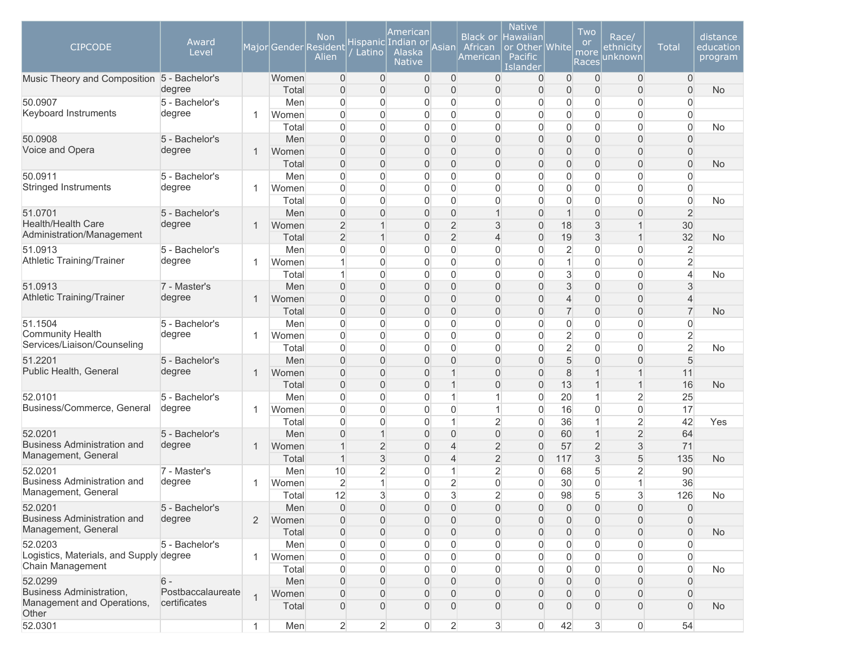| <b>CIPCODE</b>                              | Award<br>Level                    |                | Major Gender Resident | <b>Non</b><br>Alien  | Latino                           | American<br>Hispanic Indian or<br>Alaska<br><b>Native</b> | Asian                          | <b>Black or</b><br>African<br>American | <b>Native</b><br>Hawaiian<br>or Other White<br>Pacific<br>Islander |                          | Two<br><b>or</b><br>more<br>Races | Race/<br><u>ethnicity</u><br>unknown | <b>Total</b>        | distance<br>education<br>program |
|---------------------------------------------|-----------------------------------|----------------|-----------------------|----------------------|----------------------------------|-----------------------------------------------------------|--------------------------------|----------------------------------------|--------------------------------------------------------------------|--------------------------|-----------------------------------|--------------------------------------|---------------------|----------------------------------|
| Music Theory and Composition 5 - Bachelor's |                                   |                | Women                 | $\overline{0}$       | $\mathbf 0$                      | $\mathbf 0$                                               | $\overline{0}$                 | $\overline{0}$                         | $\overline{0}$                                                     | $\overline{0}$           | $\overline{0}$                    | $\mathbf 0$                          | $\overline{0}$      |                                  |
|                                             | degree                            |                | Total                 | $\mathbf{0}$         | $\overline{0}$                   | $\mathbf 0$                                               | $\mathbf{0}$                   | $\Omega$                               | 0                                                                  | 0                        | $\overline{0}$                    | $\overline{0}$                       | $\overline{0}$      | No                               |
| 50.0907                                     | 5 - Bachelor's                    |                | Men                   | 0                    | $\overline{0}$                   | $\mathbf 0$                                               | $\overline{0}$                 | $\mathbf 0$                            | 0                                                                  | 0                        | $\overline{0}$                    | $\overline{0}$                       | 0                   |                                  |
| Keyboard Instruments                        | degree                            | 1              | Women                 | $\Omega$             | $\overline{0}$                   | $\mathbf 0$                                               | $\overline{0}$                 | $\mathbf 0$                            | 0                                                                  | 0                        | $\mathbf 0$                       | $\boldsymbol{0}$                     | $\mathbf{0}$        |                                  |
| 50.0908                                     | 5 - Bachelor's                    |                | Total                 | $\Omega$<br>$\Omega$ | $\overline{0}$<br>$\overline{0}$ | $\mathbf 0$<br>$\overline{0}$                             | $\overline{0}$                 | $\Omega$<br>$\Omega$                   | $\Omega$<br>$\Omega$                                               | 0                        | $\mathbf 0$                       | $\overline{0}$                       | $\Omega$            | <b>No</b>                        |
| Voice and Opera                             | degree                            | 1              | Men                   | $\Omega$             | 0                                | $\overline{0}$                                            | $\overline{0}$<br>$\mathbf{0}$ | $\mathbf{0}$                           | $\Omega$                                                           | $\mathbf{0}$<br>$\Omega$ | $\mathbf 0$<br>$\mathbf{0}$       | $\mathsf{O}\xspace$                  | 0<br>$\overline{0}$ |                                  |
|                                             |                                   |                | Women<br>Total        | $\Omega$             | $\overline{0}$                   | $\overline{0}$                                            | $\Omega$                       | $\Omega$                               | $\Omega$                                                           | $\Omega$                 | $\overline{0}$                    | $\mathbf 0$<br>$\overline{0}$        | $\overline{0}$      | No                               |
| 50.0911                                     | 5 - Bachelor's                    |                | Men                   | 0                    | $\overline{0}$                   | $\mathbf 0$                                               | $\overline{0}$                 | $\mathbf 0$                            | $\Omega$                                                           | $\Omega$                 | $\overline{0}$                    | $\overline{0}$                       | $\overline{0}$      |                                  |
| <b>Stringed Instruments</b>                 | degree                            | 1              | Women                 | $\overline{0}$       | $\overline{0}$                   | $\mathbf 0$                                               | $\overline{0}$                 | $\mathbf 0$                            | 0                                                                  | $\overline{0}$           | $\mathbf 0$                       | $\boldsymbol{0}$                     | $\overline{0}$      |                                  |
|                                             |                                   |                | Total                 | $\overline{0}$       | $\overline{0}$                   | $\overline{0}$                                            | $\overline{0}$                 | $\mathbf 0$                            | 0                                                                  | $\overline{0}$           | $\mathbf 0$                       | $\overline{0}$                       | $\overline{0}$      | <b>No</b>                        |
| 51.0701                                     | 5 - Bachelor's                    |                | Men                   | $\mathbf{0}$         | $\overline{0}$                   | $\overline{0}$                                            | $\overline{0}$                 | 1                                      | $\Omega$                                                           | $\overline{1}$           | $\mathsf{O}\xspace$               | $\mathbf 0$                          | $\overline{2}$      |                                  |
| Health/Health Care                          | degree                            | 1              | Women                 | $\overline{2}$       | $\mathbf{1}$                     | $\overline{0}$                                            | $\overline{2}$                 | 3                                      | $\Omega$                                                           | 18                       | 3                                 | $\mathbf{1}$                         | 30                  |                                  |
| Administration/Management                   |                                   |                | Total                 | $\overline{2}$       | $\mathbf{1}$                     | $\overline{0}$                                            | $\overline{2}$                 | $\overline{4}$                         | $\Omega$                                                           | 19                       | 3                                 | $\mathbf{1}$                         | 32                  | <b>No</b>                        |
| 51.0913                                     | 5 - Bachelor's                    |                | Men                   | $\Omega$             | $\overline{0}$                   | $\mathbf 0$                                               | $\overline{0}$                 | $\mathbf{0}$                           | $\mathbf{0}$                                                       | $\overline{2}$           | $\overline{0}$                    | $\overline{0}$                       | $\overline{c}$      |                                  |
| Athletic Training/Trainer                   | degree                            | 1              | Women                 | 1                    | $\overline{0}$                   | $\mathbf 0$                                               | $\overline{0}$                 | $\Omega$                               | $\Omega$                                                           | $\mathbf 1$              | $\mathbf 0$                       | $\boldsymbol{0}$                     | $\overline{2}$      |                                  |
|                                             |                                   |                | Total                 | 1                    | $\overline{0}$                   | $\mathbf 0$                                               | $\overline{0}$                 | $\Omega$                               | $\Omega$                                                           | 3                        | $\overline{0}$                    | $\overline{0}$                       | 4                   | <b>No</b>                        |
| 51.0913                                     | 7 - Master's                      |                | Men                   | $\Omega$             | $\Omega$                         | $\overline{0}$                                            | $\mathbf{0}$                   | $\Omega$                               | $\Omega$                                                           | 3                        | $\overline{0}$                    | $\mathsf{O}\xspace$                  | 3                   |                                  |
| <b>Athletic Training/Trainer</b>            | degree                            | 1              | Women                 | $\Omega$             | $\overline{0}$                   | $\overline{0}$                                            | $\Omega$                       | $\Omega$                               | $\Omega$                                                           | $\overline{4}$           | $\overline{0}$                    | $\mathsf{O}\xspace$                  | 4                   |                                  |
|                                             |                                   |                | Total                 | $\Omega$             | 0                                | $\overline{0}$                                            | $\Omega$                       | $\Omega$                               | $\Omega$                                                           | $\overline{7}$           | $\overline{0}$                    | $\mathbf{0}$                         | $\overline{7}$      | <b>No</b>                        |
| 51.1504                                     | 5 - Bachelor's                    |                | Men                   | 0                    | $\overline{0}$                   | $\mathbf 0$                                               | $\overline{0}$                 | $\mathbf 0$                            | $\Omega$                                                           | $\overline{0}$           | $\mathbf 0$                       | $\boldsymbol{0}$                     | $\overline{0}$      |                                  |
| <b>Community Health</b>                     | degree                            | 1              | Women                 | $\Omega$             | $\overline{0}$                   | 0                                                         | $\overline{0}$                 | $\overline{0}$                         | $\Omega$                                                           | $\overline{2}$           | $\mathbf 0$                       | $\boldsymbol{0}$                     | $\overline{2}$      |                                  |
| Services/Liaison/Counseling                 |                                   |                | Total                 | $\overline{0}$       | $\overline{0}$                   | $\mathbf 0$                                               | $\overline{0}$                 | $\mathbf 0$                            | $\overline{0}$                                                     | $\overline{2}$           | $\overline{0}$                    | $\overline{0}$                       | $\overline{2}$      | No                               |
| 51.2201                                     | 5 - Bachelor's                    |                | Men                   | $\mathbf{0}$         | $\overline{0}$                   | $\overline{0}$                                            | $\Omega$                       | $\overline{0}$                         | $\Omega$                                                           | 5                        | $\overline{0}$                    | $\mathbf 0$                          | 5                   |                                  |
| Public Health, General                      | degree                            | 1              | Women                 | $\Omega$             | $\overline{0}$                   | $\overline{0}$                                            | 1                              | $\mathbf{0}$                           | $\Omega$                                                           | 8                        | $\overline{1}$                    | $\mathbf{1}$                         | 11                  |                                  |
|                                             |                                   |                | Total                 | $\mathbf{0}$         | 0                                | $\overline{0}$                                            | $\mathbf 1$                    | $\overline{0}$                         | 0                                                                  | 13                       | $\mathbf{1}$                      | $\mathbf{1}$                         | 16                  | <b>No</b>                        |
| 52.0101                                     | 5 - Bachelor's                    |                | Men                   | $\Omega$             | $\overline{0}$                   | $\mathbf 0$                                               | 1                              | 1                                      | $\mathbf{0}$                                                       | 20                       | $\mathbf{1}$                      | $\overline{2}$                       | 25                  |                                  |
| Business/Commerce, General                  | degree                            | 1              | Women                 | $\Omega$             | $\overline{0}$                   | 0                                                         | $\Omega$                       | 1                                      | $\Omega$                                                           | 16                       | $\mathbf 0$                       | $\boldsymbol{0}$                     | 17                  |                                  |
|                                             |                                   |                | Total                 | $\Omega$             | $\overline{0}$                   | $\mathbf 0$                                               | 1                              | $\overline{2}$                         | $\Omega$                                                           | 36                       | $\mathbf{1}$                      | $\overline{2}$                       | 42                  | Yes                              |
| 52.0201                                     | 5 - Bachelor's                    |                | Men                   | $\Omega$             | $\mathbf{1}$                     | $\overline{0}$                                            | $\Omega$                       | $\overline{0}$                         | $\Omega$                                                           | 60                       | $\mathbf{1}$                      | $\overline{2}$                       | 64                  |                                  |
| <b>Business Administration and</b>          | degree                            | 1              | Women                 |                      | $\overline{2}$                   | 0                                                         | $\overline{4}$                 | $\overline{2}$                         | $\Omega$                                                           | 57                       | $\overline{2}$                    | $\sqrt{3}$                           | 71                  |                                  |
| Management, General                         |                                   |                | Total                 | $\mathbf 1$          | 3                                | $\overline{0}$                                            | 4                              | $\overline{2}$                         | 0                                                                  | 117                      | 3                                 | 5                                    | 135                 | <b>No</b>                        |
| 52.0201                                     | 7 - Master's                      |                | Men                   | 10                   | $\overline{2}$                   | $\mathbf 0$                                               | 1                              | $\overline{2}$                         | 0                                                                  | 68                       | 5                                 | $\overline{2}$                       | 90                  |                                  |
| <b>Business Administration and</b>          | degree                            | 1              | Women                 | $\overline{2}$       | 1                                | $\mathbf 0$                                               | $\overline{c}$                 | $\mathbf 0$                            | 0                                                                  | 30                       | $\mathbf 0$                       | $\mathbf{1}$                         | 36                  |                                  |
| Management, General                         |                                   |                | Total                 | 12                   | 3                                | $\overline{0}$                                            | 3                              | $\overline{2}$                         | $\Omega$                                                           | 98                       | 5                                 | 3                                    | 126                 | No                               |
| 52.0201                                     | 5 - Bachelor's                    |                | Men                   | $\overline{0}$       | $\mathbf 0$                      | $\mathbf 0$                                               | $\overline{0}$                 | $\overline{0}$                         | 0                                                                  | $\mathbf 0$              | $\overline{0}$                    | $\mathbf 0$                          | $\overline{0}$      |                                  |
| <b>Business Administration and</b>          | degree                            | 2              | Women                 | $\mathbf{0}$         | 0                                | $\overline{0}$                                            | $\Omega$                       | $\mathbf{0}$                           | 0                                                                  | $\mathbf{0}$             | $\mathbf 0$                       | $\mathsf{O}\xspace$                  | $\overline{0}$      |                                  |
| Management, General                         |                                   |                | Total                 | $\overline{0}$       | $\overline{0}$                   | $\mathbf 0$                                               | $\overline{0}$                 | $\mathbf{0}$                           | 0                                                                  | $\mathbf{0}$             | $\mathbf 0$                       | $\mathsf{O}\xspace$                  | $\overline{0}$      | No                               |
| 52.0203                                     | 5 - Bachelor's                    |                | Men                   | $\overline{0}$       | $\overline{0}$                   | 0                                                         | $\overline{0}$                 | $\overline{0}$                         | 0                                                                  | $\Omega$                 | $\overline{0}$                    | $\overline{0}$                       | 0                   |                                  |
| Logistics, Materials, and Supply degree     |                                   | 1              | Women                 | $\Omega$             | $\overline{0}$                   | 0                                                         | $\overline{0}$                 | $\Omega$                               | $\overline{0}$                                                     | $\overline{0}$           | $\overline{0}$                    | $\overline{0}$                       | $\overline{0}$      |                                  |
| Chain Management                            |                                   |                | Total                 | $\overline{0}$       | $\overline{0}$                   | $\overline{0}$                                            | $\overline{0}$                 | $\overline{0}$                         | $\Omega$                                                           | $\overline{0}$           | $\mathbf 0$                       | $\overline{0}$                       | $\Omega$            | No                               |
| 52.0299                                     | $6 -$                             |                | Men                   | $\overline{0}$       | $\Omega$                         | $\boldsymbol{0}$                                          | $\Omega$                       | $\Omega$                               | $\Omega$                                                           | $\Omega$                 | $\overline{0}$                    | $\mathbf 0$                          | $\overline{0}$      |                                  |
| <b>Business Administration,</b>             | Postbaccalaureate<br>certificates | $\overline{1}$ | Women                 | 0                    | 0                                | $\overline{0}$                                            | $\Omega$                       | $\Omega$                               | $\Omega$                                                           | $\Omega$                 | $\mathbf{0}$                      | $\mathbf{0}$                         | 0                   |                                  |
| Management and Operations,<br>Other         |                                   |                | Total                 | $\overline{0}$       | 0                                | $\overline{0}$                                            | $\Omega$                       | $\Omega$                               | $\Omega$                                                           | $\Omega$                 | $\mathbf{0}$                      | $\mathbf{0}$                         | $\Omega$            | <b>No</b>                        |
| 52.0301                                     |                                   | $\mathbf{1}$   | Men                   | $\overline{2}$       | $\overline{2}$                   | $\overline{0}$                                            | $\overline{2}$                 | 3                                      | $\overline{0}$                                                     | 42                       | 3                                 | $\overline{0}$                       | 54                  |                                  |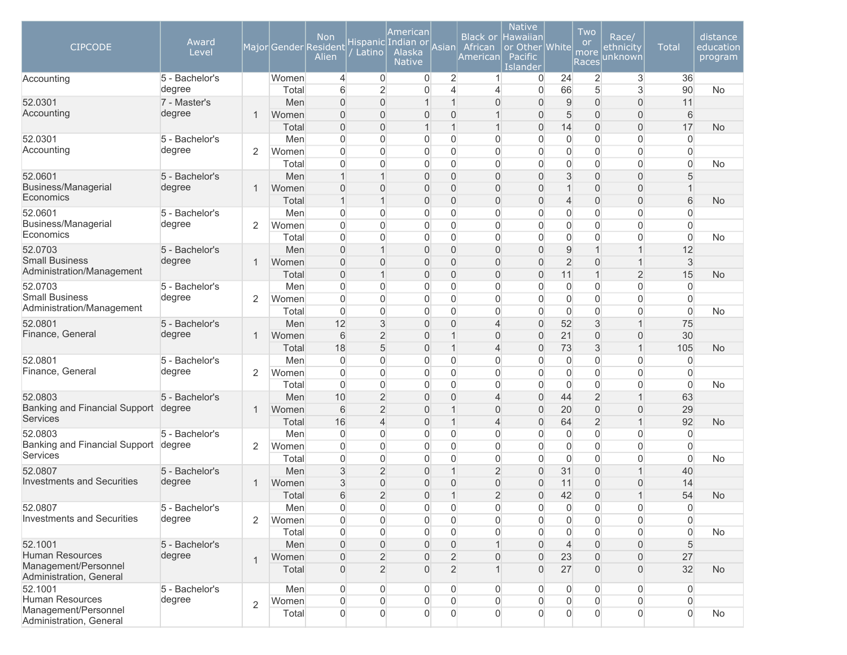| <b>CIPCODE</b>                                  | Award<br>Level |                | Major Gender Resident | <b>Non</b><br>Alien        | Latino                           | American<br>Hispanic Indian or<br>Alaska<br><b>Native</b> | Asian                          | <b>Black or</b><br>African<br>American | <b>Native</b><br>Hawaiian<br>or Other White<br>Pacific<br>Islander |                | Two<br><b>or</b><br>more<br><b>Races</b> | Race/<br><u>et</u> hnicity<br>unknown | <b>Total</b>   | distance<br>education<br>program |
|-------------------------------------------------|----------------|----------------|-----------------------|----------------------------|----------------------------------|-----------------------------------------------------------|--------------------------------|----------------------------------------|--------------------------------------------------------------------|----------------|------------------------------------------|---------------------------------------|----------------|----------------------------------|
| Accounting                                      | 5 - Bachelor's |                | Women                 | $\overline{4}$             | $\overline{0}$                   | 0                                                         | $\overline{2}$                 | 1                                      | 0                                                                  | 24             | $\overline{2}$                           | 3                                     | 36             |                                  |
|                                                 | degree         |                | Total                 | 6                          | $\overline{2}$                   | 0                                                         | 4                              | 4                                      | $\Omega$                                                           | 66             | 5                                        | 3                                     | 90             | <b>No</b>                        |
| 52.0301<br>Accounting                           | 7 - Master's   |                | Men                   | $\Omega$                   | $\Omega$                         | $\mathbf 1$                                               | $\overline{1}$                 | $\Omega$                               | 0                                                                  | $\overline{9}$ | $\overline{0}$                           | $\overline{0}$                        | 11             |                                  |
|                                                 | degree         | $\overline{1}$ | Women<br>Total        | $\Omega$<br>$\overline{0}$ | $\Omega$<br>$\Omega$             | 0<br>$\mathbf 1$                                          | $\mathbf{0}$<br>$\overline{1}$ | $\mathbf 1$                            | $\overline{0}$<br>$\Omega$                                         | 5<br>14        | $\mathbf 0$<br>$\mathbf 0$               | $\mathsf{O}\xspace$<br>$\overline{0}$ | 6<br>17        | <b>No</b>                        |
| 52.0301                                         | 5 - Bachelor's |                | Men                   | $\Omega$                   | $\Omega$                         | 0                                                         | $\overline{0}$                 | 0                                      | 0                                                                  | $\overline{0}$ | $\mathbf 0$                              | $\overline{0}$                        | $\overline{0}$ |                                  |
| Accounting                                      | degree         | $\overline{2}$ | Women                 | $\mathbf{0}$               | $\Omega$                         | 0                                                         | $\mathbf{0}$                   | $\overline{0}$                         | $\overline{0}$                                                     | $\overline{0}$ | $\mathbf 0$                              | $\mathbf 0$                           | $\overline{0}$ |                                  |
|                                                 |                |                | Total                 | $\mathbf{0}$               | $\Omega$                         | 0                                                         | $\overline{0}$                 | $\mathbf{0}$                           | $\Omega$                                                           | $\overline{0}$ | $\mathbf 0$                              | $\overline{0}$                        | $\overline{0}$ | <b>No</b>                        |
| 52.0601                                         | 5 - Bachelor's |                | Men                   | 1                          | $\overline{1}$                   | 0                                                         | $\overline{0}$                 | 0                                      | $\Omega$                                                           | 3              | $\overline{0}$                           | $\overline{0}$                        | 5              |                                  |
| <b>Business/Managerial</b>                      | degree         | $\mathbf{1}$   | Women                 | $\overline{0}$             | $\overline{0}$                   | 0                                                         | $\mathbf{0}$                   | $\mathbf{0}$                           | 0                                                                  | $\mathbf{1}$   | $\mathbf 0$                              | $\boldsymbol{0}$                      |                |                                  |
| Economics                                       |                |                | Total                 | $\mathbf{1}$               | $\mathbf{1}$                     | 0                                                         | $\overline{0}$                 | $\overline{0}$                         | 0                                                                  | $\overline{4}$ | $\mathbf 0$                              | $\overline{0}$                        | 6              | <b>No</b>                        |
| 52.0601                                         | 5 - Bachelor's |                | Men                   | $\overline{0}$             | $\Omega$                         | 0                                                         | $\overline{0}$                 | 0                                      | 0                                                                  | $\overline{0}$ | $\mathbf 0$                              | $\overline{0}$                        | $\overline{0}$ |                                  |
| Business/Managerial                             | degree         | $\overline{2}$ | Women                 | $\mathbf{0}$               | $\Omega$                         | 0                                                         | $\overline{0}$                 | $\overline{0}$                         | $\overline{0}$                                                     | $\overline{0}$ | $\mathbf 0$                              | $\mathbf 0$                           | $\overline{0}$ |                                  |
| Economics                                       |                |                | Total                 | $\mathbf{0}$               | $\Omega$                         | 0                                                         | $\Omega$                       | $\overline{0}$                         | $\Omega$                                                           | $\overline{0}$ | $\mathbf 0$                              | $\overline{0}$                        | $\overline{0}$ | <b>No</b>                        |
| 52.0703                                         | 5 - Bachelor's |                | Men                   | $\Omega$                   | $\overline{1}$                   | 0                                                         | $\mathbf{0}$                   | $\Omega$                               | $\Omega$                                                           | 9              | $\overline{1}$                           | $\mathbf{1}$                          | 12             |                                  |
| <b>Small Business</b>                           | degree         | $\mathbf{1}$   | Women                 | $\Omega$                   | $\Omega$                         | 0                                                         | $\mathbf{0}$                   | $\Omega$                               | $\Omega$                                                           | $\overline{2}$ | $\mathbf 0$                              | $\mathbf{1}$                          | 3              |                                  |
| Administration/Management                       |                |                | Total                 | $\overline{0}$             | 1                                | 0                                                         | $\mathbf{0}$                   | $\Omega$                               | $\Omega$                                                           | 11             | $\overline{1}$                           | $\overline{2}$                        | 15             | <b>No</b>                        |
| 52.0703                                         | 5 - Bachelor's |                | Men                   | $\Omega$                   | $\Omega$                         | 0                                                         | $\mathbf{0}$                   | 0                                      | $\Omega$                                                           | $\overline{0}$ | $\mathbf 0$                              | $\mathbf 0$                           | $\overline{0}$ |                                  |
| <b>Small Business</b>                           | degree         | $\overline{2}$ | Women                 | $\Omega$                   | $\Omega$                         | 0                                                         | $\Omega$                       | $\overline{0}$                         | $\Omega$                                                           | $\overline{0}$ | $\mathbf 0$                              | $\mathbf 0$                           | $\overline{0}$ |                                  |
| Administration/Management                       |                |                | Total                 | $\overline{0}$             | $\Omega$                         | 0                                                         | $\Omega$                       | $\mathbf{0}$                           | $\Omega$                                                           | $\overline{0}$ | $\mathbf 0$                              | $\overline{0}$                        | $\overline{0}$ | <b>No</b>                        |
| 52.0801                                         | 5 - Bachelor's |                | Men                   | 12                         | 3                                | 0                                                         | $\overline{0}$                 | 4                                      | $\Omega$                                                           | 52             | $\mathfrak{S}$                           | $\mathbf{1}$                          | 75             |                                  |
| Finance, General                                | degree         | $\mathbf{1}$   | Women                 | 6                          | $\overline{2}$                   | 0                                                         | $\overline{1}$                 | $\mathbf{0}$                           | $\Omega$                                                           | 21             | $\mathbf 0$                              | $\mathsf{O}\xspace$                   | 30             |                                  |
|                                                 |                |                | Total                 | 18                         | 5                                | 0                                                         | $\mathbf 1$                    | 4                                      | 0                                                                  | 73             | $\mathfrak{S}$                           | $\mathbf{1}$                          | 105            | <b>No</b>                        |
| 52.0801                                         | 5 - Bachelor's |                | Men                   | 0                          | $\Omega$                         | 0                                                         | $\overline{0}$                 | 0                                      | 0                                                                  | $\mathbf 0$    | $\mathbf 0$                              | $\mathbf 0$                           | 0              |                                  |
| Finance, General                                | degree         | $\overline{2}$ | Women                 | $\mathbf{0}$               | $\Omega$                         | 0                                                         | $\overline{0}$                 | $\overline{0}$                         | $\mathbf{0}$                                                       | $\overline{0}$ | $\mathbf 0$                              | $\mathbf 0$                           | $\overline{0}$ |                                  |
|                                                 |                |                | Total                 | $\Omega$                   | $\Omega$                         | 0                                                         | $\Omega$                       | 0                                      | $\mathbf{0}$                                                       | $\overline{0}$ | $\mathbf 0$                              | $\overline{0}$                        | $\overline{0}$ | <b>No</b>                        |
| 52.0803<br>Banking and Financial Support degree | 5 - Bachelor's |                | Men                   | 10                         | $\overline{2}$                   | 0                                                         | $\Omega$                       | 4                                      | $\Omega$                                                           | 44             | $\overline{2}$                           | $\mathbf{1}$                          | 63             |                                  |
| Services                                        |                | $\mathbf{1}$   | Women<br>Total        | 6<br>16                    | $\overline{2}$<br>$\overline{4}$ | 0<br>0                                                    | $\mathbf 1$<br>$\mathbf{1}$    | $\Omega$<br>4                          | $\Omega$<br>0                                                      | 20<br>64       | $\mathbf 0$<br>$\overline{2}$            | $\mathsf{O}\xspace$<br>$\mathbf{1}$   | 29<br>92       | <b>No</b>                        |
| 52.0803                                         | 5 - Bachelor's |                | Men                   | $\Omega$                   | $\Omega$                         | 0                                                         | $\mathbf{0}$                   | 0                                      | $\mathbf{0}$                                                       | $\overline{0}$ | $\mathbf 0$                              | $\mathbf 0$                           | $\overline{0}$ |                                  |
| Banking and Financial Support                   | degree         | 2              | Women                 | $\Omega$                   | $\Omega$                         | 0                                                         | $\Omega$                       | $\mathbf{0}$                           | $\mathbf{0}$                                                       | $\overline{0}$ | $\mathbf 0$                              | $\mathbf 0$                           | $\overline{0}$ |                                  |
| Services                                        |                |                | Total                 | $\Omega$                   | $\overline{0}$                   | 0                                                         | $\overline{0}$                 | $\mathbf 0$                            | $\Omega$                                                           | $\overline{0}$ | $\mathbf 0$                              | $\overline{0}$                        | $\overline{0}$ | No                               |
| 52.0807                                         | 5 - Bachelor's |                | Men                   | 3                          | $\overline{2}$                   | 0                                                         | $\mathbf{1}$                   | $\overline{2}$                         | 0                                                                  | 31             | $\mathbf 0$                              | $\mathbf{1}$                          | 40             |                                  |
| <b>Investments and Securities</b>               | degree         | $\mathbf{1}$   | Women                 | 3                          | $\overline{0}$                   | 0                                                         | $\overline{0}$                 | $\overline{0}$                         | 0                                                                  | 11             | $\mathbf 0$                              | $\overline{0}$                        | 14             |                                  |
|                                                 |                |                | Total                 | 6                          | $\overline{2}$                   | 0                                                         | $\mathbf 1$                    | $\overline{2}$                         | $\Omega$                                                           | 42             | $\mathbf 0$                              | $\mathbf{1}$                          | 54             | <b>No</b>                        |
| 52.0807                                         | 5 - Bachelor's |                | Men                   | $\overline{0}$             | $\overline{0}$                   | 0                                                         | $\overline{0}$                 | $\overline{0}$                         | 0                                                                  | $\overline{0}$ | $\boldsymbol{0}$                         | 0                                     | $\overline{0}$ |                                  |
| <b>Investments and Securities</b>               | degree         | 2              | Women                 | $\overline{0}$             | $\overline{0}$                   | 0                                                         | $\Omega$                       | 0                                      | 0                                                                  | $\overline{0}$ | $\overline{0}$                           | $\mathbf 0$                           | $\overline{0}$ |                                  |
|                                                 |                |                | Total                 | $\overline{0}$             | $\Omega$                         | 0                                                         | $\overline{0}$                 | 0                                      | 0                                                                  | $\overline{0}$ | $\mathbf 0$                              | 0                                     | $\mathbf 0$    | <b>No</b>                        |
| 52.1001                                         | 5 - Bachelor's |                | Men                   | $\overline{0}$             | $\overline{0}$                   | 0                                                         | $\mathbf{0}$                   |                                        | $\overline{0}$                                                     | $\overline{4}$ | $\boldsymbol{0}$                         | $\boldsymbol{0}$                      | 5              |                                  |
| <b>Human Resources</b>                          | degree         | $\mathbf{1}$   | Women                 | $\overline{0}$             | $\overline{2}$                   | 0                                                         | $\overline{2}$                 | $\overline{0}$                         | $\Omega$                                                           | 23             | $\boldsymbol{0}$                         | $\overline{0}$                        | 27             |                                  |
| Management/Personnel<br>Administration, General |                |                | Total                 | $\overline{0}$             | $\overline{2}$                   | $\overline{0}$                                            | $\overline{2}$                 |                                        | $\Omega$                                                           | 27             | $\boldsymbol{0}$                         | $\boldsymbol{0}$                      | 32             | <b>No</b>                        |
| 52.1001                                         | 5 - Bachelor's |                | Men                   | $\overline{0}$             | $\overline{0}$                   | 0                                                         | $\overline{0}$                 | $\Omega$                               | 0                                                                  | $\overline{0}$ | $\overline{0}$                           | 0                                     | $\overline{0}$ |                                  |
| Human Resources                                 | degree         | $\overline{2}$ | Women                 | $\overline{0}$             | $\overline{0}$                   | 0                                                         | $\overline{0}$                 | $\overline{0}$                         | $\overline{0}$                                                     | $\overline{0}$ | $\overline{0}$                           | 0                                     | $\overline{0}$ |                                  |
| Management/Personnel<br>Administration, General |                |                | Total                 | $\overline{0}$             | $\overline{0}$                   | 0                                                         | $\overline{0}$                 | $\overline{0}$                         | $\overline{0}$                                                     | $\overline{0}$ | $\overline{0}$                           | $\overline{0}$                        | $\overline{0}$ | No                               |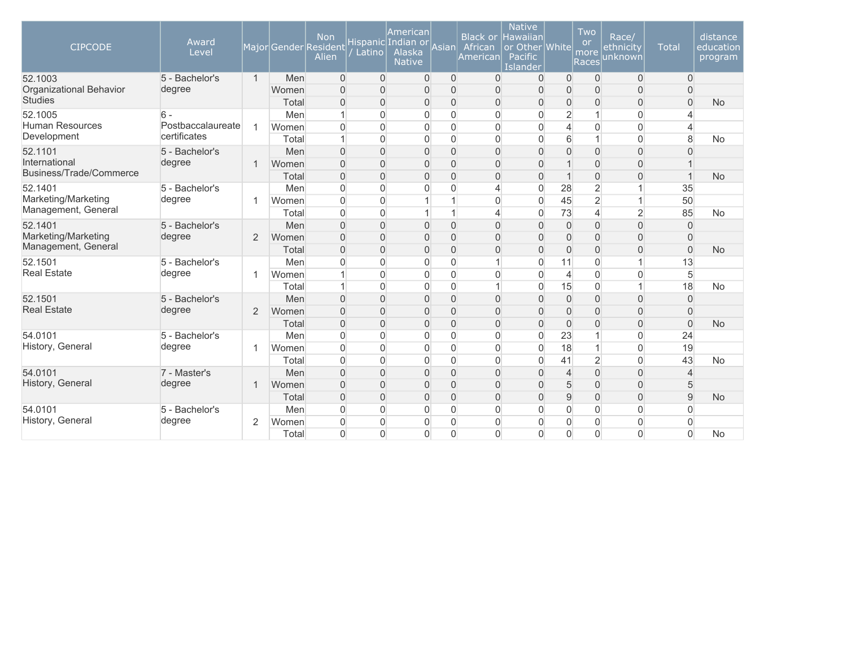| <b>CIPCODE</b>                             | Award<br>Level                    |                |       | <b>Non</b><br>Major Gender Resident<br>Alien | Latino         | American<br>Hispanic Indian or<br>Alaska<br><b>Native</b> | Asian          | <b>Black or</b><br>African<br><b>American</b> | <b>Native</b><br><b>Hawaiian</b><br>or Other White<br>Pacific<br>Islander |                | Two<br><b>or</b><br>more<br>Races | Race/<br>ethnicity<br>unknown | <b>Total</b>   | distance<br>education<br>program |
|--------------------------------------------|-----------------------------------|----------------|-------|----------------------------------------------|----------------|-----------------------------------------------------------|----------------|-----------------------------------------------|---------------------------------------------------------------------------|----------------|-----------------------------------|-------------------------------|----------------|----------------------------------|
| 52.1003                                    | 5 - Bachelor's                    | $\mathbf{1}$   | Men   | $\overline{0}$                               | $\overline{0}$ | 0                                                         | $\overline{0}$ | $\Omega$                                      | $\Omega$                                                                  | $\overline{0}$ | $\Omega$                          | $\overline{0}$                | $\Omega$       |                                  |
| Organizational Behavior                    | degree                            |                | Women | $\Omega$                                     | $\Omega$       | $\overline{0}$                                            | $\overline{0}$ | $\Omega$                                      | $\overline{0}$                                                            | $\Omega$       | $\overline{0}$                    | $\mathbf 0$                   | $\Omega$       |                                  |
| <b>Studies</b>                             |                                   |                | Total | $\overline{0}$                               | $\Omega$       | 0                                                         | $\mathbf{0}$   | $\overline{0}$                                | 0                                                                         | $\mathbf 0$    | $\overline{0}$                    | $\mathsf{O}\xspace$           | $\overline{0}$ | <b>No</b>                        |
| 52.1005                                    | $6 -$                             |                | Men   |                                              | $\Omega$       | $\Omega$                                                  | $\mathbf{0}$   | $\Omega$                                      | O                                                                         | $\overline{2}$ | $\mathbf{1}$                      | 0                             | 4              |                                  |
| <b>Human Resources</b>                     | Postbaccalaureate<br>certificates | 1              | Women | $\mathbf 0$                                  | 0              | 0                                                         | $\mathbf 0$    | $\overline{0}$                                | $\overline{0}$                                                            | $\overline{4}$ | $\mathbf 0$                       | $\mathsf{O}\xspace$           | 4              |                                  |
| Development                                |                                   |                | Total | 1                                            | $\Omega$       | 0                                                         | $\Omega$       | $\Omega$                                      | $\Omega$                                                                  | $6\phantom{.}$ | $\overline{1}$                    | $\mathbf 0$                   | 8              | No                               |
| 52.1101                                    | 5 - Bachelor's                    |                | Men   | $\overline{0}$                               | $\overline{0}$ | $\overline{0}$                                            | $\overline{0}$ | $\overline{0}$                                | $\overline{0}$                                                            | $\overline{0}$ | $\mathbf 0$                       | $\mathbf 0$                   | $\mathbf{0}$   |                                  |
| International<br>Business/Trade/Commerce   | degree                            | $\mathbf 1$    | Women | $\Omega$                                     | $\Omega$       | 0                                                         | $\Omega$       | $\Omega$                                      | $\overline{0}$                                                            | 1              | $\overline{0}$                    | $\overline{0}$                |                |                                  |
|                                            |                                   |                | Total | $\Omega$                                     | $\Omega$       | $\overline{0}$                                            | $\mathbf{0}$   | $\overline{0}$                                | $\Omega$                                                                  | $\overline{1}$ | $\overline{0}$                    | $\overline{0}$                | $\mathbf{1}$   | <b>No</b>                        |
| 52.1401                                    | 5 - Bachelor's                    |                | Men   | $\overline{0}$                               | 0              | 0                                                         | $\mathbf 0$    | ⊿                                             | $\mathbf 0$                                                               | 28             | $\overline{2}$                    |                               | 35             |                                  |
| Marketing/Marketing<br>Management, General | degree                            | 1              | Women | $\Omega$                                     | $\overline{0}$ |                                                           |                | $\Omega$                                      | $\Omega$                                                                  | 45             | $\overline{2}$                    | $\mathbf{1}$                  | 50             |                                  |
|                                            |                                   |                | Total | $\mathbf 0$                                  | $\overline{0}$ |                                                           |                | 4                                             | $\mathbf 0$                                                               | 73             | 4                                 | $\overline{2}$                | 85             | No                               |
| 52.1401                                    | 5 - Bachelor's                    |                | Men   | $\Omega$                                     | $\Omega$       | 0                                                         | $\mathbf{0}$   | $\Omega$                                      | $\overline{0}$                                                            | $\overline{0}$ | $\overline{0}$                    | $\mathbf 0$                   | $\Omega$       |                                  |
| Marketing/Marketing                        | degree                            | 2              | Women | $\Omega$                                     | $\Omega$       | $\Omega$                                                  | $\mathbf{0}$   | $\overline{0}$                                | $\overline{0}$                                                            | $\overline{0}$ | $\overline{0}$                    | $\overline{0}$                | $\overline{0}$ |                                  |
| Management, General                        |                                   |                | Total | $\overline{0}$                               | $\Omega$       | 0                                                         | $\mathbf{0}$   | $\overline{0}$                                | $\overline{0}$                                                            | $\overline{0}$ | $\overline{0}$                    | 0                             | $\mathbf 0$    | <b>No</b>                        |
| 52.1501                                    | 5 - Bachelor's                    |                | Men   | $\mathbf{0}$                                 | $\Omega$       | 0                                                         | $\mathbf{0}$   |                                               | $\overline{0}$                                                            | 11             | $\overline{0}$                    | $\mathbf{1}$                  | 13             |                                  |
| <b>Real Estate</b>                         | degree                            | 1              | Women |                                              | 0              | 0                                                         | $\mathbf 0$    | $\Omega$                                      | $\overline{0}$                                                            | $\overline{4}$ | $\mathbf 0$                       | $\overline{0}$                | $\sqrt{5}$     |                                  |
|                                            |                                   |                | Total |                                              | $\Omega$       | $\overline{0}$                                            | $\mathbf{0}$   | 1                                             | $\mathbf{0}$                                                              | 15             | $\mathbf 0$                       | $\mathbf{1}$                  | 18             | <b>No</b>                        |
| 52.1501                                    | 5 - Bachelor's                    |                | Men   | $\overline{0}$                               | $\Omega$       | $\overline{0}$                                            | $\mathbf{0}$   | $\overline{0}$                                | $\overline{0}$                                                            | $\mathbf 0$    | $\overline{0}$                    | $\overline{0}$                | $\overline{0}$ |                                  |
| <b>Real Estate</b>                         | degree                            | 2              | Women | $\overline{0}$                               | $\Omega$       | ი                                                         | $\mathbf{0}$   | $\overline{0}$                                | $\overline{0}$                                                            | $\overline{0}$ | $\overline{0}$                    | $\mathsf{O}\xspace$           | $\overline{0}$ |                                  |
|                                            |                                   |                | Total | $\Omega$                                     | $\Omega$       | 0                                                         | $\mathbf{0}$   | $\overline{0}$                                | $\overline{0}$                                                            | $\overline{0}$ | $\overline{0}$                    | $\mathbf 0$                   | $\Omega$       | <b>No</b>                        |
| 54.0101                                    | 5 - Bachelor's                    |                | Men   | $\overline{0}$                               | 0              | 0                                                         | $\mathbf 0$    | $\overline{0}$                                | $\overline{0}$                                                            | 23             | $\mathbf{1}$                      | 0                             | 24             |                                  |
| History, General                           | degree                            | 1              | Women | $\Omega$                                     | $\Omega$       | 0                                                         | $\mathbf 0$    | $\Omega$                                      | $\Omega$                                                                  | 18             | $\mathbf{1}$                      | $\mathbf 0$                   | 19             |                                  |
|                                            |                                   |                | Total | $\Omega$                                     | 0              | 0                                                         | $\mathbf 0$    | $\overline{0}$                                | $\overline{0}$                                                            | 41             | $\overline{2}$                    | $\overline{0}$                | 43             | No                               |
| 54.0101                                    | 7 - Master's                      |                | Men   | $\Omega$                                     | $\Omega$       | $\Omega$                                                  | $\overline{0}$ | $\overline{0}$                                | O                                                                         | $\overline{4}$ | $\mathbf 0$                       | $\mathsf{O}\xspace$           | $\overline{4}$ |                                  |
| History, General                           | degree                            | 1              | Women | $\Omega$                                     | $\Omega$       | 0                                                         | $\overline{0}$ | $\overline{0}$                                | $\Omega$                                                                  | 5              | $\mathbf 0$                       | $\mathbf 0$                   | 5              |                                  |
|                                            |                                   |                | Total | $\Omega$                                     | $\Omega$       | $\overline{0}$                                            | $\mathbf{0}$   | $\overline{0}$                                | $\Omega$                                                                  | 9              | $\overline{0}$                    | $\overline{0}$                | 9              | No                               |
| 54.0101                                    | 5 - Bachelor's                    |                | Men   | $\Omega$                                     | $\Omega$       | 0                                                         | $\mathbf{0}$   | $\overline{0}$                                | 0                                                                         | $\mathbf{0}$   | $\overline{0}$                    | $\mathbf 0$                   | $\Omega$       |                                  |
| History, General                           | degree                            | $\overline{2}$ | Women | $\mathbf{0}$                                 | 0              | 0                                                         | $\Omega$       | $\Omega$                                      | $\Omega$                                                                  | $\mathbf{0}$   | $\mathbf{0}$                      | $\overline{0}$                | $\Omega$       |                                  |
|                                            |                                   |                | Total | $\Omega$                                     | $\Omega$       | $\Omega$                                                  | $\Omega$       | $\Omega$                                      | $\Omega$                                                                  | $\Omega$       | $\Omega$                          | $\Omega$                      | $\Omega$       | <b>No</b>                        |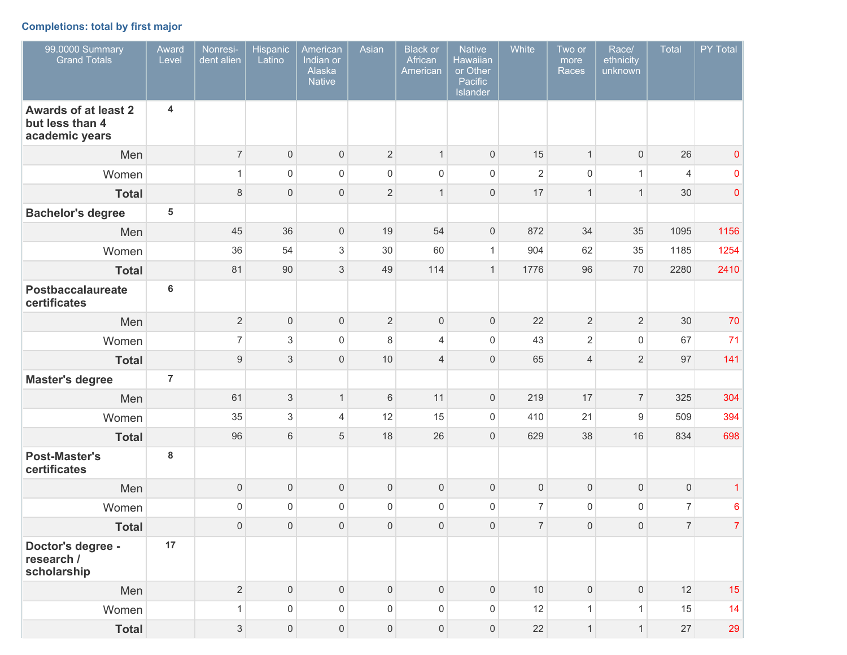# **Completions: total by first major**

| 99.0000 Summary<br><b>Grand Totals</b>                           | Award<br>Level          | Nonresi-<br>dent alien    | Hispanic<br>Latino        | American<br>Indian or<br>Alaska<br><b>Native</b> | Asian               | <b>Black or</b><br>African<br>American | <b>Native</b><br><b>Hawaiian</b><br>or Other<br>Pacific<br>Islander | White          | Two or<br>more<br>Races | Race/<br>ethnicity<br>unknown | Total          | PY Total        |
|------------------------------------------------------------------|-------------------------|---------------------------|---------------------------|--------------------------------------------------|---------------------|----------------------------------------|---------------------------------------------------------------------|----------------|-------------------------|-------------------------------|----------------|-----------------|
| <b>Awards of at least 2</b><br>but less than 4<br>academic years | 4                       |                           |                           |                                                  |                     |                                        |                                                                     |                |                         |                               |                |                 |
| Men                                                              |                         | $\overline{7}$            | $\mathbf 0$               | $\mathsf{O}\xspace$                              | $\overline{2}$      | $\mathbf{1}$                           | $\mathbf 0$                                                         | 15             | $\mathbf{1}$            | $\mathsf{O}\xspace$           | 26             | $\pmb{0}$       |
| Women                                                            |                         | $\mathbf{1}$              | $\mathsf 0$               | $\mathsf 0$                                      | $\mathsf 0$         | $\mathsf{O}\xspace$                    | $\mathbf 0$                                                         | $\overline{2}$ | $\mathbf 0$             | $\mathbf{1}$                  | $\overline{4}$ | $\pmb{0}$       |
| <b>Total</b>                                                     |                         | $\,8\,$                   | $\mathbf{0}$              | $\mathsf{O}\xspace$                              | $\overline{2}$      | $\mathbf{1}$                           | $\mathbf 0$                                                         | 17             | $\overline{1}$          | $\mathbf{1}$                  | 30             | $\mathbf 0$     |
| <b>Bachelor's degree</b>                                         | $\overline{\mathbf{5}}$ |                           |                           |                                                  |                     |                                        |                                                                     |                |                         |                               |                |                 |
| Men                                                              |                         | 45                        | 36                        | $\mathsf{O}\xspace$                              | 19                  | 54                                     | $\mathbf 0$                                                         | 872            | 34                      | 35                            | 1095           | 1156            |
| Women                                                            |                         | 36                        | 54                        | $\sqrt{3}$                                       | 30                  | 60                                     | $\mathbf{1}$                                                        | 904            | 62                      | 35                            | 1185           | 1254            |
| <b>Total</b>                                                     |                         | 81                        | 90                        | 3                                                | 49                  | 114                                    | $\mathbf{1}$                                                        | 1776           | 96                      | 70                            | 2280           | 2410            |
| <b>Postbaccalaureate</b><br>certificates                         | $6\phantom{a}$          |                           |                           |                                                  |                     |                                        |                                                                     |                |                         |                               |                |                 |
| Men                                                              |                         | $\overline{2}$            | $\mathbf 0$               | $\mathsf{O}\xspace$                              | $\overline{2}$      | $\mathsf{O}\xspace$                    | $\mathbf 0$                                                         | 22             | $\sqrt{2}$              | $\overline{2}$                | 30             | 70              |
| Women                                                            |                         | $\overline{7}$            | 3                         | $\mathsf 0$                                      | 8                   | $\overline{4}$                         | $\mathbf 0$                                                         | 43             | $\overline{2}$          | $\mathsf{O}\xspace$           | 67             | 71              |
| <b>Total</b>                                                     |                         | $\boldsymbol{9}$          | $\ensuremath{\mathsf{3}}$ | $\mathsf{O}\xspace$                              | 10                  | $\overline{4}$                         | $\mathbf 0$                                                         | 65             | $\overline{4}$          | $\overline{2}$                | 97             | 141             |
| <b>Master's degree</b>                                           | $\overline{7}$          |                           |                           |                                                  |                     |                                        |                                                                     |                |                         |                               |                |                 |
| Men                                                              |                         | 61                        | $\ensuremath{\mathsf{3}}$ | $\mathbf{1}$                                     | $\,6$               | 11                                     | $\mathbf 0$                                                         | 219            | 17                      | $\overline{7}$                | 325            | 304             |
| Women                                                            |                         | 35                        | 3                         | $\overline{4}$                                   | 12                  | 15                                     | $\mathbf 0$                                                         | 410            | 21                      | 9                             | 509            | 394             |
| <b>Total</b>                                                     |                         | 96                        | 6                         | 5                                                | 18                  | 26                                     | $\mathbf 0$                                                         | 629            | 38                      | 16                            | 834            | 698             |
| <b>Post-Master's</b><br>certificates                             | 8                       |                           |                           |                                                  |                     |                                        |                                                                     |                |                         |                               |                |                 |
| Men                                                              |                         | $\mathsf{O}\xspace$       | $\mathbf 0$               | $\mathsf{O}\xspace$                              | $\mathsf{O}\xspace$ | $\mathsf{O}\xspace$                    | $\mathbf 0$                                                         | $\mathbf 0$    | $\mathbf 0$             | $\mathsf{O}\xspace$           | $\mathsf{O}$   | 1               |
| Women                                                            |                         | $\mathsf 0$               | $\Omega$                  | $\mathsf 0$                                      | $\mathsf{O}\xspace$ | $\mathsf{O}\xspace$                    | $\mathbf 0$                                                         | $\overline{7}$ | $\mathbf 0$             | 0                             | $\overline{7}$ | $6\phantom{1}6$ |
| <b>Total</b>                                                     |                         | $\mathsf{O}\xspace$       | $\mathsf{O}\xspace$       | $\mathsf{O}\xspace$                              | $\mathsf{O}\xspace$ | $\mathsf{O}\xspace$                    | $\mathsf{O}\xspace$                                                 | $\overline{7}$ | $\mathsf{O}\xspace$     | $\mathsf{O}\xspace$           | 7 <sup>1</sup> | $\mathbf{7}$    |
| Doctor's degree -<br>research /<br>scholarship                   | 17                      |                           |                           |                                                  |                     |                                        |                                                                     |                |                         |                               |                |                 |
| Men                                                              |                         | $\overline{2}$            | $\mathsf{O}\xspace$       | $\mathsf{O}\xspace$                              | $\mathsf{O}\xspace$ | $\mathsf{O}\xspace$                    | $\mathsf{O}\xspace$                                                 | 10             | $\mathbf 0$             | $\mathsf{O}\xspace$           | 12             | 15              |
| Women                                                            |                         | $\mathbf{1}$              | $\mathsf{O}\xspace$       | $\mathsf{O}\xspace$                              | $\mathsf{O}\xspace$ | $\mathsf{O}\xspace$                    | $\mathsf{O}\xspace$                                                 | 12             | $\mathbf{1}$            | $\mathbf{1}$                  | 15             | 14              |
| <b>Total</b>                                                     |                         | $\ensuremath{\mathsf{3}}$ | $\overline{0}$            | $\mathsf{O}\xspace$                              | $\mathsf{O}\xspace$ | $\mathsf{O}\xspace$                    | $\mathsf{O}\xspace$                                                 | 22             | $\mathbf{1}$            | 1                             | 27             | 29              |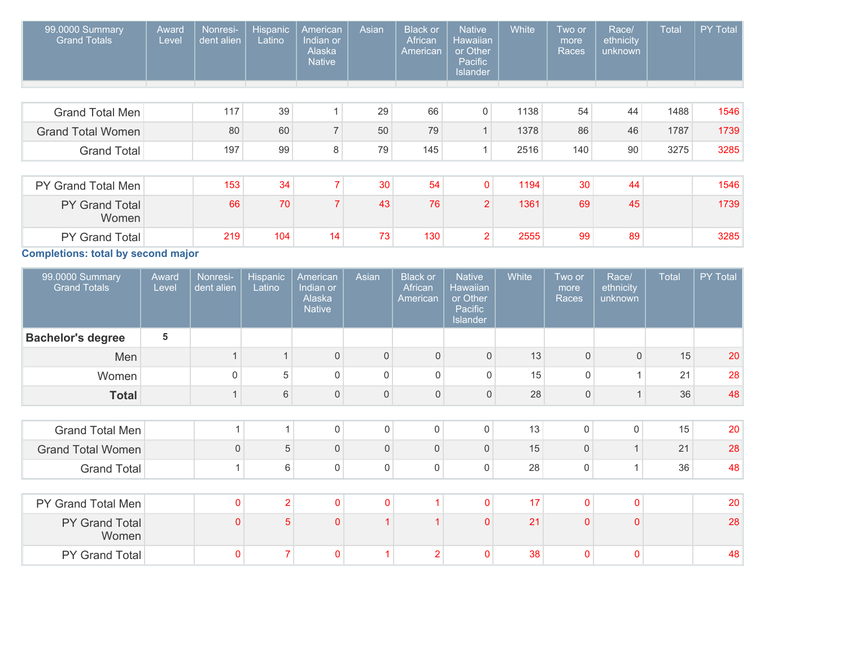| 99.0000 Summary<br><b>Grand Totals</b> | Award<br>Level | Nonresi-<br>dent alien | <b>Hispanic</b><br>Latino | American<br>Indian or<br>Alaska<br><b>Native</b> | Asian | <b>Black or</b><br>African<br>American | <b>Native</b><br>Hawaiian<br>or Other<br>Pacific<br><b>Islander</b> | White | Two or<br>more<br>Races | Race/<br>ethnicity<br>unknown | Total | <b>PY Total</b> |
|----------------------------------------|----------------|------------------------|---------------------------|--------------------------------------------------|-------|----------------------------------------|---------------------------------------------------------------------|-------|-------------------------|-------------------------------|-------|-----------------|
|                                        |                |                        |                           |                                                  |       |                                        |                                                                     |       |                         |                               |       |                 |
| <b>Grand Total Men</b>                 |                | 117                    | 39                        |                                                  | 29    | 66                                     | $\overline{0}$                                                      | 1138  | 54                      | 44                            | 1488  | 1546            |
| <b>Grand Total Women</b>               |                | 80                     | 60                        | $\overline{7}$                                   | 50    | 79                                     | $\mathbf{1}$                                                        | 1378  | 86                      | 46                            | 1787  | 1739            |
| <b>Grand Total</b>                     |                | 197                    | 99                        | 8                                                | 79    | 145                                    | 1                                                                   | 2516  | 140                     | 90                            | 3275  | 3285            |
|                                        |                |                        |                           |                                                  |       |                                        |                                                                     |       |                         |                               |       |                 |
| PY Grand Total Men                     |                | 153                    | 34                        |                                                  | 30    | 54                                     | $\mathbf{0}$                                                        | 1194  | 30                      | 44                            |       | 1546            |
| PY Grand Total<br>Women                |                | 66                     | 70                        |                                                  | 43    | 76                                     | $\overline{2}$                                                      | 1361  | 69                      | 45                            |       | 1739            |
| <b>PY Grand Total</b>                  |                | 219                    | 104                       | 14                                               | 73    | 130                                    | 2 <sub>1</sub>                                                      | 2555  | 99                      | 89                            |       | 3285            |
| Completions: total by second major     |                |                        |                           |                                                  |       |                                        |                                                                     |       |                         |                               |       |                 |

the control of the control of the control of the

**Completions: total by second major**

| 99.0000 Summary<br><b>Grand Totals</b> | Award<br>Level | Nonresi-<br>dent alien  | <b>Hispanic</b><br>Latino | American<br>Indian or<br>Alaska<br><b>Native</b> | Asian          | <b>Black or</b><br>African<br>American | <b>Native</b><br><b>Hawaiian</b><br>or Other<br>Pacific<br>Islander | White | Two or<br>more<br>Races | Race/<br>ethnicity<br>unknown | <b>Total</b> | PY Total |
|----------------------------------------|----------------|-------------------------|---------------------------|--------------------------------------------------|----------------|----------------------------------------|---------------------------------------------------------------------|-------|-------------------------|-------------------------------|--------------|----------|
| <b>Bachelor's degree</b>               | 5              |                         |                           |                                                  |                |                                        |                                                                     |       |                         |                               |              |          |
| Men                                    |                |                         |                           | $\mathbf 0$                                      | $\Omega$       | $\overline{0}$                         | $\mathbf{0}$                                                        | 13    | $\overline{0}$          | $\mathbf{0}$                  | 15           | 20       |
| Women                                  |                | $\Omega$                | 5                         | $\mathbf 0$                                      | $\Omega$       | 0                                      | $\mathbf 0$                                                         | 15    | $\mathbf 0$             |                               | 21           | 28       |
| <b>Total</b>                           |                | $\mathbf{1}$            | 6                         | $\mathsf{0}$                                     | $\mathbf{0}$   | 0                                      | $\mathsf{O}\xspace$                                                 | 28    | $\mathsf{O}\xspace$     |                               | 36           | 48       |
|                                        |                |                         |                           |                                                  |                |                                        |                                                                     |       |                         |                               |              |          |
| <b>Grand Total Men</b>                 |                | $\overline{\mathbf{A}}$ | $\overline{1}$            | $\mathbf 0$                                      | $\mathbf 0$    | 0                                      | 0                                                                   | 13    | $\mathbf 0$             | $\mathbf 0$                   | 15           | 20       |
| <b>Grand Total Women</b>               |                | $\mathbf 0$             | 5                         | $\mathbf 0$                                      | $\Omega$       | $\mathbf{0}$                           | 0                                                                   | 15    | $\mathbf{0}$            | 4                             | 21           | 28       |
| <b>Grand Total</b>                     |                | 1                       | 6                         | $\mathbf 0$                                      | $\mathbf 0$    | 0                                      | 0                                                                   | 28    | $\mathbf 0$             | 1                             | 36           | 48       |
|                                        |                |                         |                           |                                                  |                |                                        |                                                                     |       |                         |                               |              |          |
| PY Grand Total Men                     |                | $\mathbf 0$             | $\overline{2}$            | $\mathbf 0$                                      | $\overline{0}$ |                                        | $\pmb{0}$                                                           | 17    | $\mathbf 0$             | $\mathbf{0}$                  |              | 20       |
| PY Grand Total<br>Women                |                | $\mathbf{0}$            | 5                         | $\mathbf{0}$                                     |                |                                        | $\mathbf{0}$                                                        | 21    | $\overline{0}$          | $\Omega$                      |              | 28       |
| PY Grand Total                         |                | 0                       | 7                         | 0                                                |                | $\overline{2}$                         | $\mathbf 0$                                                         | 38    | 0                       | $\Omega$                      |              | 48       |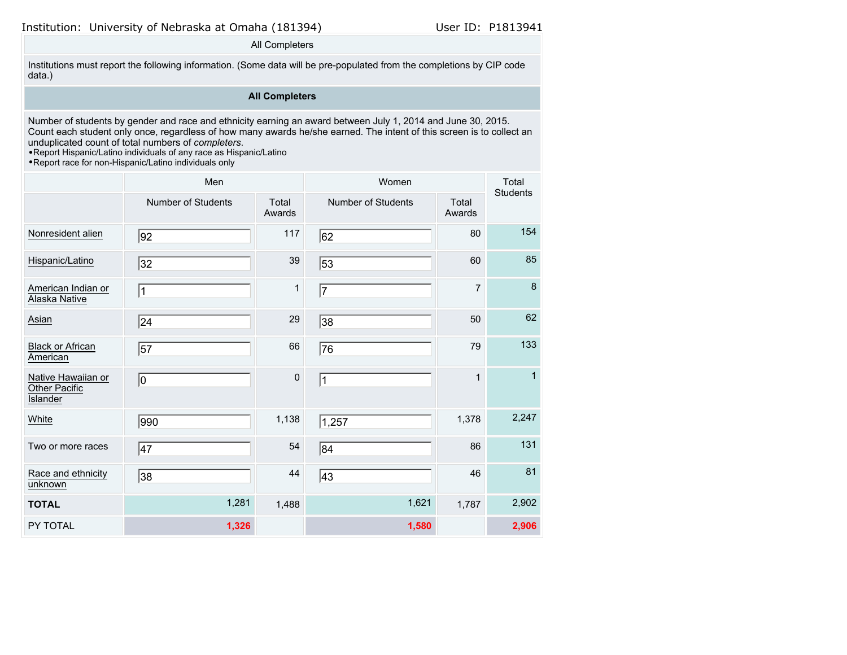All Completers

Institutions must report the following information. (Some data will be pre-populated from the completions by CIP code data.)

## **All Completers**

Number of students by gender and race and ethnicity earning an award between July 1, 2014 and June 30, 2015. Count each student only once, regardless of how many awards he/she earned. The intent of this screen is to collect an unduplicated count of total numbers of *completers*.

•Report Hispanic/Latino individuals of any race as Hispanic/Latino

|                                                        | Men                |                 | Women                     | Total<br><b>Students</b> |              |
|--------------------------------------------------------|--------------------|-----------------|---------------------------|--------------------------|--------------|
|                                                        | Number of Students | Total<br>Awards | <b>Number of Students</b> | Total<br>Awards          |              |
| Nonresident alien                                      | 92                 | 117             | 62                        | 80                       | 154          |
| Hispanic/Latino                                        | 32                 | 39              | 53                        | 60                       | 85           |
| American Indian or<br>Alaska Native                    | $\vert$ 1          | 1               | 17                        | $\overline{7}$           | 8            |
| Asian                                                  | 24                 | 29              | 38                        | 50                       | 62           |
| <b>Black or African</b><br>American                    | 57                 | 66              | 76                        | 79                       | 133          |
| Native Hawaiian or<br>Other Pacific<br><b>Islander</b> | 10                 | $\mathbf 0$     | $\mathbf 1$               | $\mathbf{1}$             | $\mathbf{1}$ |
| White                                                  | 990                | 1,138           | 1,257                     | 1,378                    | 2,247        |
| Two or more races                                      | $\overline{47}$    | 54              | 84                        | 86                       | 131          |
| Race and ethnicity<br>unknown                          | 38                 | 44              | 43                        | 46                       | 81           |
| <b>TOTAL</b>                                           | 1,281              | 1,488           | 1,621                     | 1,787                    | 2,902        |
| PY TOTAL                                               | 1,326              |                 | 1,580                     |                          | 2,906        |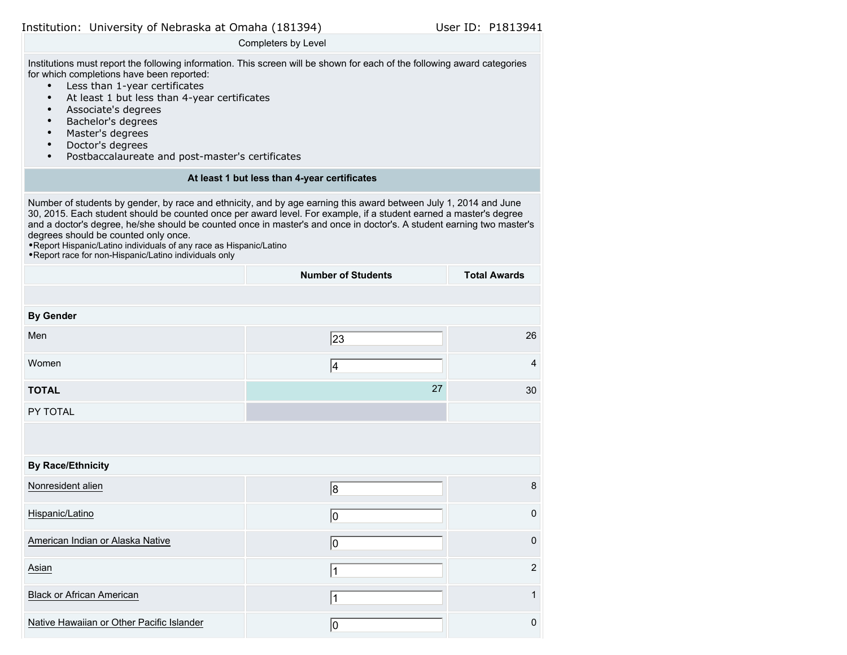Completers by Level

Institutions must report the following information. This screen will be shown for each of the following award categories for which completions have been reported:

- Less than 1-year certificates
- At least 1 but less than 4-year certificates
- Associate's degrees
- Bachelor's degrees
- Master's degrees
- Doctor's degrees
- Postbaccalaureate and post-master's certificates

#### **At least 1 but less than 4-year certificates**

Number of students by gender, by race and ethnicity, and by age earning this award between July 1, 2014 and June 30, 2015. Each student should be counted once per award level. For example, if a student earned a master's degree and a doctor's degree, he/she should be counted once in master's and once in doctor's. A student earning two master's degrees should be counted only once.

•Report Hispanic/Latino individuals of any race as Hispanic/Latino

|                                           | <b>Number of Students</b> | <b>Total Awards</b> |
|-------------------------------------------|---------------------------|---------------------|
|                                           |                           |                     |
| <b>By Gender</b>                          |                           |                     |
| Men                                       | 23                        | 26                  |
| Women                                     | 4                         | $\overline{4}$      |
| <b>TOTAL</b>                              | 27                        | 30                  |
| PY TOTAL                                  |                           |                     |
|                                           |                           |                     |
| <b>By Race/Ethnicity</b>                  |                           |                     |
| Nonresident alien                         | 8                         | $\bf 8$             |
| Hispanic/Latino                           | 10                        | $\mathbf 0$         |
| American Indian or Alaska Native          | 10                        | $\pmb{0}$           |
| Asian                                     | 1                         | $\overline{2}$      |
| <b>Black or African American</b>          | 1                         | $\mathbf{1}$        |
| Native Hawaiian or Other Pacific Islander | 10                        | $\pmb{0}$           |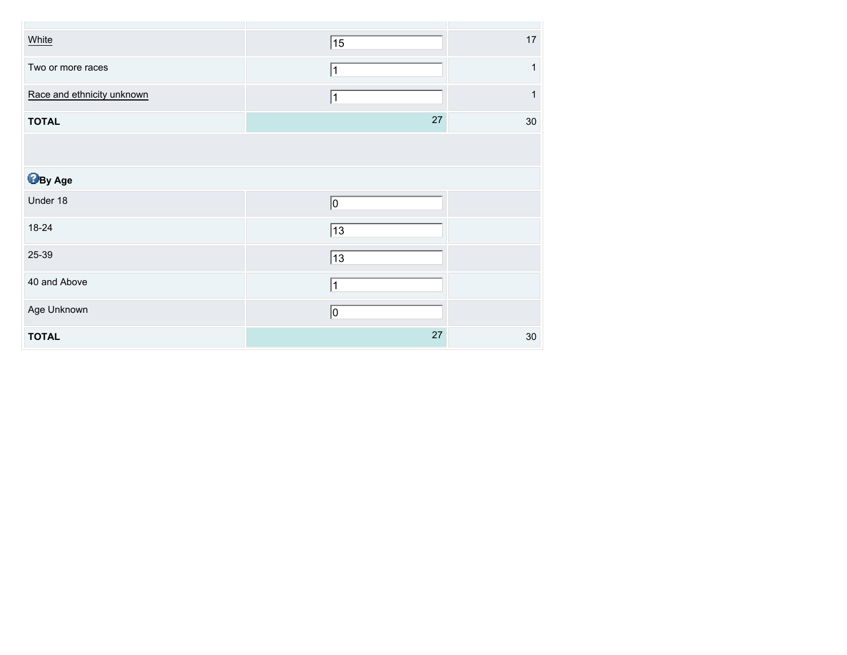| White                      | 15          | $17$   |
|----------------------------|-------------|--------|
| Two or more races          | 1           | 1      |
| Race and ethnicity unknown |             | 1      |
| <b>TOTAL</b>               | 27          | 30     |
|                            |             |        |
| <b>By Age</b>              |             |        |
| Under 18                   | 10          |        |
| 18-24                      | $\sqrt{13}$ |        |
| 25-39                      | 13          |        |
| 40 and Above               | 1           |        |
| Age Unknown                | 0           |        |
| <b>TOTAL</b>               | $27\,$      | $30\,$ |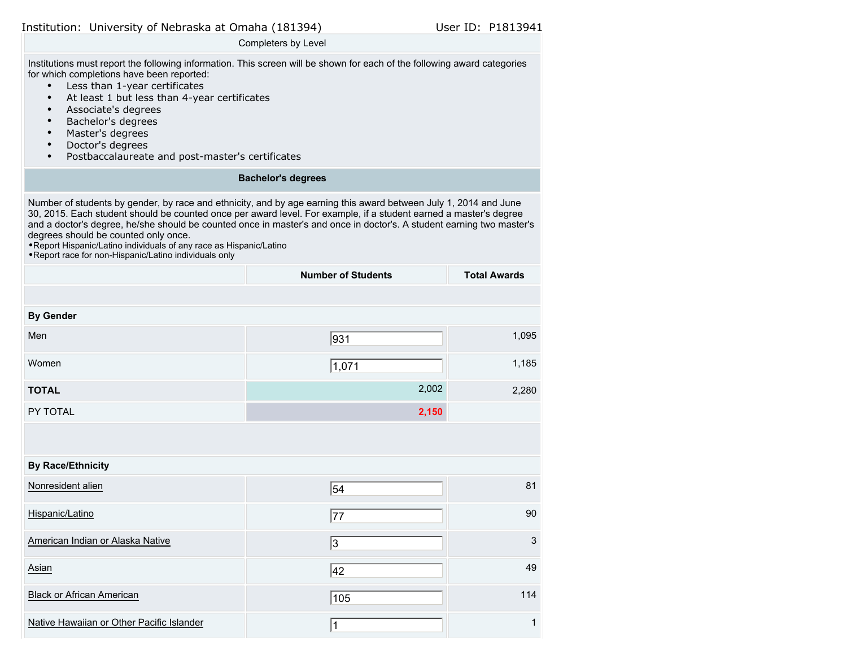Completers by Level

Institutions must report the following information. This screen will be shown for each of the following award categories for which completions have been reported:

- Less than 1-year certificates
- At least 1 but less than 4-year certificates
- Associate's degrees
- Bachelor's degrees
- Master's degrees
- Doctor's degrees
- Postbaccalaureate and post-master's certificates

## **Bachelor's degrees**

Number of students by gender, by race and ethnicity, and by age earning this award between July 1, 2014 and June 30, 2015. Each student should be counted once per award level. For example, if a student earned a master's degree and a doctor's degree, he/she should be counted once in master's and once in doctor's. A student earning two master's degrees should be counted only once.

•Report Hispanic/Latino individuals of any race as Hispanic/Latino

|                                           | <b>Number of Students</b> | <b>Total Awards</b> |
|-------------------------------------------|---------------------------|---------------------|
|                                           |                           |                     |
| <b>By Gender</b>                          |                           |                     |
| Men                                       | 931                       | 1,095               |
| Women                                     | 1,071                     | 1,185               |
| <b>TOTAL</b>                              | 2,002                     | 2,280               |
| PY TOTAL                                  | 2,150                     |                     |
|                                           |                           |                     |
| <b>By Race/Ethnicity</b>                  |                           |                     |
| Nonresident alien                         | 54                        | 81                  |
| Hispanic/Latino                           | 77                        | 90                  |
| American Indian or Alaska Native          | 3                         | $\mathfrak{S}$      |
| Asian                                     | 42                        | 49                  |
| <b>Black or African American</b>          | 105                       | 114                 |
| Native Hawaiian or Other Pacific Islander | 1                         | $\mathbf{1}$        |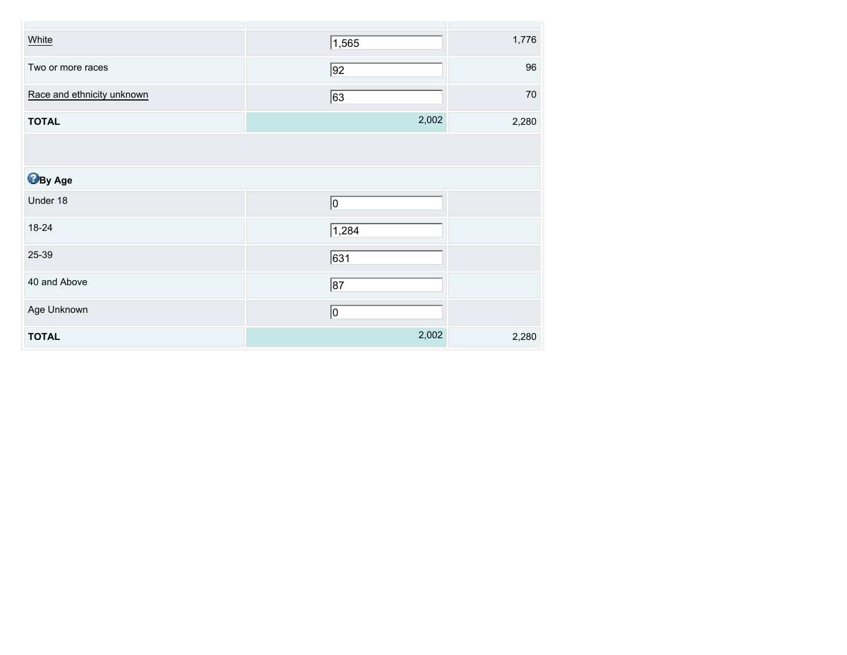| White                      | 1,565       | 1,776  |
|----------------------------|-------------|--------|
| Two or more races          | 92          | 96     |
| Race and ethnicity unknown | 63          | $70\,$ |
| <b>TOTAL</b>               | 2,002       | 2,280  |
|                            |             |        |
| <b>B</b> By Age            |             |        |
| Under 18                   | 0           |        |
| 18-24                      | 1,284       |        |
| 25-39                      | 631         |        |
| 40 and Above               | $\sqrt{87}$ |        |
| Age Unknown                | 0           |        |
| <b>TOTAL</b>               | 2,002       | 2,280  |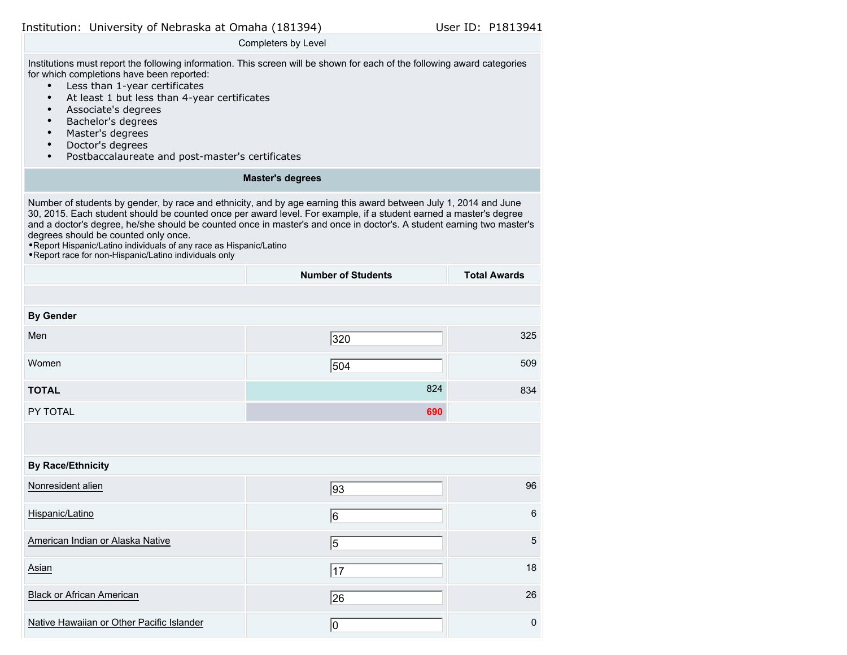Completers by Level

Institutions must report the following information. This screen will be shown for each of the following award categories for which completions have been reported:

- Less than 1-year certificates
- At least 1 but less than 4-year certificates
- Associate's degrees
- Bachelor's degrees
- Master's degrees
- Doctor's degrees
- Postbaccalaureate and post-master's certificates

## **Master's degrees**

Number of students by gender, by race and ethnicity, and by age earning this award between July 1, 2014 and June 30, 2015. Each student should be counted once per award level. For example, if a student earned a master's degree and a doctor's degree, he/she should be counted once in master's and once in doctor's. A student earning two master's degrees should be counted only once.

•Report Hispanic/Latino individuals of any race as Hispanic/Latino

|                                           | <b>Number of Students</b> | <b>Total Awards</b> |
|-------------------------------------------|---------------------------|---------------------|
|                                           |                           |                     |
| <b>By Gender</b>                          |                           |                     |
| Men                                       | 320                       | 325                 |
| Women                                     | 504                       | 509                 |
| <b>TOTAL</b>                              | 824                       | 834                 |
| PY TOTAL                                  | 690                       |                     |
|                                           |                           |                     |
| <b>By Race/Ethnicity</b>                  |                           |                     |
| Nonresident alien                         | 93                        | 96                  |
| Hispanic/Latino                           | 6                         | $\,6\,$             |
| American Indian or Alaska Native          | 5                         | $\overline{5}$      |
| Asian                                     | 17                        | 18                  |
| <b>Black or African American</b>          | 26                        | 26                  |
| Native Hawaiian or Other Pacific Islander | 10                        | $\pmb{0}$           |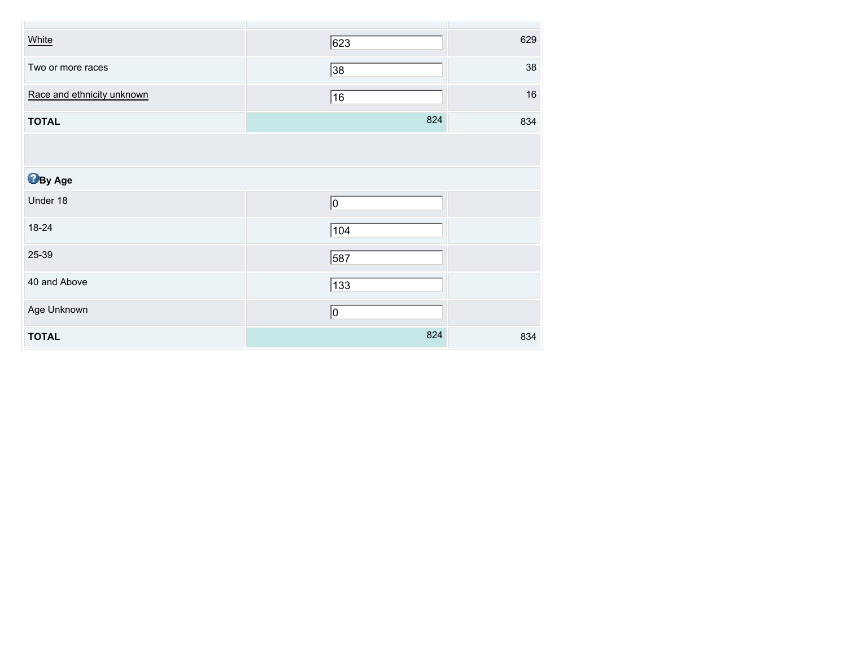| White                      | 623             | 629    |
|----------------------------|-----------------|--------|
| Two or more races          | $\overline{38}$ | 38     |
| Race and ethnicity unknown | 16              | $16\,$ |
| <b>TOTAL</b>               | 824             | 834    |
|                            |                 |        |
| <b>B</b> By Age            |                 |        |
| Under 18                   | 0               |        |
| 18-24                      | $\sqrt{104}$    |        |
| 25-39                      | 587             |        |
| 40 and Above               | $\sqrt{133}$    |        |
| Age Unknown                | 0               |        |
| <b>TOTAL</b>               | 824             | 834    |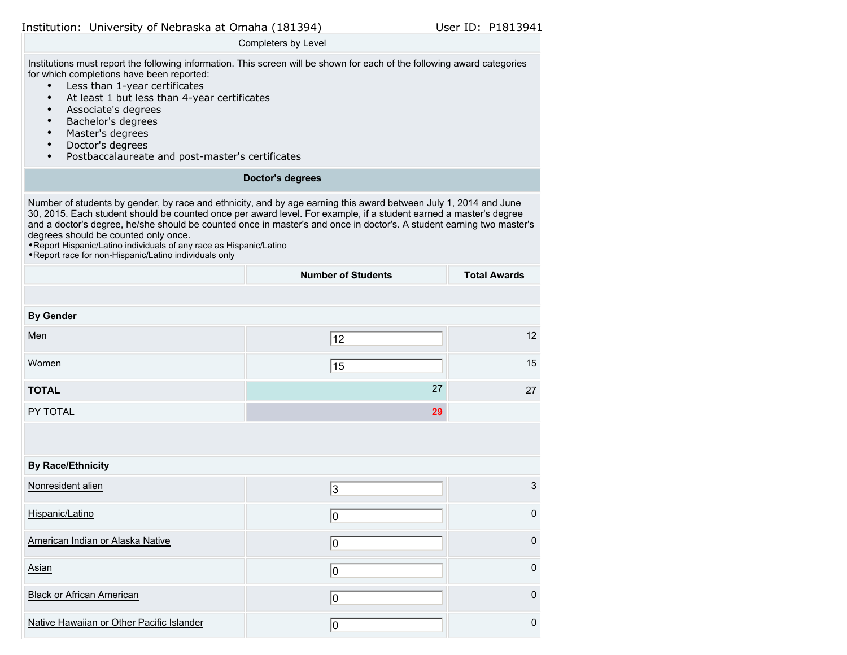Completers by Level

Institutions must report the following information. This screen will be shown for each of the following award categories for which completions have been reported:

- Less than 1-year certificates
- At least 1 but less than 4-year certificates
- Associate's degrees
- Bachelor's degrees
- Master's degrees
- Doctor's degrees
- Postbaccalaureate and post-master's certificates

## **Doctor's degrees**

Number of students by gender, by race and ethnicity, and by age earning this award between July 1, 2014 and June 30, 2015. Each student should be counted once per award level. For example, if a student earned a master's degree and a doctor's degree, he/she should be counted once in master's and once in doctor's. A student earning two master's degrees should be counted only once.

•Report Hispanic/Latino individuals of any race as Hispanic/Latino

|                                           | <b>Number of Students</b> | <b>Total Awards</b> |
|-------------------------------------------|---------------------------|---------------------|
|                                           |                           |                     |
| <b>By Gender</b>                          |                           |                     |
| Men                                       | 12                        | 12                  |
| Women                                     | 15                        | 15                  |
| <b>TOTAL</b>                              | 27                        | 27                  |
| PY TOTAL                                  | 29                        |                     |
|                                           |                           |                     |
| <b>By Race/Ethnicity</b>                  |                           |                     |
| Nonresident alien                         | 3                         | $\mathfrak{S}$      |
| Hispanic/Latino                           | 10                        | $\mathsf{O}\xspace$ |
| American Indian or Alaska Native          | 10                        | $\mathsf 0$         |
| Asian                                     | 10                        | $\pmb{0}$           |
| <b>Black or African American</b>          | 10                        | $\mathsf 0$         |
| Native Hawaiian or Other Pacific Islander | 10                        | $\pmb{0}$           |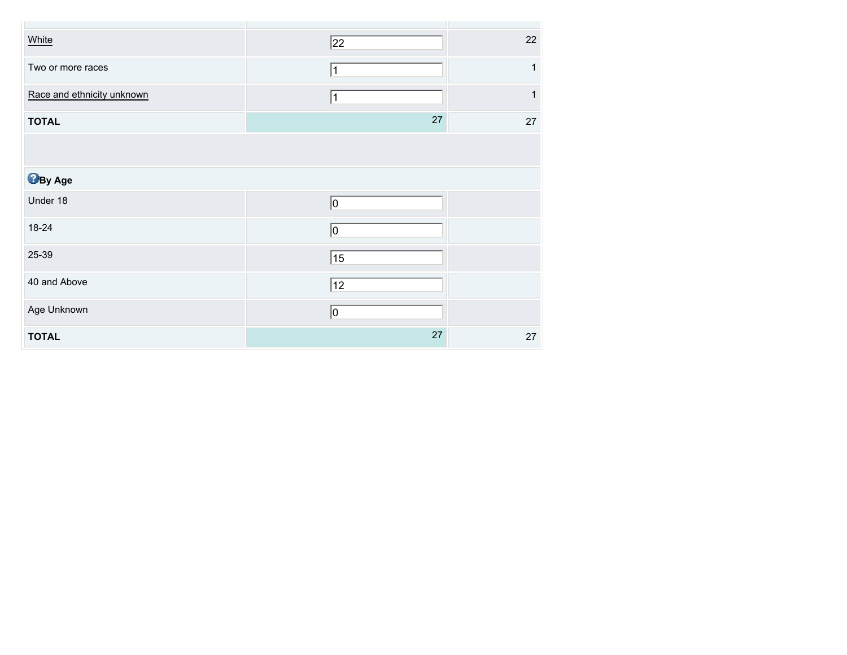| White                      | $\overline{22}$ | 22 |
|----------------------------|-----------------|----|
| Two or more races          | 1               | 1  |
| Race and ethnicity unknown | $\vert$ 1       | 1  |
| <b>TOTAL</b>               | 27              | 27 |
|                            |                 |    |
| <b>B</b> By Age            |                 |    |
| Under 18                   | 10              |    |
| 18-24                      | 10              |    |
| 25-39                      | 15              |    |
| 40 and Above               | 12              |    |
| Age Unknown                | 0               |    |
| <b>TOTAL</b>               | 27              | 27 |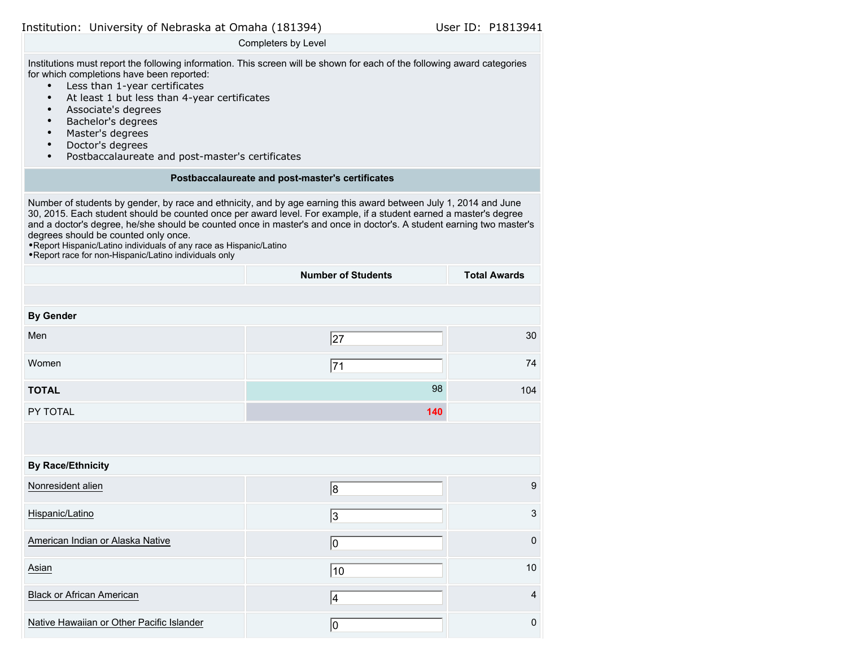Completers by Level

Institutions must report the following information. This screen will be shown for each of the following award categories for which completions have been reported:

- Less than 1-year certificates
- At least 1 but less than 4-year certificates
- Associate's degrees
- Bachelor's degrees
- Master's degrees
- Doctor's degrees
- Postbaccalaureate and post-master's certificates

#### **Postbaccalaureate and post-master's certificates**

Number of students by gender, by race and ethnicity, and by age earning this award between July 1, 2014 and June 30, 2015. Each student should be counted once per award level. For example, if a student earned a master's degree and a doctor's degree, he/she should be counted once in master's and once in doctor's. A student earning two master's degrees should be counted only once.

•Report Hispanic/Latino individuals of any race as Hispanic/Latino

|                                           | <b>Number of Students</b> | <b>Total Awards</b> |
|-------------------------------------------|---------------------------|---------------------|
|                                           |                           |                     |
| <b>By Gender</b>                          |                           |                     |
| Men                                       | 27                        | 30                  |
| Women                                     | 71                        | 74                  |
| <b>TOTAL</b>                              | 98                        | 104                 |
| PY TOTAL                                  | 140                       |                     |
|                                           |                           |                     |
| <b>By Race/Ethnicity</b>                  |                           |                     |
| Nonresident alien                         | 8                         | $\boldsymbol{9}$    |
| Hispanic/Latino                           | 3                         | $\mathfrak{S}$      |
| American Indian or Alaska Native          | 10                        | $\mathbf 0$         |
| Asian                                     | 10                        | 10                  |
| <b>Black or African American</b>          | 4                         | $\overline{4}$      |
| Native Hawaiian or Other Pacific Islander | 10                        | $\pmb{0}$           |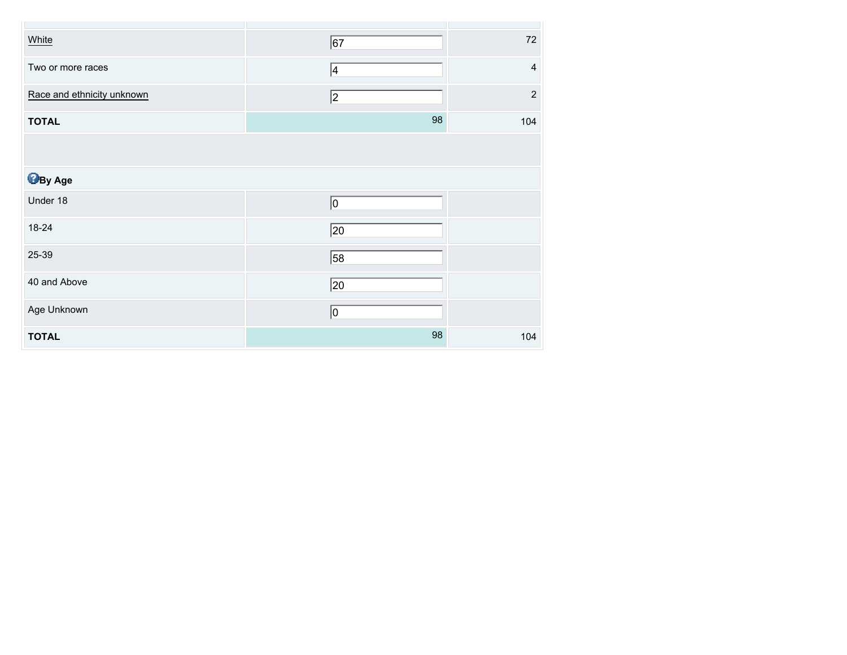| White                      | 67              | $72\,$                  |
|----------------------------|-----------------|-------------------------|
| Two or more races          | 4               | $\overline{\mathbf{4}}$ |
| Race and ethnicity unknown | 2               | $\sqrt{2}$              |
| <b>TOTAL</b>               | 98              | 104                     |
|                            |                 |                         |
| <b>B</b> By Age            |                 |                         |
| Under 18                   | 0               |                         |
| 18-24                      | $\overline{20}$ |                         |
| 25-39                      | $\overline{58}$ |                         |
| 40 and Above               | $\overline{20}$ |                         |
| Age Unknown                | <u> 0</u>       |                         |
| <b>TOTAL</b>               | 98              | 104                     |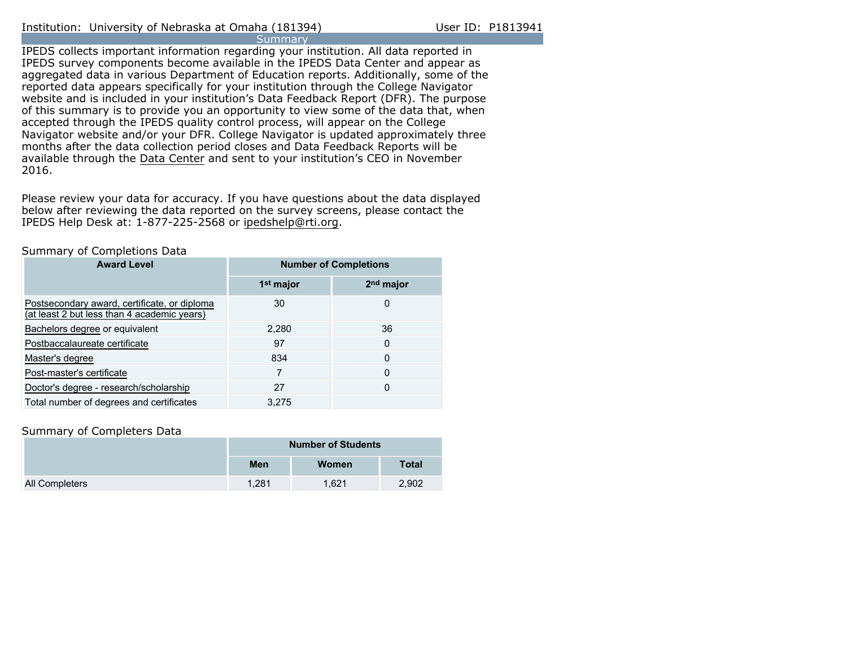IPEDS collects important information regarding your institution. All data reported in IPEDS survey components become available in the IPEDS Data Center and appear as aggregated data in various Department of Education reports. Additionally, some of the reported data appears specifically for your institution through the College Navigator website and is included in your institution's Data Feedback Report (DFR). The purpose of this summary is to provide you an opportunity to view some of the data that, when accepted through the IPEDS quality control process, will appear on the College Navigator website and/or your DFR. College Navigator is updated approximately three months after the data collection period closes and Data Feedback Reports will be available through the [Data Center](http://nces.ed.gov/ipeds/datacenter/) and sent to your institution's CEO in November 2016.

Please review your data for accuracy. If you have questions about the data displayed below after reviewing the data reported on the survey screens, please contact the IPEDS Help Desk at: 1-877-225-2568 or ipedshelp@rti.org.

#### Summary of Completions Data

| <b>Award Level</b>                                                                          | <b>Number of Completions</b> |             |
|---------------------------------------------------------------------------------------------|------------------------------|-------------|
|                                                                                             | 1 <sup>st</sup> major        | $2nd$ major |
| Postsecondary award, certificate, or diploma<br>(at least 2 but less than 4 academic years) | 30                           | 0           |
| Bachelors degree or equivalent                                                              | 2,280                        | 36          |
| Postbaccalaureate certificate                                                               | 97                           | 0           |
| Master's degree                                                                             | 834                          | 0           |
| Post-master's certificate                                                                   | 7                            | 0           |
| Doctor's degree - research/scholarship                                                      | 27                           | 0           |
| Total number of degrees and certificates                                                    | 3.275                        |             |

#### Summary of Completers Data

|                       | <b>Number of Students</b> |       |              |
|-----------------------|---------------------------|-------|--------------|
|                       | <b>Men</b>                | Women | <b>Total</b> |
| <b>All Completers</b> | 1.281                     | 1.621 | 2,902        |